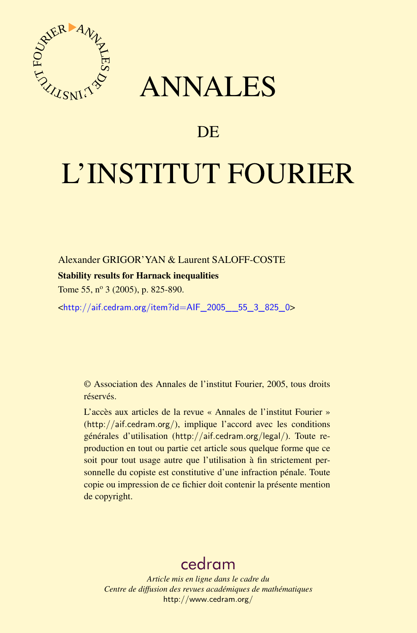



# DE

# L'INSTITUT FOURIER

Alexander GRIGOR'YAN & Laurent SALOFF-COSTE

# Stability results for Harnack inequalities

Tome 55,  $n^{\circ}$  3 (2005), p. 825-890.

<[http://aif.cedram.org/item?id=AIF\\_2005\\_\\_55\\_3\\_825\\_0](http://aif.cedram.org/item?id=AIF_2005__55_3_825_0)>

© Association des Annales de l'institut Fourier, 2005, tous droits réservés.

L'accès aux articles de la revue « Annales de l'institut Fourier » (<http://aif.cedram.org/>), implique l'accord avec les conditions générales d'utilisation (<http://aif.cedram.org/legal/>). Toute reproduction en tout ou partie cet article sous quelque forme que ce soit pour tout usage autre que l'utilisation à fin strictement personnelle du copiste est constitutive d'une infraction pénale. Toute copie ou impression de ce fichier doit contenir la présente mention de copyright.

# [cedram](http://www.cedram.org/)

*Article mis en ligne dans le cadre du Centre de diffusion des revues académiques de mathématiques* <http://www.cedram.org/>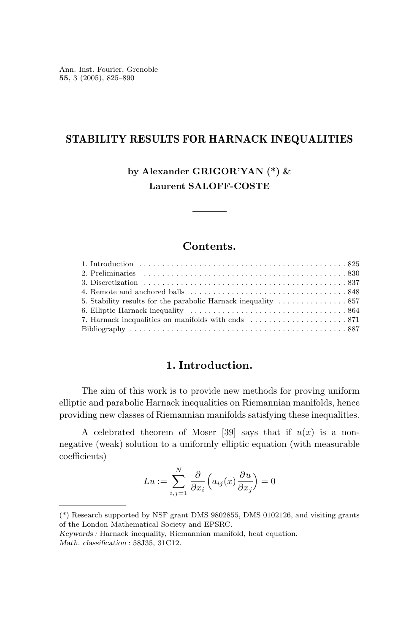Ann. Inst. Fourier, Grenoble **55**, 3 (2005), 825–890

# **STABILITY RESULTS FOR HARNACK INEQUALITIES**

**by Alexander GRIGOR'YAN (\*) & Laurent SALOFF-COSTE**

# **Contents.**

# **1. Introduction.**

The aim of this work is to provide new methods for proving uniform elliptic and parabolic Harnack inequalities on Riemannian manifolds, hence providing new classes of Riemannian manifolds satisfying these inequalities.

A celebrated theorem of Moser [39] says that if  $u(x)$  is a nonnegative (weak) solution to a uniformly elliptic equation (with measurable coefficients)

$$
Lu := \sum_{i,j=1}^{N} \frac{\partial}{\partial x_i} \left( a_{ij}(x) \frac{\partial u}{\partial x_j} \right) = 0
$$

<sup>(\*)</sup> Research supported by NSF grant DMS 9802855, DMS 0102126, and visiting grants of the London Mathematical Society and EPSRC.

*Keywords :* Harnack inequality, Riemannian manifold, heat equation. *Math. classification :* 58J35, 31C12.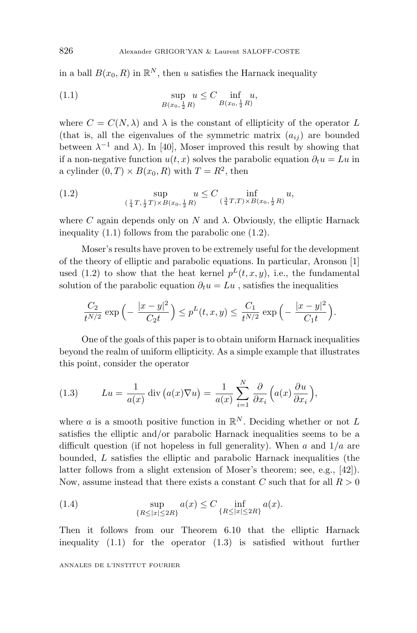in a ball  $B(x_0, R)$  in  $\mathbb{R}^N$ , then *u* satisfies the Harnack inequality

(1.1) 
$$
\sup_{B(x_0, \frac{1}{2}R)} u \leq C \inf_{B(x_0, \frac{1}{2}R)} u,
$$

where  $C = C(N, \lambda)$  and  $\lambda$  is the constant of ellipticity of the operator L (that is, all the eigenvalues of the symmetric matrix  $(a_{ij})$  are bounded between  $\lambda^{-1}$  and  $\lambda$ ). In [40], Moser improved this result by showing that if a non-negative function  $u(t, x)$  solves the parabolic equation  $\partial_t u = Lu$  in a cylinder  $(0, T) \times B(x_0, R)$  with  $T = R^2$ , then

(1.2) 
$$
\sup_{(\frac{1}{4}T, \frac{1}{2}T) \times B(x_0, \frac{1}{2}R)} u \leq C \inf_{(\frac{3}{4}T, T) \times B(x_0, \frac{1}{2}R)} u,
$$

where *C* again depends only on *N* and  $\lambda$ . Obviously, the elliptic Harnack inequality (1.1) follows from the parabolic one (1.2).

Moser's results have proven to be extremely useful for the development of the theory of elliptic and parabolic equations. In particular, Aronson [1] used (1.2) to show that the heat kernel  $p^L(t, x, y)$ , i.e., the fundamental solution of the parabolic equation  $\partial_t u = Lu$ , satisfies the inequalities

$$
\frac{C_2}{t^{N/2}} \exp\left(-\frac{|x-y|^2}{C_2t}\right) \le p^L(t, x, y) \le \frac{C_1}{t^{N/2}} \exp\left(-\frac{|x-y|^2}{C_1t}\right).
$$

One of the goals of this paper is to obtain uniform Harnack inequalities beyond the realm of uniform ellipticity. As a simple example that illustrates this point, consider the operator

(1.3) 
$$
Lu = \frac{1}{a(x)} \operatorname{div} (a(x)\nabla u) = \frac{1}{a(x)} \sum_{i=1}^{N} \frac{\partial}{\partial x_i} (a(x)\frac{\partial u}{\partial x_i}),
$$

where *a* is a smooth positive function in  $\mathbb{R}^N$ . Deciding whether or not *L* satisfies the elliptic and/or parabolic Harnack inequalities seems to be a difficult question (if not hopeless in full generality). When *a* and 1*/a* are bounded, *L* satisfies the elliptic and parabolic Harnack inequalities (the latter follows from a slight extension of Moser's theorem; see, e.g., [42]). Now, assume instead that there exists a constant *C* such that for all *R >* 0

(1.4) 
$$
\sup_{\{R \le |x| \le 2R\}} a(x) \le C \inf_{\{R \le |x| \le 2R\}} a(x).
$$

Then it follows from our Theorem 6.10 that the elliptic Harnack inequality (1.1) for the operator (1.3) is satisfied without further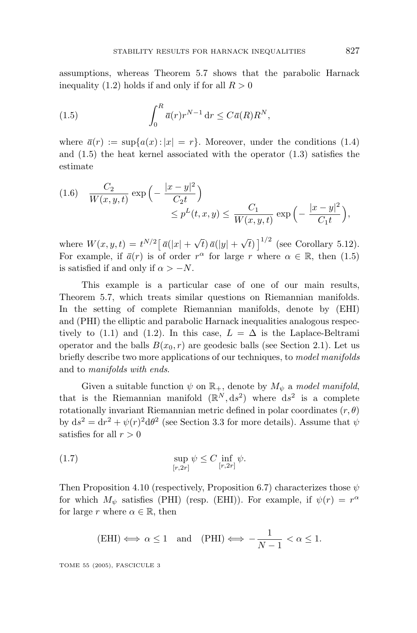assumptions, whereas Theorem 5.7 shows that the parabolic Harnack inequality  $(1.2)$  holds if and only if for all  $R > 0$ 

(1.5) 
$$
\int_0^R \overline{a}(r) r^{N-1} \, dr \leq C \overline{a}(R) R^N,
$$

where  $\bar{a}(r) := \sup\{a(x): |x| = r\}$ . Moreover, under the conditions (1.4) and (1.5) the heat kernel associated with the operator (1.3) satisfies the estimate

$$
(1.6) \quad \frac{C_2}{W(x,y,t)} \exp\left(-\frac{|x-y|^2}{C_2t}\right)
$$

$$
\leq p^L(t,x,y) \leq \frac{C_1}{W(x,y,t)} \exp\left(-\frac{|x-y|^2}{C_1t}\right),
$$

where  $W(x, y, t) = t^{N/2} [\bar{a}(|x| + \sqrt{t}) \bar{a}(|y| + \sqrt{t})]^{1/2}$  (see Corollary 5.12). For example, if  $\bar{a}(r)$  is of order  $r^{\alpha}$  for large *r* where  $\alpha \in \mathbb{R}$ , then (1.5) is satisfied if and only if  $\alpha > -N$ .

This example is a particular case of one of our main results, Theorem 5.7, which treats similar questions on Riemannian manifolds. In the setting of complete Riemannian manifolds, denote by (EHI) and (PHI) the elliptic and parabolic Harnack inequalities analogous respectively to (1.1) and (1.2). In this case,  $L = \Delta$  is the Laplace-Beltrami operator and the balls  $B(x_0, r)$  are geodesic balls (see Section 2.1). Let us briefly describe two more applications of our techniques, to model manifolds and to manifolds with ends.

Given a suitable function  $\psi$  on  $\mathbb{R}_+$ , denote by  $M_{\psi}$  a model manifold, that is the Riemannian manifold  $(\mathbb{R}^N, ds^2)$  where  $ds^2$  is a complete rotationally invariant Riemannian metric defined in polar coordinates (*r, θ*) by  $ds^2 = dr^2 + \psi(r)^2 d\theta^2$  (see Section 3.3 for more details). Assume that  $\psi$ satisfies for all  $r > 0$ 

(1.7) 
$$
\sup_{[r,2r]} \psi \leq C \inf_{[r,2r]} \psi.
$$

Then Proposition 4.10 (respectively, Proposition 6.7) characterizes those *ψ* for which  $M_{\psi}$  satisfies (PHI) (resp. (EHI)). For example, if  $\psi(r) = r^{\alpha}$ for large *r* where  $\alpha \in \mathbb{R}$ , then

$$
\text{(EHI)} \Longleftrightarrow \alpha \le 1 \quad \text{and} \quad \text{(PHI)} \Longleftrightarrow -\frac{1}{N-1} < \alpha \le 1.
$$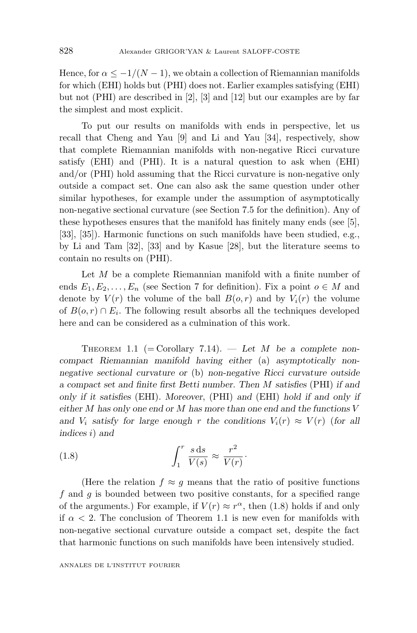Hence, for  $\alpha \leq -1/(N-1)$ , we obtain a collection of Riemannian manifolds for which (EHI) holds but (PHI) does not. Earlier examples satisfying (EHI) but not (PHI) are described in [2], [3] and [12] but our examples are by far the simplest and most explicit.

To put our results on manifolds with ends in perspective, let us recall that Cheng and Yau [9] and Li and Yau [34], respectively, show that complete Riemannian manifolds with non-negative Ricci curvature satisfy (EHI) and (PHI). It is a natural question to ask when (EHI) and/or (PHI) hold assuming that the Ricci curvature is non-negative only outside a compact set. One can also ask the same question under other similar hypotheses, for example under the assumption of asymptotically non-negative sectional curvature (see Section 7.5 for the definition). Any of these hypotheses ensures that the manifold has finitely many ends (see [5], [33], [35]). Harmonic functions on such manifolds have been studied, e.g., by Li and Tam [32], [33] and by Kasue [28], but the literature seems to contain no results on (PHI).

Let *M* be a complete Riemannian manifold with a finite number of ends  $E_1, E_2, \ldots, E_n$  (see Section 7 for definition). Fix a point  $o \in M$  and denote by  $V(r)$  the volume of the ball  $B(o,r)$  and by  $V_i(r)$  the volume of  $B(o, r) \cap E_i$ . The following result absorbs all the techniques developed here and can be considered as a culmination of this work.

THEOREM 1.1 (= Corollary 7.14).  $-$  *Let M be a complete noncompact Riemannian manifold having either* (a) *asymptotically nonnegative sectional curvature or* (b) *non-negative Ricci curvature outside a compact set and finite first Betti number. Then M satisfies* (PHI) *if and only if it satisfies* (EHI)*. Moreover*, (PHI) *and* (EHI) *hold if and only if either M has only one end or M has more than one end and the functions V* and  $V_i$  *satisfy for large enough r* the conditions  $V_i(r) \approx V(r)$  (for all *indices i*) *and*

(1.8) 
$$
\int_{1}^{r} \frac{s \, \mathrm{d}s}{V(s)} \approx \frac{r^2}{V(r)}.
$$

(Here the relation  $f \approx g$  means that the ratio of positive functions *f* and *g* is bounded between two positive constants, for a specified range of the arguments.) For example, if  $V(r) \approx r^{\alpha}$ , then (1.8) holds if and only if  $\alpha$  < 2. The conclusion of Theorem 1.1 is new even for manifolds with non-negative sectional curvature outside a compact set, despite the fact that harmonic functions on such manifolds have been intensively studied.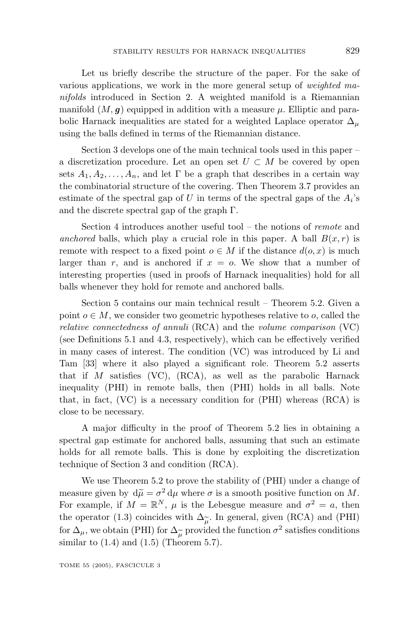Let us briefly describe the structure of the paper. For the sake of various applications, we work in the more general setup of weighted manifolds introduced in Section 2. A weighted manifold is a Riemannian manifold  $(M, g)$  equipped in addition with a measure  $\mu$ . Elliptic and parabolic Harnack inequalities are stated for a weighted Laplace operator  $\Delta_{\mu}$ using the balls defined in terms of the Riemannian distance.

Section 3 develops one of the main technical tools used in this paper – a discretization procedure. Let an open set  $U \subset M$  be covered by open sets  $A_1, A_2, \ldots, A_n$ , and let  $\Gamma$  be a graph that describes in a certain way the combinatorial structure of the covering. Then Theorem 3.7 provides an estimate of the spectral gap of *U* in terms of the spectral gaps of the  $A_i$ 's and the discrete spectral gap of the graph  $\Gamma$ .

Section 4 introduces another useful tool – the notions of remote and anchored balls, which play a crucial role in this paper. A ball  $B(x, r)$  is remote with respect to a fixed point  $o \in M$  if the distance  $d(o, x)$  is much larger than  $r$ , and is anchored if  $x = o$ . We show that a number of interesting properties (used in proofs of Harnack inequalities) hold for all balls whenever they hold for remote and anchored balls.

Section 5 contains our main technical result – Theorem 5.2. Given a point  $o \in M$ , we consider two geometric hypotheses relative to *o*, called the relative connectedness of annuli (RCA) and the volume comparison (VC) (see Definitions 5.1 and 4.3, respectively), which can be effectively verified in many cases of interest. The condition (VC) was introduced by Li and Tam [33] where it also played a significant role. Theorem 5.2 asserts that if *M* satisfies (VC), (RCA), as well as the parabolic Harnack inequality (PHI) in remote balls, then (PHI) holds in all balls. Note that, in fact,  $(VC)$  is a necessary condition for  $(PHI)$  whereas  $(RCA)$  is close to be necessary.

A major difficulty in the proof of Theorem 5.2 lies in obtaining a spectral gap estimate for anchored balls, assuming that such an estimate holds for all remote balls. This is done by exploiting the discretization technique of Section 3 and condition (RCA).

We use Theorem 5.2 to prove the stability of (PHI) under a change of measure given by  $d\tilde{\mu} = \sigma^2 d\mu$  where  $\sigma$  is a smooth positive function on M.<br>For example, if  $M = \mathbb{R}^N$ ,  $\mu$  is the Lebesgue measure and  $\sigma^2 = a$ , then measure given by  $d\tilde{\mu} = \sigma^2 d\mu$  where  $\sigma$  is a smooth positive function on M. the operator (1.3) coincides with  $\Delta_{\widetilde{\mu}}$ . In general, given (RCA) and (PHI) for  $\Delta_{\mu}$ , we obtain (PHI) for  $\Delta_{\widetilde{\mu}}$  provided the function  $\sigma^2$  satisfies conditions similar to  $(1.4)$  and  $(1.5)$  (Theorem 5.7).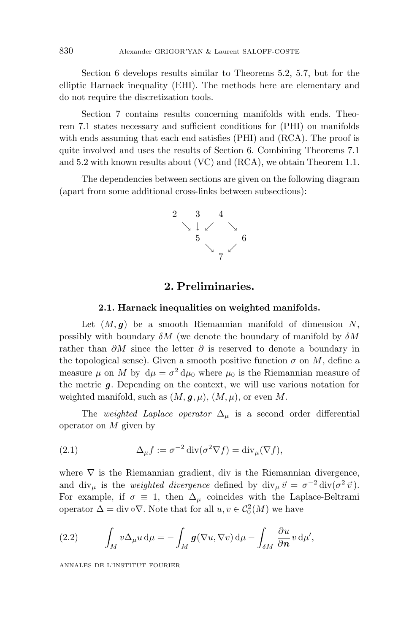Section 6 develops results similar to Theorems 5.2, 5.7, but for the elliptic Harnack inequality (EHI). The methods here are elementary and do not require the discretization tools.

Section 7 contains results concerning manifolds with ends. Theorem 7.1 states necessary and sufficient conditions for (PHI) on manifolds with ends assuming that each end satisfies (PHI) and (RCA). The proof is quite involved and uses the results of Section 6. Combining Theorems 7.1 and 5.2 with known results about (VC) and (RCA), we obtain Theorem 1.1.

The dependencies between sections are given on the following diagram (apart from some additional cross-links between subsections):



# **2. Preliminaries.**

#### **2.1. Harnack inequalities on weighted manifolds.**

Let  $(M, g)$  be a smooth Riemannian manifold of dimension *N*, possibly with boundary *δM* (we denote the boundary of manifold by *δM* rather than *∂M* since the letter *∂* is reserved to denote a boundary in the topological sense). Given a smooth positive function  $\sigma$  on M, define a measure  $\mu$  on *M* by  $d\mu = \sigma^2 d\mu_0$  where  $\mu_0$  is the Riemannian measure of the metric *g*. Depending on the context, we will use various notation for weighted manifold, such as  $(M, \mathbf{g}, \mu)$ ,  $(M, \mu)$ , or even M.

The *weighted Laplace operator*  $\Delta_{\mu}$  is a second order differential operator on *M* given by

(2.1) 
$$
\Delta_{\mu} f := \sigma^{-2} \operatorname{div}(\sigma^2 \nabla f) = \operatorname{div}_{\mu}(\nabla f),
$$

where  $\nabla$  is the Riemannian gradient, div is the Riemannian divergence, and div<sub>µ</sub> is the *weighted divergence* defined by div<sub>µ</sub>  $\vec{v} = \sigma^{-2}$  div $(\sigma^2 \vec{v})$ *.* For example, if  $\sigma \equiv 1$ , then  $\Delta_{\mu}$  coincides with the Laplace-Beltrami operator  $\Delta = \text{div} \circ \nabla$ . Note that for all  $u, v \in C_0^2(M)$  we have

(2.2) 
$$
\int_M v \Delta_\mu u \, \mathrm{d}\mu = - \int_M \mathbf{g}(\nabla u, \nabla v) \, \mathrm{d}\mu - \int_{\delta M} \frac{\partial u}{\partial n} v \, \mathrm{d}\mu',
$$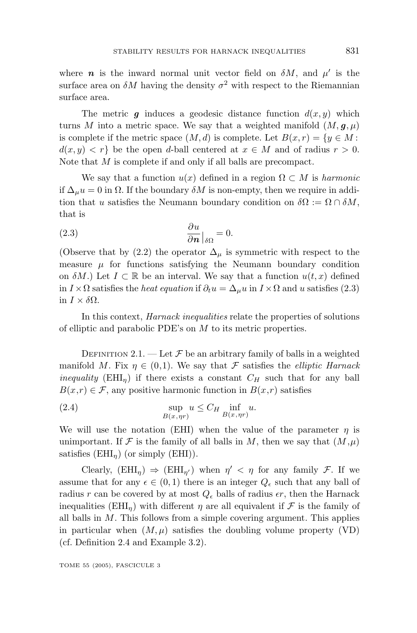where *n* is the inward normal unit vector field on  $\delta M$ , and  $\mu'$  is the surface area on  $\delta M$  having the density  $\sigma^2$  with respect to the Riemannian surface area.

The metric  $g$  induces a geodesic distance function  $d(x, y)$  which turns *M* into a metric space. We say that a weighted manifold  $(M, \mathbf{g}, \mu)$ is complete if the metric space  $(M, d)$  is complete. Let  $B(x, r) = \{y \in M:$  $d(x, y) < r$  be the open *d*-ball centered at  $x \in M$  and of radius  $r > 0$ . Note that *M* is complete if and only if all balls are precompact.

We say that a function  $u(x)$  defined in a region  $\Omega \subset M$  is *harmonic* if  $\Delta_\mu u = 0$  in  $\Omega$ . If the boundary  $\delta M$  is non-empty, then we require in addition that *u* satisfies the Neumann boundary condition on  $\delta\Omega := \Omega \cap \delta M$ , that is

(2.3) 
$$
\frac{\partial u}{\partial n}\Big|_{\delta\Omega} = 0.
$$

(Observe that by (2.2) the operator  $\Delta_{\mu}$  is symmetric with respect to the measure  $\mu$  for functions satisfying the Neumann boundary condition on  $\delta M$ .) Let  $I \subset \mathbb{R}$  be an interval. We say that a function  $u(t, x)$  defined in *I* ×  $\Omega$  satisfies the *heat equation* if  $\partial_t u = \Delta_\mu u$  in  $I \times \Omega$  and *u* satisfies (2.3) in *I* × *δ*Ω.

In this context, Harnack inequalities relate the properties of solutions of elliptic and parabolic PDE's on *M* to its metric properties.

DEFINITION 2.1. — Let  $\mathcal F$  be an arbitrary family of balls in a weighted manifold *M*. Fix  $\eta \in (0,1)$ . We say that *F* satisfies the *elliptic Harnack inequality* (EHI<sub>n</sub>) if there exists a constant  $C_H$  such that for any ball  $B(x,r) \in \mathcal{F}$ , any positive harmonic function in  $B(x,r)$  satisfies

(2.4) 
$$
\sup_{B(x,\eta r)} u \leq C_H \inf_{B(x,\eta r)} u.
$$

We will use the notation (EHI) when the value of the parameter  $\eta$  is unimportant. If F is the family of all balls in M, then we say that  $(M,\mu)$ satisfies  $(EHI_n)$  (or simply  $(EHI)$ ).

Clearly,  $(EHI_n) \Rightarrow (EHI_{n'})$  when  $\eta' < \eta$  for any family F. If we assume that for any  $\epsilon \in (0,1)$  there is an integer  $Q_{\epsilon}$  such that any ball of radius r can be covered by at most  $Q_{\epsilon}$  balls of radius  $\epsilon r$ , then the Harnack inequalities (EHI<sub>n</sub>) with different  $\eta$  are all equivalent if  $\mathcal F$  is the family of all balls in *M*. This follows from a simple covering argument. This applies in particular when  $(M, \mu)$  satisfies the doubling volume property (VD) (cf. Definition 2.4 and Example 3.2).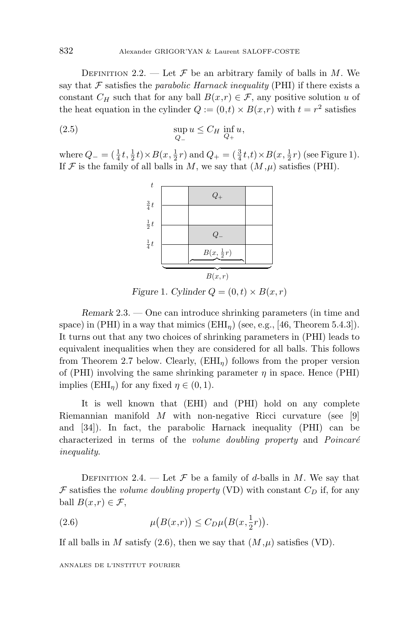DEFINITION 2.2. — Let  $\mathcal F$  be an arbitrary family of balls in *M*. We say that  $\mathcal F$  satisfies the parabolic Harnack inequality (PHI) if there exists a constant  $C_H$  such that for any ball  $B(x,r) \in \mathcal{F}$ , any positive solution *u* of the heat equation in the cylinder  $Q := (0,t) \times B(x,r)$  with  $t = r^2$  satisfies

$$
\sup_{Q_{-}} u \leq C_H \inf_{Q_{+}} u,
$$

where  $Q_{-} = (\frac{1}{4}t, \frac{1}{2}t) \times B(x, \frac{1}{2}r)$  and  $Q_{+} = (\frac{3}{4}t, t) \times B(x, \frac{1}{2}r)$  (see Figure 1). If  $\mathcal F$  is the family of all balls in M, we say that  $(M,\mu)$  satisfies (PHI).



*Figure* 1*. Cylinder*  $Q = (0, t) \times B(x, r)$ 

*Remark* 2.3. — One can introduce shrinking parameters (in time and space) in (PHI) in a way that mimics  $(EHI_n)$  (see, e.g., [46, Theorem 5.4.3]). It turns out that any two choices of shrinking parameters in (PHI) leads to equivalent inequalities when they are considered for all balls. This follows from Theorem 2.7 below. Clearly, (EHI*η*) follows from the proper version of (PHI) involving the same shrinking parameter  $\eta$  in space. Hence (PHI) implies  $(EHI_n)$  for any fixed  $\eta \in (0,1)$ .

It is well known that (EHI) and (PHI) hold on any complete Riemannian manifold *M* with non-negative Ricci curvature (see [9] and [34]). In fact, the parabolic Harnack inequality (PHI) can be characterized in terms of the *volume doubling property* and  $Poincaré$ inequality.

DEFINITION 2.4. — Let  $\mathcal F$  be a family of *d*-balls in *M*. We say that F satisfies the *volume doubling property* (VD) with constant  $C_D$  if, for any ball  $B(x,r) \in \mathcal{F}$ ,

(2.6) 
$$
\mu(B(x,r)) \leq C_D \mu(B(x,\frac{1}{2}r)).
$$

If all balls in *M* satisfy  $(2.6)$ , then we say that  $(M,\mu)$  satisfies (VD).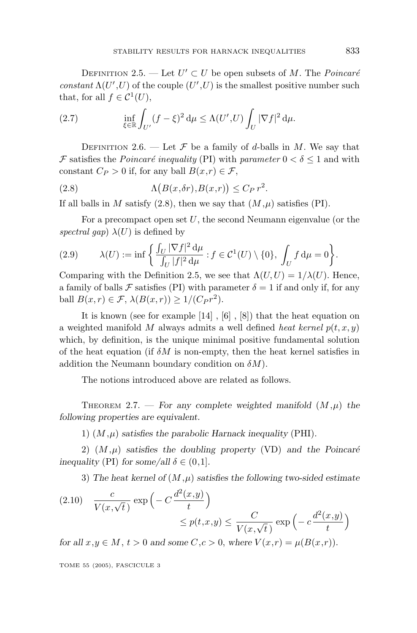DEFINITION 2.5. — Let  $U' \subset U$  be open subsets of M. The *Poincaré* constant  $\Lambda(U',U)$  of the couple  $(U',U)$  is the smallest positive number such that, for all  $f \in \mathcal{C}^1(U)$ ,

(2.7) 
$$
\inf_{\xi \in \mathbb{R}} \int_{U'} (f - \xi)^2 d\mu \le \Lambda(U', U) \int_U |\nabla f|^2 d\mu.
$$

DEFINITION 2.6. — Let  $\mathcal F$  be a family of *d*-balls in *M*. We say that F satisfies the *Poincaré inequality* (PI) with *parameter*  $0 < \delta < 1$  and with constant  $C_P > 0$  if, for any ball  $B(x,r) \in \mathcal{F}$ ,

(2.8) 
$$
\Lambda(B(x,\delta r),B(x,r)) \leq C_P r^2.
$$

If all balls in *M* satisfy  $(2.8)$ , then we say that  $(M,\mu)$  satisfies  $(PI)$ .

For a precompact open set *U*, the second Neumann eigenvalue (or the spectral gap)  $\lambda(U)$  is defined by

(2.9) 
$$
\lambda(U) := \inf \left\{ \frac{\int_U |\nabla f|^2 d\mu}{\int_U |f|^2 d\mu} : f \in \mathcal{C}^1(U) \setminus \{0\}, \int_U f d\mu = 0 \right\}.
$$

Comparing with the Definition 2.5, we see that  $\Lambda(U, U) = 1/\lambda(U)$ . Hence, a family of balls F satisfies (PI) with parameter  $\delta = 1$  if and only if, for any ball  $B(x, r) \in \mathcal{F}$ ,  $\lambda(B(x, r)) \geq 1/(C_P r^2)$ .

It is known (see for example [14] , [6] , [8]) that the heat equation on a weighted manifold M always admits a well defined heat kernel  $p(t, x, y)$ which, by definition, is the unique minimal positive fundamental solution of the heat equation (if  $\delta M$  is non-empty, then the heat kernel satisfies in addition the Neumann boundary condition on *δM*).

The notions introduced above are related as follows.

THEOREM 2.7. — For any complete weighted manifold  $(M,\mu)$  the *following properties are equivalent.*

1)  $(M,\mu)$  *satisfies the parabolic Harnack inequality* (PHI).

2)  $(M,\mu)$  *satisfies the doubling property* (VD) *and the Poincaré inequality* (PI) *for some/all*  $\delta \in (0,1]$ *.* 

3) *The heat kernel of* (*M,µ*) *satisfies the following two-sided estimate*

(2.10) 
$$
\frac{c}{V(x,\sqrt{t})} \exp\left(-C\frac{d^2(x,y)}{t}\right) \le p(t,x,y) \le \frac{C}{V(x,\sqrt{t})} \exp\left(-c\frac{d^2(x,y)}{t}\right)
$$

*for all*  $x, y \in M$ ,  $t > 0$  *and some*  $C, c > 0$ , *where*  $V(x,r) = \mu(B(x,r))$ .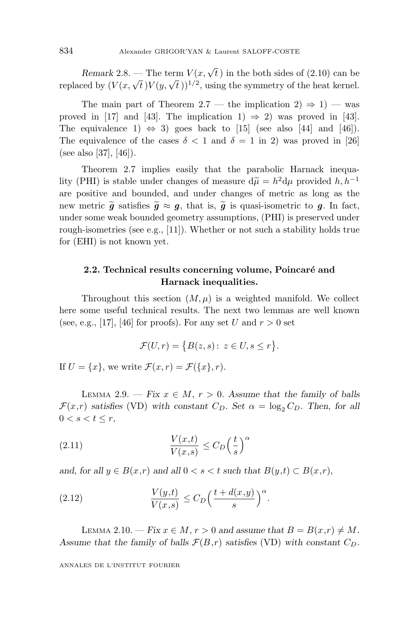*Remark* 2.8. — The term  $V(x, \sqrt{t})$  in the both sides of (2.10) can be replaced by  $(V(x, \sqrt{t})V(y, \sqrt{t}))^{1/2}$ , using the symmetry of the heat kernel.

The main part of Theorem 2.7 — the implication  $2) \Rightarrow 1$ ) — was proved in [17] and [43]. The implication 1)  $\Rightarrow$  2) was proved in [43]. The equivalence 1)  $\Leftrightarrow$  3) goes back to [15] (see also [44] and [46]). The equivalence of the cases  $\delta$  < 1 and  $\delta$  = 1 in 2) was proved in [26] (see also [37], [46]).

Theorem 2.7 implies easily that the parabolic Harnack inequality (PHI) is stable under changes of measure  $d\tilde{\mu} = h^2 d\mu$  provided *h, h*<sup>−1</sup><br>are positive and bounded and under changes of metric as long as the are positive and bounded, and under changes of metric as long as the new metric  $\tilde{g}$  satisfies  $\tilde{g} \approx g$ , that is,  $\tilde{g}$  is quasi-isometric to *g*. In fact, under some weak bounded geometry assumptions (PHI) is preserved under under some weak bounded geometry assumptions, (PHI) is preserved under rough-isometries (see e.g., [11]). Whether or not such a stability holds true for (EHI) is not known yet.

# **2.2. Technical results concerning volume, Poincaré and Harnack inequalities.**

Throughout this section  $(M, \mu)$  is a weighted manifold. We collect here some useful technical results. The next two lemmas are well known (see, e.g., [17], [46] for proofs). For any set *U* and  $r > 0$  set

$$
\mathcal{F}(U,r) = \{B(z,s): z \in U, s \le r\}.
$$

If  $U = \{x\}$ , we write  $\mathcal{F}(x, r) = \mathcal{F}(\{x\}, r)$ .

LEMMA 2.9. — *Fix*  $x \in M$ ,  $r > 0$ . Assume that the family of balls  $\mathcal{F}(x,r)$  *satisfies* (VD) *with constant*  $C_D$ *. Set*  $\alpha = \log_2 C_D$ *. Then, for all*  $0 < s < t \leq r$ ,

(2.11) 
$$
\frac{V(x,t)}{V(x,s)} \leq C_D \left(\frac{t}{s}\right)^{\alpha}
$$

*and*, *for all*  $y \in B(x,r)$  *and all*  $0 < s < t$  *such that*  $B(y,t) \subset B(x,r)$ ,

(2.12) 
$$
\frac{V(y,t)}{V(x,s)} \leq C_D \left(\frac{t+d(x,y)}{s}\right)^{\alpha}.
$$

LEMMA 2.10. — *Fix*  $x \in M$ ,  $r > 0$  and assume that  $B = B(x,r) \neq M$ . Assume that the family of balls  $\mathcal{F}(B,r)$  satisfies (VD) with constant  $C_D$ .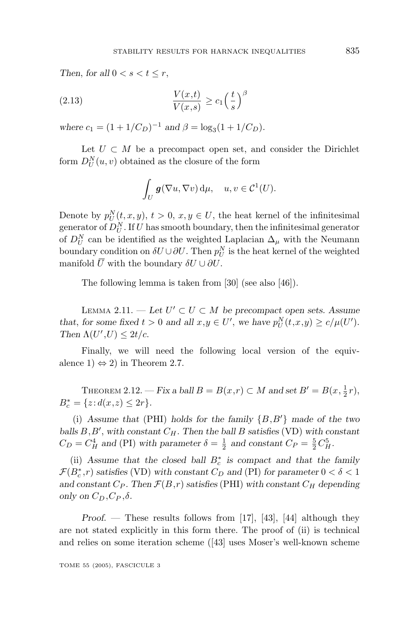*Then, for all*  $0 < s < t < r$ ,

(2.13) 
$$
\frac{V(x,t)}{V(x,s)} \ge c_1 \left(\frac{t}{s}\right)^{\beta}
$$

*where*  $c_1 = (1 + 1/C_D)^{-1}$  *and*  $\beta = \log_3(1 + 1/C_D)$ *.* 

Let  $U \subset M$  be a precompact open set, and consider the Dirichlet form  $D_U^N(u, v)$  obtained as the closure of the form

$$
\int_U \mathbf{g}(\nabla u, \nabla v) \, \mathrm{d}\mu, \quad u, v \in \mathcal{C}^1(U).
$$

Denote by  $p_U^N(t, x, y), t > 0, x, y \in U$ , the heat kernel of the infinitesimal generator of  $D_U^N$ . If *U* has smooth boundary, then the infinitesimal generator of  $D_U^N$  can be identified as the weighted Laplacian  $\Delta_\mu$  with the Neumann boundary condition on  $\delta U \cup \partial U$ . Then  $p_U^N$  is the heat kernel of the weighted manifold  $\overline{U}$  with the boundary  $\delta U \cup \partial U$ .

The following lemma is taken from [30] (see also [46]).

LEMMA 2.11. − Let  $U' ⊂ U ⊂ M$  be precompact open sets. Assume *that, for some fixed*  $t > 0$  *and all*  $x, y \in U'$ , we have  $p_U^N(t, x, y) \ge c/\mu(U')$ . *Then*  $\Lambda(U',U) \leq 2t/c$ .

Finally, we will need the following local version of the equivalence  $1) \Leftrightarrow 2$  in Theorem 2.7.

THEOREM 2.12. — *Fix a ball*  $B = B(x,r) \subset M$  *and set*  $B' = B(x, \frac{1}{2}r)$ ,  $B_c^* = \{z : d(x, z) \leq 2r\}.$ 

(i) *Assume that* (PHI) *holds for the family* {*B,B* } *made of the two balls B,B* , *with constant CH. Then the ball B satisfies* (VD) *with constant*  $C_D = C_H^4$  *and* (PI) *with parameter*  $\delta = \frac{1}{2}$  *and constant*  $C_P = \frac{5}{2}C_H^5$ .

(ii) *Assume that the closed ball B*<sup>∗</sup> *<sup>c</sup> is compact and that the family*  $\mathcal{F}(B_c^*, r)$  *satisfies* (VD) *with constant*  $C_D$  *and* (PI) *for parameter*  $0 < \delta < 1$ and constant  $C_P$ . Then  $\mathcal{F}(B,r)$  satisfies (PHI) with constant  $C_H$  depending *only on*  $C_D$ *,*  $C_P$ *,* $\delta$ *.* 

*Proof*. — These results follows from [17], [43], [44] although they are not stated explicitly in this form there. The proof of (ii) is technical and relies on some iteration scheme ([43] uses Moser's well-known scheme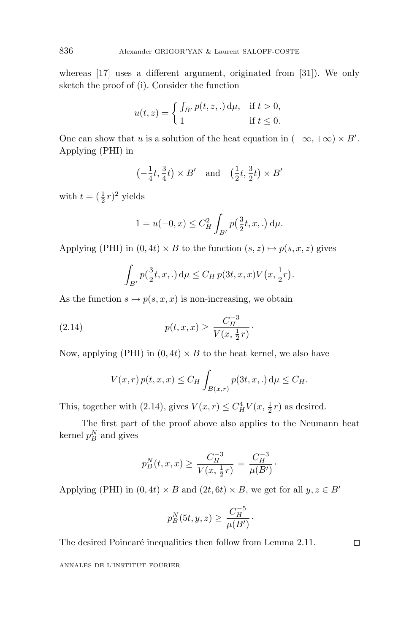whereas [17] uses a different argument, originated from [31]). We only sketch the proof of (i). Consider the function

$$
u(t,z) = \begin{cases} \int_{B'} p(t,z,.) \, \mathrm{d}\mu, & \text{if } t > 0, \\ 1 & \text{if } t \le 0. \end{cases}
$$

One can show that *u* is a solution of the heat equation in  $(-\infty, +\infty) \times B'$ . Applying (PHI) in

$$
\left(-\frac{1}{4}t, \frac{3}{4}t\right) \times B'
$$
 and  $\left(\frac{1}{2}t, \frac{3}{2}t\right) \times B'$ 

with  $t = (\frac{1}{2}r)^2$  yields

$$
1 = u(-0, x) \le C_H^2 \int_{B'} p(\frac{3}{2}t, x, .) d\mu.
$$

Applying (PHI) in  $(0, 4t) \times B$  to the function  $(s, z) \mapsto p(s, x, z)$  gives

$$
\int_{B'} p(\frac{3}{2}t, x, .) d\mu \le C_H p(3t, x, x) V(x, \frac{1}{2}r).
$$

As the function  $s \mapsto p(s, x, x)$  is non-increasing, we obtain

(2.14) 
$$
p(t, x, x) \ge \frac{C_H^{-3}}{V(x, \frac{1}{2}r)}.
$$

Now, applying (PHI) in  $(0, 4t) \times B$  to the heat kernel, we also have

$$
V(x,r) p(t, x, x) \leq C_H \int_{B(x,r)} p(3t, x, .) d\mu \leq C_H.
$$

This, together with (2.14), gives  $V(x,r) \leq C_H^4 V(x, \frac{1}{2}r)$  as desired.

The first part of the proof above also applies to the Neumann heat kernel  $p_B^N$  and gives

$$
p_B^N(t, x, x) \ge \frac{C_H^{-3}}{V(x, \frac{1}{2}r)} = \frac{C_H^{-3}}{\mu(B')}.
$$

Applying (PHI) in  $(0, 4t) \times B$  and  $(2t, 6t) \times B$ , we get for all  $y, z \in B'$ 

$$
p_B^N(5t, y, z) \ge \frac{C_H^{-5}}{\mu(B')}.
$$

The desired Poincaré inequalities then follow from Lemma 2.11.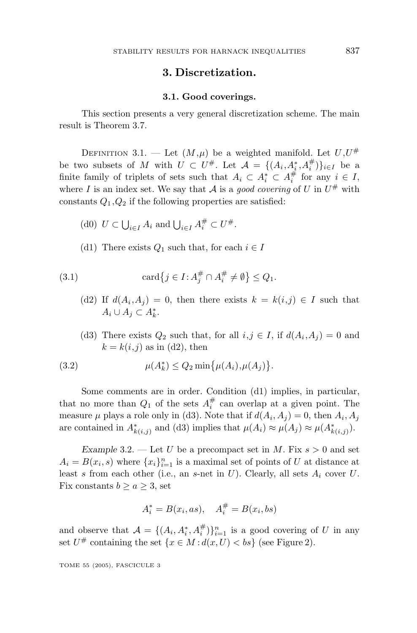## **3. Discretization.**

#### **3.1. Good coverings.**

This section presents a very general discretization scheme. The main result is Theorem 3.7.

DEFINITION 3.1. — Let  $(M,\mu)$  be a weighted manifold. Let  $U,U^{\#}$ be two subsets of *M* with  $U \subset U^{\#}$ . Let  $\mathcal{A} = \{(A_i, A_i^*, A_i^{\#})\}_{i \in I}$  be a finite family of triplets of sets such that  $A_i \subset A_i^* \subset A_i^*$  for any  $i \in I$ , where *I* is an index set. We say that A is a good covering of U in  $U^{\#}$  with constants  $Q_1, Q_2$  if the following properties are satisfied:

- (d0)  $U \subset \bigcup_{i \in I} A_i$  and  $\bigcup_{i \in I} A_i^{\#} \subset U^{\#}.$
- (d1) There exists  $Q_1$  such that, for each  $i \in I$

(3.1) 
$$
\operatorname{card} \{ j \in I : A_j^{\#} \cap A_i^{\#} \neq \emptyset \} \leq Q_1.
$$

- (d2) If  $d(A_i, A_j) = 0$ , then there exists  $k = k(i, j) \in I$  such that  $A_i$  ∪  $A_j$  ⊂  $A_k^*$ .
- (d3) There exists  $Q_2$  such that, for all  $i, j \in I$ , if  $d(A_i, A_j) = 0$  and  $k = k(i, j)$  as in (d2), then

(3.2) 
$$
\mu(A_k^*) \le Q_2 \min \{ \mu(A_i), \mu(A_j) \}.
$$

Some comments are in order. Condition (d1) implies, in particular, that no more than  $Q_1$  of the sets  $A_i^{\#}$  can overlap at a given point. The measure  $\mu$  plays a role only in (d3). Note that if  $d(A_i, A_j) = 0$ , then  $A_i, A_j$ are contained in  $A^*_{k(i,j)}$  and (d3) implies that  $\mu(A_i) \approx \mu(A_j) \approx \mu(A^*_{k(i,j)})$ .

*Example* 3.2. — Let *U* be a precompact set in *M*. Fix  $s > 0$  and set  $A_i = B(x_i, s)$  where  $\{x_i\}_{i=1}^n$  is a maximal set of points of *U* at distance at least *s* from each other (i.e., an *s*-net in *U*). Clearly, all sets *A<sup>i</sup>* cover *U*. Fix constants  $b \ge a \ge 3$ , set

$$
A_i^* = B(x_i, as), \quad A_i^{\#} = B(x_i, bs)
$$

and observe that  $\mathcal{A} = \{(A_i, A_i^*, A_i^*)\}_{i=1}^n$  is a good covering of *U* in any set  $U^{\#}$  containing the set  $\{x \in M : d(x, U) < bs\}$  (see Figure 2).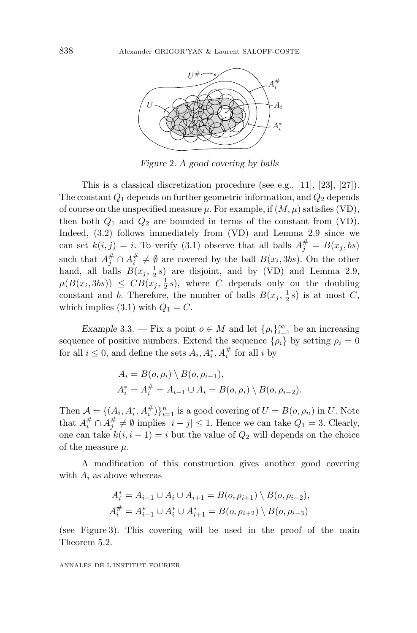

*Figure* 2*. A good covering by balls*

This is a classical discretization procedure (see e.g., [11], [23], [27]). The constant  $Q_1$  depends on further geometric information, and  $Q_2$  depends of course on the unspecified measure  $\mu$ . For example, if  $(M, \mu)$  satisfies (VD), then both  $Q_1$  and  $Q_2$  are bounded in terms of the constant from (VD). Indeed, (3.2) follows immediately from (VD) and Lemma 2.9 since we can set  $k(i, j) = i$ . To verify (3.1) observe that all balls  $A_j^{\#} = B(x_j, bs)$ such that  $A_j^{\#} \cap A_i^{\#} \neq \emptyset$  are covered by the ball  $B(x_i, 3bs)$ . On the other hand, all balls  $B(x_j, \frac{1}{2}s)$  are disjoint, and by (VD) and Lemma 2.9,  $\mu(B(x_i, 3bs)) \leq CB(x_j, \frac{1}{2}s)$ , where *C* depends only on the doubling constant and *b*. Therefore, the number of balls  $B(x_j, \frac{1}{2}s)$  is at most *C*, which implies (3.1) with  $Q_1 = C$ .

*Example* 3.3. — Fix a point  $o \in M$  and let  $\{\rho_i\}_{i=1}^{\infty}$  be an increasing sequence of positive numbers. Extend the sequence  $\{\rho_i\}$  by setting  $\rho_i = 0$ for all  $i \leq 0$ , and define the sets  $A_i, A_i^*, A_i^{\#}$  for all *i* by

$$
A_i = B(o, \rho_i) \setminus B(o, \rho_{i-1}),
$$
  
\n
$$
A_i^* = A_i^{\#} = A_{i-1} \cup A_i = B(o, \rho_i) \setminus B(o, \rho_{i-2}).
$$

Then  $\mathcal{A} = \{ (A_i, A_i^*, A_i^*) \}_{i=1}^n$  is a good covering of  $U = B(o, \rho_n)$  in *U*. Note that  $A_i^{\#} \cap A_j^{\#} \neq \emptyset$  implies  $|i - j| \leq 1$ . Hence we can take  $Q_1 = 3$ . Clearly, one can take  $k(i, i - 1) = i$  but the value of  $Q_2$  will depends on the choice of the measure *µ*.

A modification of this construction gives another good covering with  $A_i$  as above whereas

$$
A_i^* = A_{i-1} \cup A_i \cup A_{i+1} = B(o, \rho_{i+1}) \setminus B(o, \rho_{i-2}),
$$
  

$$
A_i^{\#} = A_{i-1}^* \cup A_i^* \cup A_{i+1}^* = B(o, \rho_{i+2}) \setminus B(o, \rho_{i-3})
$$

(see Figure 3). This covering will be used in the proof of the main Theorem 5.2.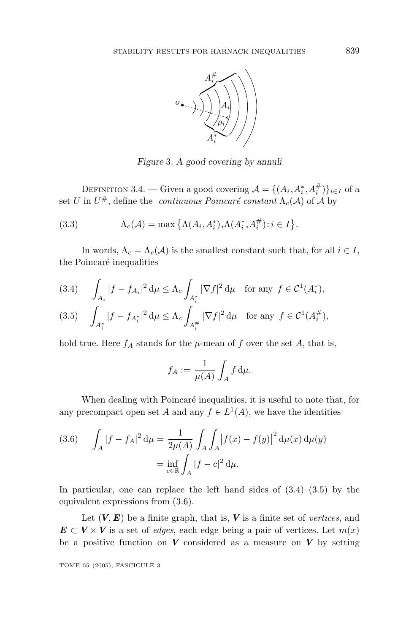

*Figure* 3*. A good covering by annuli*

DEFINITION 3.4. — Given a good covering  $\mathcal{A} = \{(A_i, A_i^*, A_i^{\#})\}_{i \in I}$  of a set *U* in  $U^{\#}$ , define the *continuous Poincaré constant*  $\Lambda_c(\mathcal{A})$  of  $\mathcal{A}$  by

(3.3) 
$$
\Lambda_c(\mathcal{A}) = \max\left\{\Lambda(A_i, A_i^*), \Lambda(A_i^*, A_i^{\#}) : i \in I\right\}.
$$

In words,  $\Lambda_c = \Lambda_c(\mathcal{A})$  is the smallest constant such that, for all  $i \in I$ , the Poincaré inequalities

$$
(3.4) \qquad \int_{A_i} |f - f_{A_i}|^2 \, \mathrm{d}\mu \le \Lambda_c \int_{A_i^*} |\nabla f|^2 \, \mathrm{d}\mu \quad \text{for any } f \in \mathcal{C}^1(A_i^*),
$$

$$
(3.5) \quad \int_{A_i^*} |f - f_{A_i^*}|^2 \, \mathrm{d}\mu \le \Lambda_c \int_{A_i^{\#}} |\nabla f|^2 \, \mathrm{d}\mu \quad \text{for any } f \in \mathcal{C}^1(A_i^{\#}),
$$

hold true. Here  $f_A$  stands for the  $\mu$ -mean of  $f$  over the set  $A$ , that is,

$$
f_A := \frac{1}{\mu(A)} \int_A f \, \mathrm{d}\mu.
$$

When dealing with Poincaré inequalities, it is useful to note that, for any precompact open set *A* and any  $f \in L^1(A)$ , we have the identities

(3.6) 
$$
\int_{A} |f - f_{A}|^{2} d\mu = \frac{1}{2\mu(A)} \int_{A} \int_{A} |f(x) - f(y)|^{2} d\mu(x) d\mu(y)
$$

$$
= \inf_{c \in \mathbb{R}} \int_{A} |f - c|^{2} d\mu.
$$

In particular, one can replace the left hand sides of  $(3.4)$ – $(3.5)$  by the equivalent expressions from (3.6).

Let  $(V, E)$  be a finite graph, that is,  $V$  is a finite set of vertices, and  $E \subset V \times V$  is a set of *edges*, each edge being a pair of vertices. Let  $m(x)$ be a positive function on  $V$  considered as a measure on  $V$  by setting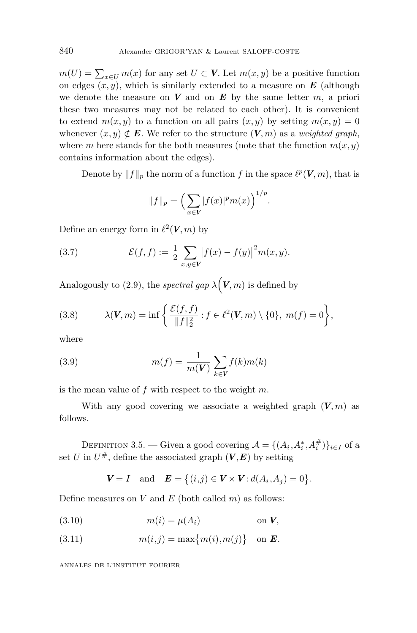$m(U) = \sum_{x \in U} m(x)$  for any set  $U \subset V$ . Let  $m(x, y)$  be a positive function on edges  $(x, y)$ , which is similarly extended to a measure on  $\boldsymbol{E}$  (although we denote the measure on  $V$  and on  $E$  by the same letter  $m$ , a priori these two measures may not be related to each other). It is convenient to extend  $m(x, y)$  to a function on all pairs  $(x, y)$  by setting  $m(x, y) = 0$ whenever  $(x, y) \notin E$ . We refer to the structure  $(V, m)$  as a *weighted graph*, where *m* here stands for the both measures (note that the function  $m(x, y)$ ) contains information about the edges).

Denote by  $||f||_p$  the norm of a function *f* in the space  $\ell^p(\mathbf{V}, m)$ , that is

$$
||f||_p = \left(\sum_{x \in V} |f(x)|^p m(x)\right)^{1/p}.
$$

Define an energy form in  $\ell^2(\mathbf{V}, m)$  by

(3.7) 
$$
\mathcal{E}(f, f) := \frac{1}{2} \sum_{x, y \in V} |f(x) - f(y)|^2 m(x, y).
$$

Analogously to (2.9), the *spectral gap*  $\lambda(\mathbf{V}, m)$  is defined by

(3.8) 
$$
\lambda(\mathbf{V}, m) = \inf \left\{ \frac{\mathcal{E}(f, f)}{\|f\|_2^2} : f \in \ell^2(\mathbf{V}, m) \setminus \{0\}, m(f) = 0 \right\},\
$$

where

(3.9) 
$$
m(f) = \frac{1}{m(V)} \sum_{k \in V} f(k)m(k)
$$

is the mean value of *f* with respect to the weight *m*.

With any good covering we associate a weighted graph  $(V, m)$  as follows.

DEFINITION 3.5. — Given a good covering  $\mathcal{A} = \{(A_i, A_i^*, A_i^{\#})\}_{i \in I}$  of a set *U* in  $U^{\#}$ , define the associated graph  $(V, E)$  by setting

$$
V = I
$$
 and  $E = \{(i,j) \in V \times V : d(A_i, A_j) = 0\}.$ 

Define measures on *V* and *E* (both called *m*) as follows:

$$
(3.10) \t\t m(i) = \mu(A_i) \t\t \text{on } V,
$$

(3.11) 
$$
m(i,j) = \max\{m(i),m(j)\} \text{ on } E.
$$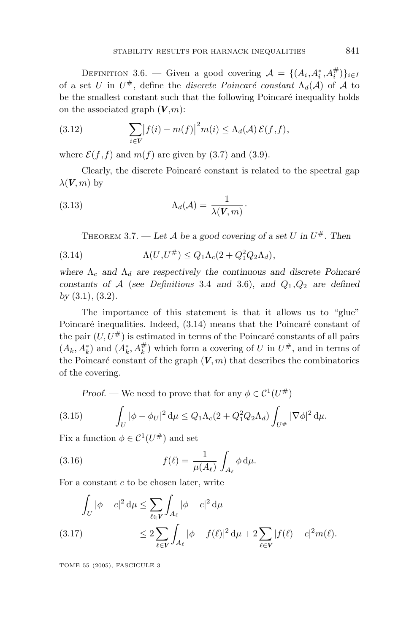DEFINITION 3.6. — Given a good covering  $\mathcal{A} = \{(A_i, A_i^*, A_i^{\#})\}_{i \in I}$ of a set *U* in  $U^{\#}$ , define the *discrete Poincaré constant*  $\Lambda_d(\mathcal{A})$  of  $\mathcal A$  to be the smallest constant such that the following Poincaré inequality holds on the associated graph  $(V,m)$ :

(3.12) 
$$
\sum_{i \in V} |f(i) - m(f)|^2 m(i) \leq \Lambda_d(\mathcal{A}) \mathcal{E}(f, f),
$$

where  $\mathcal{E}(f, f)$  and  $m(f)$  are given by (3.7) and (3.9).

Clearly, the discrete Poincaré constant is related to the spectral gap  $λ$ (*V, m*) by

(3.13) 
$$
\Lambda_d(\mathcal{A}) = \frac{1}{\lambda(\mathbf{V}, m)}.
$$

THEOREM 3.7. — Let A be a good covering of a set U in  $U^{\#}$ . Then

(3.14) 
$$
\Lambda(U, U^{\#}) \leq Q_1 \Lambda_c (2 + Q_1^2 Q_2 \Lambda_d),
$$

where  $\Lambda_c$  and  $\Lambda_d$  are respectively the continuous and discrete Poincaré *constants of*  $A$  (*see Definitions* 3.4 *and* 3.6), *and*  $Q_1$ ,  $Q_2$  *are defined by* (3*.*1)*,* (3*.*2)*.*

The importance of this statement is that it allows us to "glue" Poincaré inequalities. Indeed,  $(3.14)$  means that the Poincaré constant of the pair  $(U, U^{\#})$  is estimated in terms of the Poincaré constants of all pairs  $(A_k, A_k^*)$  and  $(A_k^*, A_k^{\#})$  which form a covering of *U* in  $U^{\#}$ , and in terms of the Poincaré constant of the graph  $(V, m)$  that describes the combinatorics of the covering.

*Proof.* — We need to prove that for any  $\phi \in C^1(U^{\#})$ 

(3.15) 
$$
\int_{U} |\phi - \phi_{U}|^{2} d\mu \leq Q_{1} \Lambda_{c} (2 + Q_{1}^{2} Q_{2} \Lambda_{d}) \int_{U^{\#}} |\nabla \phi|^{2} d\mu.
$$

Fix a function  $\phi \in C^1(U^{\#})$  and set

(3.16) 
$$
f(\ell) = \frac{1}{\mu(A_{\ell})} \int_{A_{\ell}} \phi \, \mathrm{d}\mu.
$$

For a constant *c* to be chosen later, write

$$
\int_{U} |\phi - c|^2 d\mu \leq \sum_{\ell \in V} \int_{A_{\ell}} |\phi - c|^2 d\mu
$$
\n(3.17)\n
$$
\leq 2 \sum_{\ell \in V} \int_{A_{\ell}} |\phi - f(\ell)|^2 d\mu + 2 \sum_{\ell \in V} |f(\ell) - c|^2 m(\ell).
$$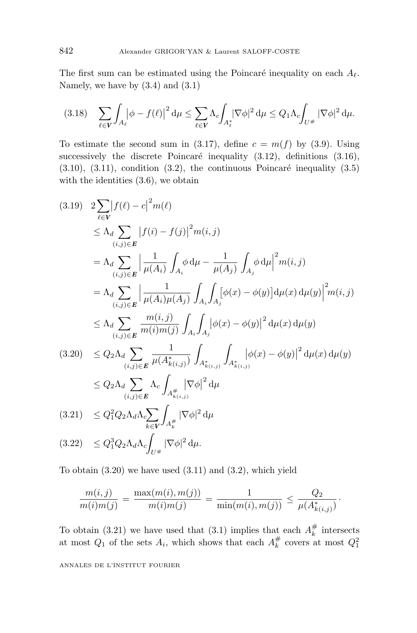The first sum can be estimated using the Poincaré inequality on each  $A_{\ell}$ . Namely, we have by  $(3.4)$  and  $(3.1)$ 

$$
(3.18)\quad \sum_{\ell\in V}\int_{A_{\ell}}\left|\phi-f(\ell)\right|^2\mathrm{d}\mu\leq \sum_{\ell\in V}\Lambda_c\int_{A_{\ell}^*}\left|\nabla\phi\right|^2\mathrm{d}\mu\leq Q_1\Lambda_c\int_{U^{\#}}\left|\nabla\phi\right|^2\mathrm{d}\mu.
$$

To estimate the second sum in (3.17), define  $c = m(f)$  by (3.9). Using successively the discrete Poincaré inequality  $(3.12)$ , definitions  $(3.16)$ ,  $(3.10)$ ,  $(3.11)$ , condition  $(3.2)$ , the continuous Poincaré inequality  $(3.5)$ with the identities  $(3.6)$ , we obtain

$$
(3.19) \quad 2 \sum_{\ell \in V} |f(\ell) - c|^2 m(\ell)
$$
\n
$$
\leq \Lambda_d \sum_{(i,j) \in E} |f(i) - f(j)|^2 m(i,j)
$$
\n
$$
= \Lambda_d \sum_{(i,j) \in E} \left| \frac{1}{\mu(A_i)} \int_{A_i} \phi \, d\mu - \frac{1}{\mu(A_j)} \int_{A_j} \phi \, d\mu \right|^2 m(i,j)
$$
\n
$$
= \Lambda_d \sum_{(i,j) \in E} \left| \frac{1}{\mu(A_i)\mu(A_j)} \int_{A_i} \int_{A_j} [\phi(x) - \phi(y)] \, d\mu(x) \, d\mu(y) \right|^2 m(i,j)
$$
\n
$$
\leq \Lambda_d \sum_{(i,j) \in E} \frac{m(i,j)}{m(i)m(j)} \int_{A_i} \int_{A_j} |\phi(x) - \phi(y)|^2 \, d\mu(x) \, d\mu(y)
$$
\n
$$
(3.20) \quad \leq Q_2 \Lambda_d \sum_{(i,j) \in E} \frac{1}{\mu(A_{k(i,j)}^*)} \int_{A_{k(i,j)}^*} \int_{A_{k(i,j)}^*} |\phi(x) - \phi(y)|^2 \, d\mu(x) \, d\mu(y)
$$
\n
$$
\leq Q_2 \Lambda_d \sum_{(i,j) \in E} \Lambda_c \int_{A_{k(i,j)}^*} |\nabla \phi|^2 \, d\mu
$$
\n
$$
(3.21) \quad \leq Q_1^2 Q_2 \Lambda_d \Lambda_c \sum_{k \in V} \int_{A_k^*} |\nabla \phi|^2 \, d\mu
$$
\n
$$
(3.22) \quad \leq Q_1^3 Q_2 \Lambda_d \Lambda_c \int_{U^*} |\nabla \phi|^2 \, d\mu.
$$

To obtain  $(3.20)$  we have used  $(3.11)$  and  $(3.2)$ , which yield

$$
\frac{m(i,j)}{m(i)m(j)} = \frac{\max(m(i),m(j))}{m(i)m(j)} = \frac{1}{\min(m(i),m(j))} \leq \frac{Q_2}{\mu(A_{k(i,j)}^*)}.
$$

To obtain (3.21) we have used that (3.1) implies that each  $A_k^{\#}$  intersects at most  $Q_1$  of the sets  $A_i$ , which shows that each  $A_k^{\#}$  covers at most  $Q_1^2$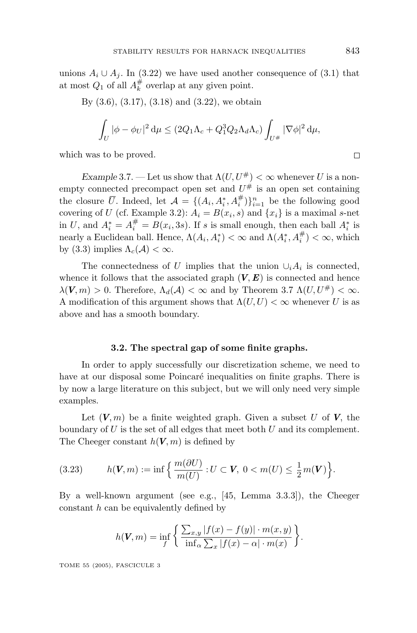unions  $A_i \cup A_j$ . In (3.22) we have used another consequence of (3.1) that at most  $Q_1$  of all  $A_k^{\#}$  overlap at any given point.

By (3.6), (3.17), (3.18) and (3.22), we obtain

$$
\int_U |\phi - \phi_U|^2 d\mu \le (2Q_1 \Lambda_c + Q_1^3 Q_2 \Lambda_d \Lambda_c) \int_{U^{\#}} |\nabla \phi|^2 d\mu,
$$

which was to be proved.

*Example* 3.7. — Let us show that  $\Lambda(U, U^{\#}) < \infty$  whenever *U* is a nonempty connected precompact open set and  $U^{\#}$  is an open set containing the closure  $\overline{U}$ . Indeed, let  $\mathcal{A} = \{(A_i, A_i^*, A_i^*)\}_{i=1}^n$  be the following good covering of *U* (cf. Example 3.2):  $A_i = B(x_i, s)$  and  $\{x_i\}$  is a maximal *s*-net in *U*, and  $A_i^* = A_i^{\#} = B(x_i, 3s)$ . If *s* is small enough, then each ball  $A_i^*$  is nearly a Euclidean ball. Hence,  $\Lambda(A_i, A_i^*) < \infty$  and  $\Lambda(A_i^*, A_i^*) < \infty$ , which by (3.3) implies  $\Lambda_c(\mathcal{A}) < \infty$ .

The connectedness of *U* implies that the union  $\cup_i A_i$  is connected, whence it follows that the associated graph  $(V, E)$  is connected and hence  $\lambda$ (*V, m*) > 0. Therefore,  $\Lambda_d(\mathcal{A}) < \infty$  and by Theorem 3.7  $\Lambda(U, U^{\#}) < \infty$ . A modification of this argument shows that  $\Lambda(U, U) < \infty$  whenever *U* is as above and has a smooth boundary.

#### **3.2. The spectral gap of some finite graphs.**

In order to apply successfully our discretization scheme, we need to have at our disposal some Poincaré inequalities on finite graphs. There is by now a large literature on this subject, but we will only need very simple examples.

Let  $(V, m)$  be a finite weighted graph. Given a subset *U* of **V**, the boundary of *U* is the set of all edges that meet both *U* and its complement. The Cheeger constant  $h(V, m)$  is defined by

(3.23) 
$$
h(\mathbf{V},m):=\inf\Big\{\frac{m(\partial U)}{m(U)}:U\subset\mathbf{V},\ 0
$$

By a well-known argument (see e.g., [45, Lemma 3.3.3]), the Cheeger constant *h* can be equivalently defined by

$$
h(\mathbf{V}, m) = \inf_{f} \left\{ \frac{\sum_{x,y} |f(x) - f(y)| \cdot m(x,y)}{\inf_{\alpha} \sum_{x} |f(x) - \alpha| \cdot m(x)} \right\}.
$$

TOME 55 (2005), FASCICULE 3

 $\Box$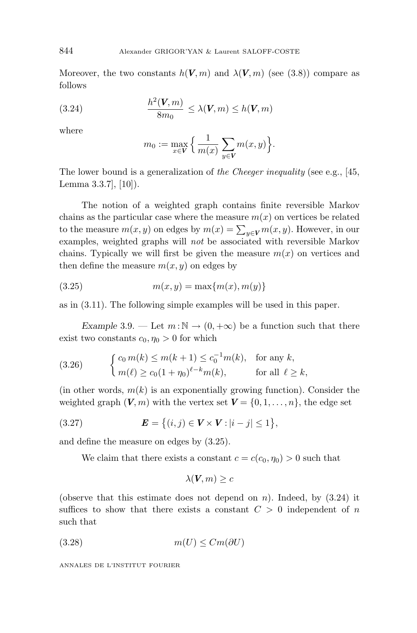Moreover, the two constants  $h(V, m)$  and  $\lambda(V, m)$  (see (3.8)) compare as follows

(3.24) 
$$
\frac{h^2(\mathbf{V}, m)}{8m_0} \leq \lambda(\mathbf{V}, m) \leq h(\mathbf{V}, m)
$$

where

$$
m_0 := \max_{x \in V} \left\{ \frac{1}{m(x)} \sum_{y \in V} m(x, y) \right\}.
$$

The lower bound is a generalization of the Cheeger inequality (see e.g., [45,] Lemma 3.3.7], [10]).

The notion of a weighted graph contains finite reversible Markov chains as the particular case where the measure  $m(x)$  on vertices be related to the measure  $m(x, y)$  on edges by  $m(x) = \sum_{y \in V} m(x, y)$ . However, in our examples, weighted graphs will not be associated with reversible Markov chains. Typically we will first be given the measure  $m(x)$  on vertices and then define the measure  $m(x, y)$  on edges by

(3.25) 
$$
m(x, y) = \max\{m(x), m(y)\}\
$$

as in (3.11). The following simple examples will be used in this paper.

*Example* 3.9. — Let  $m : \mathbb{N} \to (0, +\infty)$  be a function such that there exist two constants  $c_0, \eta_0 > 0$  for which

(3.26) 
$$
\begin{cases} c_0 m(k) \le m(k+1) \le c_0^{-1} m(k), & \text{for any } k, \\ m(\ell) \ge c_0 (1 + \eta_0)^{\ell - k} m(k), & \text{for all } \ell \ge k, \end{cases}
$$

(in other words,  $m(k)$  is an exponentially growing function). Consider the weighted graph  $(V, m)$  with the vertex set  $V = \{0, 1, \ldots, n\}$ , the edge set

(3.27) 
$$
\bm{E} = \{(i, j) \in \bm{V} \times \bm{V} : |i - j| \leq 1\},\
$$

and define the measure on edges by (3.25).

We claim that there exists a constant  $c = c(c_0, \eta_0) > 0$  such that

$$
\lambda(\boldsymbol{V},m)\geq c
$$

(observe that this estimate does not depend on *n*). Indeed, by (3.24) it suffices to show that there exists a constant  $C > 0$  independent of *n* such that

$$
(3.28)\qquad \qquad m(U) \leq Cm(\partial U)
$$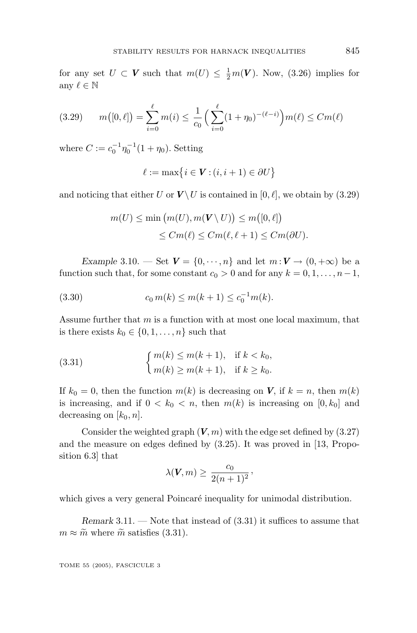for any set  $U \subset V$  such that  $m(U) \leq \frac{1}{2}m(V)$ . Now, (3.26) implies for any  $\ell \in \mathbb{N}$ 

$$
(3.29) \qquad m([0,\ell]) = \sum_{i=0}^{\ell} m(i) \le \frac{1}{c_0} \left( \sum_{i=0}^{\ell} (1+\eta_0)^{-(\ell-i)} \right) m(\ell) \le Cm(\ell)
$$

where  $C := c_0^{-1} \eta_0^{-1} (1 + \eta_0)$ . Setting

$$
\ell := \max\{i \in \mathbf{V} : (i, i + 1) \in \partial U\}
$$

and noticing that either *U* or  $V \setminus U$  is contained in [0,  $\ell$ ], we obtain by (3.29)

$$
m(U) \le \min(m(U), m(V \setminus U)) \le m([0, \ell])
$$
  

$$
\le Cm(\ell) \le Cm(\ell, \ell + 1) \le Cm(\partial U).
$$

*Example* 3.10. — Set  $V = \{0, \dots, n\}$  and let  $m: V \to (0, +\infty)$  be a function such that, for some constant  $c_0 > 0$  and for any  $k = 0, 1, \ldots, n-1$ ,

(3.30) 
$$
c_0 m(k) \le m(k+1) \le c_0^{-1} m(k).
$$

Assume further that *m* is a function with at most one local maximum, that is there exists  $k_0 \in \{0, 1, \ldots, n\}$  such that

(3.31) 
$$
\begin{cases} m(k) \le m(k+1), & \text{if } k < k_0, \\ m(k) \ge m(k+1), & \text{if } k \ge k_0. \end{cases}
$$

If  $k_0 = 0$ , then the function  $m(k)$  is decreasing on *V*, if  $k = n$ , then  $m(k)$ is increasing, and if  $0 < k_0 < n$ , then  $m(k)$  is increasing on  $[0, k_0]$  and decreasing on  $[k_0, n]$ .

Consider the weighted graph  $(V, m)$  with the edge set defined by  $(3.27)$ and the measure on edges defined by (3.25). It was proved in [13, Proposition 6.3] that

$$
\lambda(\boldsymbol{V},m) \geq \frac{c_0}{2(n+1)^2},
$$

which gives a very general Poincaré inequality for unimodal distribution.

*Remark* 3.11. — Note that instead of (3.31) it suffices to assume that  $m \approx \tilde{m}$  where  $\tilde{m}$  satisfies (3.31).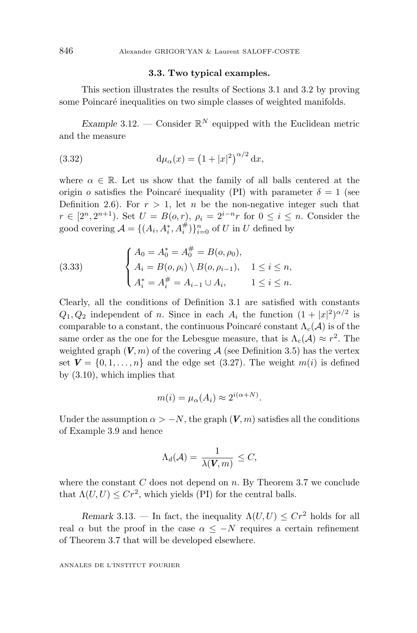# **3.3. Two typical examples.**

This section illustrates the results of Sections 3.1 and 3.2 by proving some Poincaré inequalities on two simple classes of weighted manifolds.

*Example* 3.12. — Consider  $\mathbb{R}^N$  equipped with the Euclidean metric and the measure

(3.32) 
$$
d\mu_{\alpha}(x) = (1+|x|^2)^{\alpha/2} dx,
$$

where  $\alpha \in \mathbb{R}$ . Let us show that the family of all balls centered at the origin *o* satisfies the Poincaré inequality (PI) with parameter  $\delta = 1$  (see Definition 2.6). For  $r > 1$ , let *n* be the non-negative integer such that *r* ∈ [2<sup>*n*</sup>, 2<sup>*n*+1</sup>). Set *U* = *B*(*o, r*),  $\rho_i = 2^{i-n}r$  for  $0 \le i \le n$ . Consider the good covering  $\mathcal{A} = \{(A_i, A_i^*, A_i^*)\}_{i=0}^n$  of *U* in *U* defined by

(3.33) 
$$
\begin{cases} A_0 = A_0^* = A_0^\# = B(o, \rho_0), \\ A_i = B(o, \rho_i) \setminus B(o, \rho_{i-1}), & 1 \le i \le n, \\ A_i^* = A_i^\# = A_{i-1} \cup A_i, & 1 \le i \le n. \end{cases}
$$

Clearly, all the conditions of Definition 3.1 are satisfied with constants  $Q_1, Q_2$  independent of *n*. Since in each  $A_i$  the function  $(1 + |x|^2)^{\alpha/2}$  is comparable to a constant, the continuous Poincaré constant  $\Lambda_c(\mathcal{A})$  is of the same order as the one for the Lebesgue measure, that is  $\Lambda_c(\mathcal{A}) \approx r^2$ . The weighted graph  $(V, m)$  of the covering A (see Definition 3.5) has the vertex set  $V = \{0, 1, \ldots, n\}$  and the edge set  $(3.27)$ . The weight  $m(i)$  is defined by (3.10), which implies that

$$
m(i) = \mu_{\alpha}(A_i) \approx 2^{i(\alpha + N)}.
$$

Under the assumption  $\alpha > -N$ , the graph  $(V, m)$  satisfies all the conditions of Example 3.9 and hence

$$
\Lambda_d(\mathcal{A}) = \frac{1}{\lambda(\mathbf{V}, m)} \leq C,
$$

where the constant *C* does not depend on *n*. By Theorem 3.7 we conclude that  $\Lambda(U, U) \leq C r^2$ , which yields (PI) for the central balls.

*Remark* 3.13. — In fact, the inequality  $\Lambda(U, U) \leq C r^2$  holds for all real  $\alpha$  but the proof in the case  $\alpha \leq -N$  requires a certain refinement of Theorem 3.7 that will be developed elsewhere.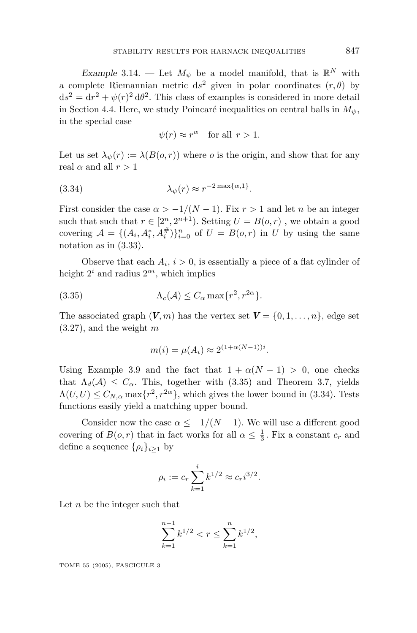*Example* 3.14. — Let  $M_{\psi}$  be a model manifold, that is  $\mathbb{R}^{N}$  with a complete Riemannian metric  $ds^2$  given in polar coordinates  $(r, \theta)$  by  $ds^{2} = dr^{2} + \psi(r)^{2} d\theta^{2}$ . This class of examples is considered in more detail in Section 4.4. Here, we study Poincaré inequalities on central balls in  $M_{\psi}$ , in the special case

$$
\psi(r) \approx r^{\alpha} \quad \text{for all } r > 1.
$$

Let us set  $\lambda_{\psi}(r) := \lambda(B(o, r))$  where *o* is the origin, and show that for any real  $\alpha$  and all  $r > 1$ 

(3.34) 
$$
\lambda_{\psi}(r) \approx r^{-2\max\{\alpha,1\}}.
$$

First consider the case  $\alpha > -1/(N-1)$ . Fix  $r > 1$  and let *n* be an integer such that such that  $r \in [2^n, 2^{n+1})$ . Setting  $U = B(o, r)$ , we obtain a good covering  $\mathcal{A} = \{(A_i, A_i^*, A_i^*)\}_{i=0}^n$  of  $U = B(o, r)$  in *U* by using the same notation as in (3.33).

Observe that each  $A_i$ ,  $i > 0$ , is essentially a piece of a flat cylinder of height  $2^i$  and radius  $2^{\alpha i}$ , which implies

(3.35) 
$$
\Lambda_c(\mathcal{A}) \leq C_\alpha \max\{r^2, r^{2\alpha}\}.
$$

The associated graph  $(V, m)$  has the vertex set  $V = \{0, 1, \ldots, n\}$ , edge set (3.27), and the weight *m*

$$
m(i) = \mu(A_i) \approx 2^{(1+\alpha(N-1))i}.
$$

Using Example 3.9 and the fact that  $1 + \alpha(N - 1) > 0$ , one checks that  $\Lambda_d(\mathcal{A}) \leq C_\alpha$ . This, together with (3.35) and Theorem 3.7, yields  $\Lambda(U, U) \leq C_{N, \alpha} \max\{r^2, r^{2\alpha}\}\$ , which gives the lower bound in (3.34). Tests functions easily yield a matching upper bound.

Consider now the case  $\alpha \leq -1/(N-1)$ . We will use a different good covering of  $B(o,r)$  that in fact works for all  $\alpha \leq \frac{1}{3}$ . Fix a constant  $c_r$  and define a sequence  $\{\rho_i\}_{i>1}$  by

$$
\rho_i := c_r \sum_{k=1}^i k^{1/2} \approx c_r i^{3/2}.
$$

Let *n* be the integer such that

$$
\sum_{k=1}^{n-1} k^{1/2} < r \le \sum_{k=1}^n k^{1/2},
$$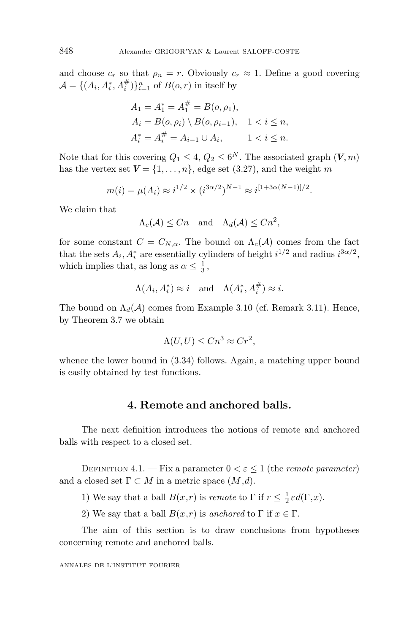and choose  $c_r$  so that  $\rho_n = r$ . Obviously  $c_r \approx 1$ . Define a good covering  $\mathcal{A} = \{ (A_i, A_i^*, A_i^{\#}) \}_{i=1}^n$  of  $B(o, r)$  in itself by

$$
A_1 = A_1^* = A_1^{\#} = B(o, \rho_1),
$$
  
\n
$$
A_i = B(o, \rho_i) \setminus B(o, \rho_{i-1}), \quad 1 < i \le n,
$$
  
\n
$$
A_i^* = A_i^{\#} = A_{i-1} \cup A_i, \qquad 1 < i \le n.
$$

Note that for this covering  $Q_1 \leq 4$ ,  $Q_2 \leq 6^N$ . The associated graph  $(V, m)$ has the vertex set  $V = \{1, \ldots, n\}$ , edge set (3.27), and the weight *m* 

$$
m(i) = \mu(A_i) \approx i^{1/2} \times (i^{3\alpha/2})^{N-1} \approx i^{[1+3\alpha(N-1)]/2}.
$$

We claim that

$$
\Lambda_c(\mathcal{A}) \le Cn \quad \text{and} \quad \Lambda_d(\mathcal{A}) \le Cn^2,
$$

for some constant  $C = C_{N,\alpha}$ . The bound on  $\Lambda_c(\mathcal{A})$  comes from the fact that the sets  $A_i$ ,  $A_i^*$  are essentially cylinders of height  $i^{1/2}$  and radius  $i^{3\alpha/2}$ , which implies that, as long as  $\alpha \leq \frac{1}{3}$ ,

$$
\Lambda(A_i, A_i^*) \approx i \quad \text{and} \quad \Lambda(A_i^*, A_i^{\#}) \approx i.
$$

The bound on  $\Lambda_d(\mathcal{A})$  comes from Example 3.10 (cf. Remark 3.11). Hence, by Theorem 3.7 we obtain

$$
\Lambda(U, U) \le Cn^3 \approx Cr^2,
$$

whence the lower bound in (3.34) follows. Again, a matching upper bound is easily obtained by test functions.

## **4. Remote and anchored balls.**

The next definition introduces the notions of remote and anchored balls with respect to a closed set.

DEFINITION 4.1. — Fix a parameter  $0 < \varepsilon \leq 1$  (the *remote parameter*) and a closed set  $\Gamma \subset M$  in a metric space  $(M,d)$ .

1) We say that a ball  $B(x,r)$  is *remote* to  $\Gamma$  if  $r \leq \frac{1}{2} \varepsilon d(\Gamma,x)$ .

2) We say that a ball  $B(x,r)$  is anchored to  $\Gamma$  if  $x \in \Gamma$ .

The aim of this section is to draw conclusions from hypotheses concerning remote and anchored balls.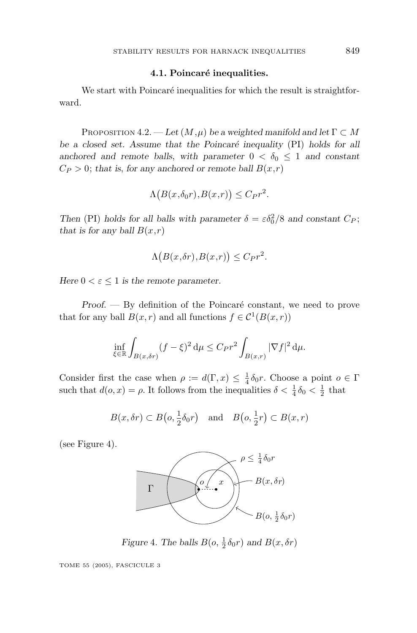#### **4.1. Poincaré inequalities.**

We start with Poincaré inequalities for which the result is straightforward.

PROPOSITION 4.2. — Let  $(M, \mu)$  be a weighted manifold and let  $\Gamma \subset M$ be a closed set. Assume that the Poincaré inequality (PI) holds for all anchored and remote balls, with parameter  $0 < \delta_0 \leq 1$  and constant  $C_P > 0$ ; *that is, for any anchored or remote ball*  $B(x,r)$ 

$$
\Lambda\big(B(x,\delta_0r),B(x,r)\big)\leq C_Pr^2.
$$

*Then* (PI) *holds for all balls with parameter*  $\delta = \varepsilon \delta_0^2/8$  *and constant*  $C_P$ ; *that is for any ball*  $B(x,r)$ 

$$
\Lambda\big(B(x,\delta r),B(x,r)\big)\leq C_{P}r^{2}.
$$

*Here*  $0 < \varepsilon \leq 1$  *is the remote parameter.* 

*Proof.* — By definition of the Poincaré constant, we need to prove that for any ball  $B(x, r)$  and all functions  $f \in C^1(B(x, r))$ 

$$
\inf_{\xi \in \mathbb{R}} \int_{B(x,\delta r)} (f - \xi)^2 d\mu \le C_P r^2 \int_{B(x,r)} |\nabla f|^2 d\mu.
$$

Consider first the case when  $\rho := d(\Gamma, x) \leq \frac{1}{4} \delta_0 r$ . Choose a point  $o \in \Gamma$ such that  $d(o, x) = \rho$ . It follows from the inequalities  $\delta < \frac{1}{4}\delta_0 < \frac{1}{2}$  that

$$
B(x, \delta r) \subset B\left(o, \frac{1}{2}\delta_0 r\right)
$$
 and  $B\left(o, \frac{1}{2}r\right) \subset B(x, r)$ 

(see Figure 4).



*Figure* 4*.* The balls  $B(o, \frac{1}{2} \delta_0 r)$  and  $B(x, \delta r)$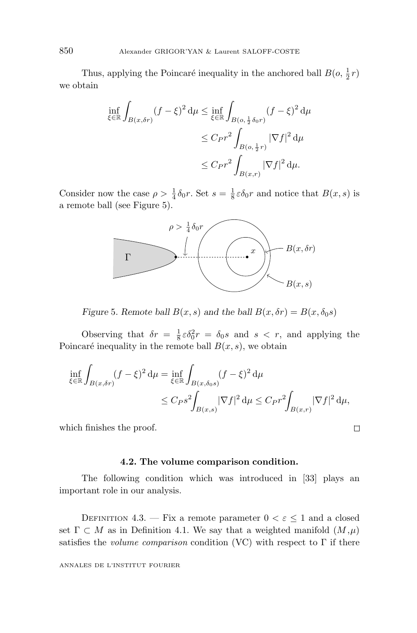Thus, applying the Poincaré inequality in the anchored ball  $B(o, \frac{1}{2}r)$ we obtain

$$
\inf_{\xi \in \mathbb{R}} \int_{B(x,\delta r)} (f - \xi)^2 d\mu \le \inf_{\xi \in \mathbb{R}} \int_{B(o, \frac{1}{2}\delta_0 r)} (f - \xi)^2 d\mu
$$
  

$$
\le C \rho r^2 \int_{B(o, \frac{1}{2}r)} |\nabla f|^2 d\mu
$$
  

$$
\le C \rho r^2 \int_{B(x,r)} |\nabla f|^2 d\mu.
$$

Consider now the case  $\rho > \frac{1}{4} \delta_0 r$ . Set  $s = \frac{1}{8} \varepsilon \delta_0 r$  and notice that  $B(x, s)$  is a remote ball (see Figure 5).



*Figure* 5*.* Remote ball  $B(x, s)$  and the ball  $B(x, \delta r) = B(x, \delta_0 s)$ 

Observing that  $\delta r = \frac{1}{8} \varepsilon \delta_0^2 r = \delta_0 s$  and  $s < r$ , and applying the Poincaré inequality in the remote ball  $B(x, s)$ , we obtain

$$
\inf_{\xi \in \mathbb{R}} \int_{B(x,\delta r)} (f - \xi)^2 d\mu = \inf_{\xi \in \mathbb{R}} \int_{B(x,\delta_0 s)} (f - \xi)^2 d\mu \n\leq C_P s^2 \int_{B(x,s)} |\nabla f|^2 d\mu \leq C_P r^2 \int_{B(x,r)} |\nabla f|^2 d\mu,
$$

which finishes the proof.

#### **4.2. The volume comparison condition.**

 $\Box$ 

The following condition which was introduced in [33] plays an important role in our analysis.

DEFINITION 4.3. — Fix a remote parameter  $0 < \varepsilon \leq 1$  and a closed set  $\Gamma \subset M$  as in Definition 4.1. We say that a weighted manifold  $(M,\mu)$ satisfies the *volume comparison* condition (VC) with respect to  $\Gamma$  if there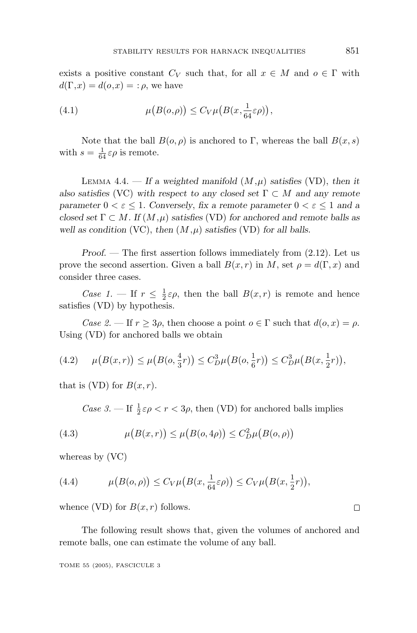exists a positive constant  $C_V$  such that, for all  $x \in M$  and  $o \in \Gamma$  with  $d(\Gamma, x) = d(o, x) = : \rho$ , we have

(4.1) 
$$
\mu\big(B(o,\rho)\big) \leq C_V \mu\big(B(x,\frac{1}{64}\varepsilon\rho)\big),
$$

Note that the ball  $B(o, \rho)$  is anchored to Γ, whereas the ball  $B(x, s)$ with  $s = \frac{1}{64} \varepsilon \rho$  is remote.

LEMMA 4.4. — If a weighted manifold  $(M,\mu)$  satisfies (VD), then it *also satisfies* (VC) with respect to any closed set  $\Gamma \subset M$  and any remote *parameter*  $0 < \varepsilon \leq 1$ *. Conversely, fix a remote parameter*  $0 < \varepsilon \leq 1$  *and a closed set*  $\Gamma \subset M$ *. If*  $(M,\mu)$  *satisfies* (VD) *for anchored and remote balls as well as condition* (VC), *then*  $(M, \mu)$  *satisfies* (VD) *for all balls.* 

*Proof*. — The first assertion follows immediately from (2.12). Let us prove the second assertion. Given a ball  $B(x, r)$  in *M*, set  $\rho = d(\Gamma, x)$  and consider three cases.

Case 1. – If  $r \leq \frac{1}{2} \varepsilon \rho$ , then the ball  $B(x,r)$  is remote and hence satisfies (VD) by hypothesis.

Case 2. — If  $r \geq 3\rho$ , then choose a point  $o \in \Gamma$  such that  $d(o, x) = \rho$ . Using (VD) for anchored balls we obtain

$$
(4.2) \qquad \mu\big(B(x,r)\big) \le \mu\big(B(o,\frac{4}{3}r)\big) \le C_D^3 \mu\big(B(o,\frac{1}{6}r)\big) \le C_D^3 \mu\big(B(x,\frac{1}{2}r)\big),
$$

that is (VD) for  $B(x, r)$ .

Case 3. — If  $\frac{1}{2} \varepsilon \rho < r < 3\rho$ , then (VD) for anchored balls implies

(4.3) 
$$
\mu(B(x,r)) \le \mu(B(o, 4\rho)) \le C_D^2 \mu(B(o, \rho))
$$

whereas by (VC)

(4.4) 
$$
\mu\big(B(o,\rho)\big) \leq C_V \mu\big(B(x,\frac{1}{64}\varepsilon\rho)\big) \leq C_V \mu\big(B(x,\frac{1}{2}r)\big),
$$

whence (VD) for  $B(x, r)$  follows.

The following result shows that, given the volumes of anchored and remote balls, one can estimate the volume of any ball.

TOME 55 (2005), FASCICULE 3

□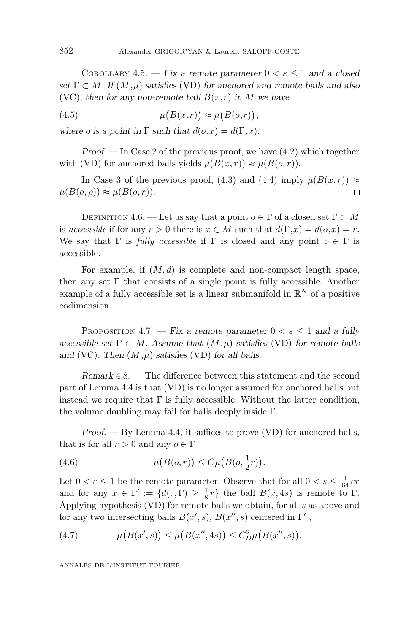COROLLARY 4.5. — *Fix a remote parameter*  $0 < \varepsilon < 1$  *and a closed set*  $\Gamma \subset M$ *. If*  $(M,\mu)$  *satisfies* (VD) *for anchored and remote balls and also* (VC), then for any non-remote ball  $B(x,r)$  in M we have

(4.5) 
$$
\mu(B(x,r)) \approx \mu(B(o,r)),
$$

*where o is a point in*  $\Gamma$  *such that*  $d(o, x) = d(\Gamma, x)$ *.* 

*Proof*. — In Case 2 of the previous proof, we have (4.2) which together with (VD) for anchored balls yields  $\mu(B(x,r)) \approx \mu(B(o,r))$ .

In Case 3 of the previous proof, (4.3) and (4.4) imply  $\mu(B(x,r)) \approx$  $\mu(B(o, \rho)) \approx \mu(B(o, r)).$  $\Box$ 

DEFINITION 4.6. — Let us say that a point  $o \in \Gamma$  of a closed set  $\Gamma \subset M$ is accessible if for any  $r > 0$  there is  $x \in M$  such that  $d(\Gamma, x) = d(o, x) = r$ . We say that  $\Gamma$  is *fully accessible* if  $\Gamma$  is closed and any point  $o \in \Gamma$  is accessible.

For example, if  $(M, d)$  is complete and non-compact length space, then any set  $\Gamma$  that consists of a single point is fully accessible. Another example of a fully accessible set is a linear submanifold in  $\mathbb{R}^N$  of a positive codimension.

PROPOSITION 4.7. — *Fix a remote parameter*  $0 < \varepsilon \le 1$  *and a fully accessible set*  $\Gamma \subset M$ *. Assume that*  $(M,\mu)$  *satisfies* (VD) *for remote balls* and (VC). Then  $(M, \mu)$  *satisfies* (VD) *for all balls.* 

*Remark* 4.8. — The difference between this statement and the second part of Lemma 4.4 is that (VD) is no longer assumed for anchored balls but instead we require that  $\Gamma$  is fully accessible. Without the latter condition, the volume doubling may fail for balls deeply inside Γ.

*Proof*. — By Lemma 4.4, it suffices to prove (VD) for anchored balls, that is for all  $r > 0$  and any  $o \in \Gamma$ 

(4.6) 
$$
\mu(B(o,r)) \le C\mu(B(o,\frac{1}{2}r)).
$$

Let  $0 < \varepsilon \leq 1$  be the remote parameter. Observe that for all  $0 < s \leq \frac{1}{64} \varepsilon r$ and for any  $x \in \Gamma' := \{d(., \Gamma) \geq \frac{1}{8}r\}$  the ball  $B(x, 4s)$  is remote to  $\Gamma$ . Applying hypothesis (VD) for remote balls we obtain, for all *s* as above and for any two intersecting balls  $B(x', s)$ ,  $B(x'', s)$  centered in  $\Gamma'$ ,

(4.7) 
$$
\mu(B(x', s)) \leq \mu(B(x'', 4s)) \leq C_D^2 \mu(B(x'', s)).
$$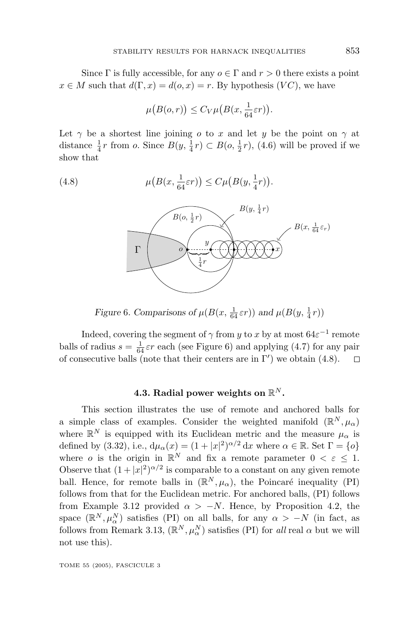Since  $\Gamma$  is fully accessible, for any  $o \in \Gamma$  and  $r > 0$  there exists a point  $x \in M$  such that  $d(\Gamma, x) = d(o, x) = r$ . By hypothesis  $(VC)$ , we have

$$
\mu\big(B(o,r)\big) \leq C_V \mu\big(B(x,\frac{1}{64}\varepsilon r)\big).
$$

Let  $\gamma$  be a shortest line joining *o* to *x* and let *y* be the point on  $\gamma$  at distance  $\frac{1}{4}r$  from *o*. Since  $B(y, \frac{1}{4}r) \subset B(o, \frac{1}{2}r)$ , (4.6) will be proved if we show that

 $(4.8)$  $(B(x, \frac{1}{64}\varepsilon r)) \leq C\mu(B(y, \frac{1}{4}r)).$ 



*Figure* 6*.* Comparisons of  $\mu(B(x, \frac{1}{64} \varepsilon r))$  and  $\mu(B(y, \frac{1}{4}r))$ 

Indeed, covering the segment of  $\gamma$  from *y* to *x* by at most  $64\varepsilon^{-1}$  remote balls of radius  $s = \frac{1}{64} \varepsilon r$  each (see Figure 6) and applying (4.7) for any pair of consecutive balls (note that their centers are in  $\Gamma'$ ) we obtain (4.8).  $\Box$ 

# **4.3. Radial power weights on** R*<sup>N</sup>* **.**

This section illustrates the use of remote and anchored balls for a simple class of examples. Consider the weighted manifold  $(\mathbb{R}^N, \mu_\alpha)$ where  $\mathbb{R}^N$  is equipped with its Euclidean metric and the measure  $\mu_\alpha$  is defined by (3.32), i.e.,  $d\mu_{\alpha}(x) = (1 + |x|^2)^{\alpha/2} dx$  where  $\alpha \in \mathbb{R}$ . Set  $\Gamma = \{o\}$ where *o* is the origin in  $\mathbb{R}^N$  and fix a remote parameter  $0 < \varepsilon < 1$ . Observe that  $(1+|x|^2)^{\alpha/2}$  is comparable to a constant on any given remote ball. Hence, for remote balls in  $(\mathbb{R}^N, \mu_\alpha)$ , the Poincaré inequality (PI) follows from that for the Euclidean metric. For anchored balls, (PI) follows from Example 3.12 provided  $\alpha > -N$ . Hence, by Proposition 4.2, the space  $(\mathbb{R}^N, \mu_\alpha^N)$  satisfies (PI) on all balls, for any  $\alpha > -N$  (in fact, as follows from Remark 3.13,  $(\mathbb{R}^N, \mu_\alpha^N)$  satisfies (PI) for *all* real  $\alpha$  but we will not use this).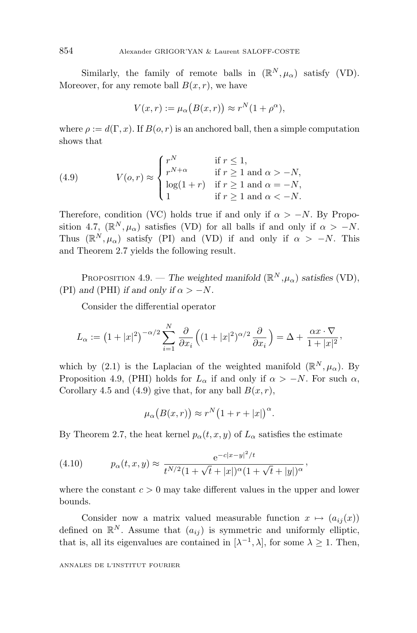Similarly, the family of remote balls in  $(\mathbb{R}^N, \mu_\alpha)$  satisfy (VD). Moreover, for any remote ball  $B(x, r)$ , we have

$$
V(x,r) := \mu_{\alpha}\big(B(x,r)\big) \approx r^N(1+\rho^{\alpha}),
$$

where  $\rho := d(\Gamma, x)$ . If  $B(o, r)$  is an anchored ball, then a simple computation shows that

(4.9) 
$$
V(o,r) \approx \begin{cases} r^N & \text{if } r \le 1, \\ r^{N+\alpha} & \text{if } r \ge 1 \text{ and } \alpha > -N, \\ \log(1+r) & \text{if } r \ge 1 \text{ and } \alpha = -N, \\ 1 & \text{if } r \ge 1 \text{ and } \alpha < -N. \end{cases}
$$

Therefore, condition (VC) holds true if and only if  $\alpha > -N$ . By Proposition 4.7,  $(\mathbb{R}^N, \mu_\alpha)$  satisfies (VD) for all balls if and only if  $\alpha > -N$ . Thus  $(\mathbb{R}^N, \mu_\alpha)$  satisfy (PI) and (VD) if and only if  $\alpha > -N$ . This and Theorem 2.7 yields the following result.

PROPOSITION 4.9. — *The weighted manifold*  $(\mathbb{R}^N, \mu_\alpha)$  *satisfies* (VD), (PI) and (PHI) *if and only if*  $\alpha > -N$ *.* 

Consider the differential operator

$$
L_{\alpha} := \left(1 + |x|^2\right)^{-\alpha/2} \sum_{i=1}^N \frac{\partial}{\partial x_i} \left( (1 + |x|^2)^{\alpha/2} \frac{\partial}{\partial x_i} \right) = \Delta + \frac{\alpha x \cdot \nabla}{1 + |x|^2},
$$

which by (2.1) is the Laplacian of the weighted manifold  $(\mathbb{R}^N, \mu_\alpha)$ . By Proposition 4.9, (PHI) holds for  $L_{\alpha}$  if and only if  $\alpha > -N$ . For such  $\alpha$ , Corollary 4.5 and (4.9) give that, for any ball  $B(x, r)$ ,

$$
\mu_{\alpha}\big(B(x,r)\big)\approx r^N\big(1+r+|x|\big)^{\alpha}.
$$

By Theorem 2.7, the heat kernel  $p_{\alpha}(t, x, y)$  of  $L_{\alpha}$  satisfies the estimate

(4.10) 
$$
p_{\alpha}(t, x, y) \approx \frac{e^{-c|x-y|^2/t}}{t^{N/2}(1+\sqrt{t}+|x|)^{\alpha}(1+\sqrt{t}+|y|)^{\alpha}},
$$

where the constant  $c > 0$  may take different values in the upper and lower bounds.

Consider now a matrix valued measurable function  $x \mapsto (a_{ij}(x))$ defined on  $\mathbb{R}^N$ . Assume that  $(a_{ij})$  is symmetric and uniformly elliptic, that is, all its eigenvalues are contained in  $[\lambda^{-1}, \lambda]$ , for some  $\lambda \geq 1$ . Then,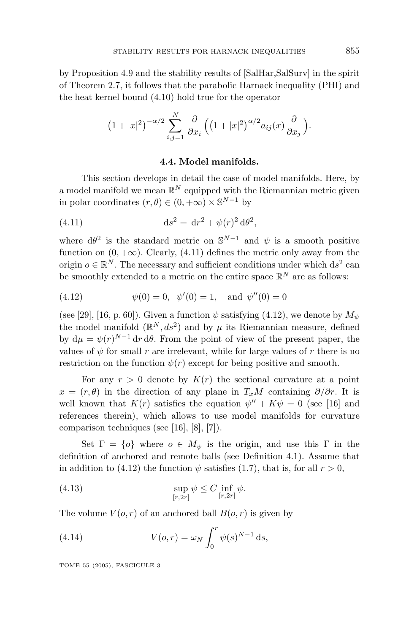by Proposition 4.9 and the stability results of [SalHar,SalSurv] in the spirit of Theorem 2.7, it follows that the parabolic Harnack inequality (PHI) and the heat kernel bound (4.10) hold true for the operator

$$
(1+|x|^2)^{-\alpha/2} \sum_{i,j=1}^N \frac{\partial}{\partial x_i} \left( \left(1+|x|^2\right)^{\alpha/2} a_{ij}(x) \frac{\partial}{\partial x_j} \right).
$$

#### **4.4. Model manifolds.**

This section develops in detail the case of model manifolds. Here, by a model manifold we mean  $\mathbb{R}^N$  equipped with the Riemannian metric given in polar coordinates  $(r, \theta) \in (0, +\infty) \times \mathbb{S}^{N-1}$  by

(4.11) 
$$
ds^{2} = dr^{2} + \psi(r)^{2} d\theta^{2},
$$

where  $d\theta^2$  is the standard metric on  $\mathbb{S}^{N-1}$  and  $\psi$  is a smooth positive function on  $(0, +\infty)$ . Clearly,  $(4.11)$  defines the metric only away from the origin  $o \in \mathbb{R}^N$ . The necessary and sufficient conditions under which ds<sup>2</sup> can be smoothly extended to a metric on the entire space  $\mathbb{R}^N$  are as follows:

(4.12) 
$$
\psi(0) = 0, \quad \psi'(0) = 1, \quad \text{and} \quad \psi''(0) = 0
$$

(see [29], [16, p. 60]). Given a function  $\psi$  satisfying (4.12), we denote by  $M_{\psi}$ the model manifold  $(\mathbb{R}^N, ds^2)$  and by  $\mu$  its Riemannian measure, defined by  $d\mu = \psi(r)^{N-1} dr d\theta$ . From the point of view of the present paper, the values of  $\psi$  for small  $r$  are irrelevant, while for large values of  $r$  there is no restriction on the function  $\psi(r)$  except for being positive and smooth.

For any  $r > 0$  denote by  $K(r)$  the sectional curvature at a point  $x = (r, \theta)$  in the direction of any plane in *T<sub>x</sub>M* containing  $\partial/\partial r$ . It is well known that  $K(r)$  satisfies the equation  $\psi'' + K\psi = 0$  (see [16] and references therein), which allows to use model manifolds for curvature comparison techniques (see [16], [8], [7]).

Set  $\Gamma = \{o\}$  where  $o \in M_{\psi}$  is the origin, and use this  $\Gamma$  in the definition of anchored and remote balls (see Definition 4.1). Assume that in addition to (4.12) the function  $\psi$  satisfies (1.7), that is, for all  $r > 0$ ,

(4.13) 
$$
\sup_{[r,2r]} \psi \leq C \inf_{[r,2r]} \psi.
$$

The volume  $V(o, r)$  of an anchored ball  $B(o, r)$  is given by

(4.14) 
$$
V(o,r) = \omega_N \int_0^r \psi(s)^{N-1} ds,
$$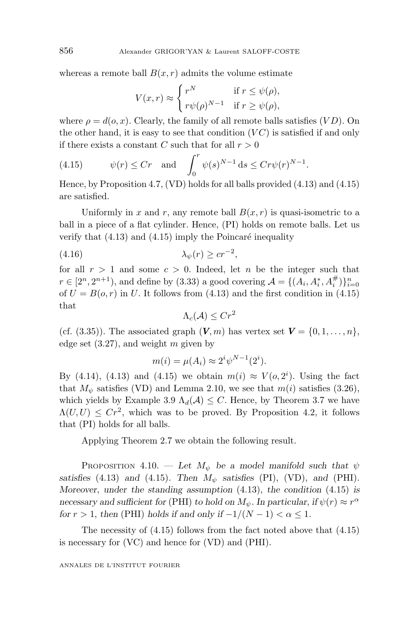whereas a remote ball  $B(x, r)$  admits the volume estimate

$$
V(x,r) \approx \begin{cases} r^N & \text{if } r \le \psi(\rho), \\ r\psi(\rho)^{N-1} & \text{if } r \ge \psi(\rho), \end{cases}
$$

where  $\rho = d(o, x)$ . Clearly, the family of all remote balls satisfies (*VD*). On the other hand, it is easy to see that condition (*V C*) is satisfied if and only if there exists a constant *C* such that for all  $r > 0$ 

(4.15) 
$$
\psi(r) \le Cr \quad \text{and} \quad \int_0^r \psi(s)^{N-1} \, \mathrm{d}s \le Cr\psi(r)^{N-1}.
$$

Hence, by Proposition 4.7, (VD) holds for all balls provided (4.13) and (4.15) are satisfied.

Uniformly in *x* and *r*, any remote ball  $B(x, r)$  is quasi-isometric to a ball in a piece of a flat cylinder. Hence, (PI) holds on remote balls. Let us verify that  $(4.13)$  and  $(4.15)$  imply the Poincaré inequality

$$
\lambda_{\psi}(r) \ge cr^{-2},
$$

for all  $r > 1$  and some  $c > 0$ . Indeed, let *n* be the integer such that  $r \in [2^n, 2^{n+1})$ , and define by (3.33) a good covering  $\mathcal{A} = \{(A_i, A_i^*, A_i^{\#})\}_{i=0}^n$ of  $U = B(o, r)$  in *U*. It follows from (4.13) and the first condition in (4.15) that

$$
\Lambda_c(\mathcal{A})\leq Cr^2
$$

(cf.  $(3.35)$ ). The associated graph  $(V, m)$  has vertex set  $V = \{0, 1, \ldots, n\}$ , edge set (3.27), and weight *m* given by

$$
m(i) = \mu(A_i) \approx 2^i \psi^{N-1}(2^i).
$$

By (4.14), (4.13) and (4.15) we obtain  $m(i) \approx V(o, 2^i)$ . Using the fact that  $M_{\psi}$  satisfies (VD) and Lemma 2.10, we see that  $m(i)$  satisfies (3.26), which yields by Example 3.9  $\Lambda_d(\mathcal{A}) \leq C$ . Hence, by Theorem 3.7 we have  $\Lambda(U, U) \leq C r^2$ , which was to be proved. By Proposition 4.2, it follows that (PI) holds for all balls.

Applying Theorem 2.7 we obtain the following result.

PROPOSITION 4.10. — Let  $M_{\psi}$  be a model manifold such that  $\psi$ *satisfies* (4.13) *and* (4.15)*. Then*  $M_{\psi}$  *satisfies* (PI), (VD), *and* (PHI)*. Moreover*, *under the standing assumption* (4.13), *the condition* (4.15) *is necessary and sufficient for* (PHI) *to hold on*  $M_{\psi}$ *. In particular, if*  $\psi(r) \approx r^{\alpha}$ *for*  $r > 1$ , *then* (PHI) *holds if and only if*  $-1/(N-1) < \alpha \leq 1$ *.* 

The necessity of (4.15) follows from the fact noted above that (4.15) is necessary for (VC) and hence for (VD) and (PHI).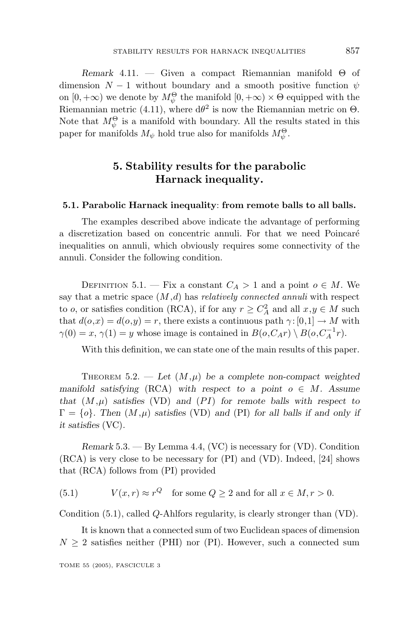*Remark* 4.11. — Given a compact Riemannian manifold Θ of dimension  $N-1$  without boundary and a smooth positive function  $\psi$ on  $[0, +\infty)$  we denote by  $M_{\psi}^{\Theta}$  the manifold  $[0, +\infty) \times \Theta$  equipped with the Riemannian metric (4.11), where  $d\theta^2$  is now the Riemannian metric on  $\Theta$ . Note that  $M_{\psi}^{\Theta}$  is a manifold with boundary. All the results stated in this paper for manifolds  $M_{\psi}$  hold true also for manifolds  $M_{\psi}^{\Theta}$ .

# **5. Stability results for the parabolic Harnack inequality.**

#### **5.1. Parabolic Harnack inequality**: **from remote balls to all balls.**

The examples described above indicate the advantage of performing a discretization based on concentric annuli. For that we need Poincaré inequalities on annuli, which obviously requires some connectivity of the annuli. Consider the following condition.

DEFINITION 5.1. — Fix a constant  $C_A > 1$  and a point  $o \in M$ . We say that a metric space  $(M,d)$  has *relatively connected annuli* with respect to *o*, or satisfies condition (RCA), if for any  $r \geq C_A^2$  and all  $x, y \in M$  such that  $d(o,x) = d(o,y) = r$ , there exists a continuous path  $\gamma: [0,1] \to M$  with  $\gamma(0) = x$ ,  $\gamma(1) = y$  whose image is contained in  $B(o, C_A r) \setminus B(o, C_A^{-1}r)$ .

With this definition, we can state one of the main results of this paper.

THEOREM 5.2. — Let  $(M,\mu)$  be a complete non-compact weighted *manifold satisfying* (RCA) *with respect to a point*  $o \in M$ *. Assume that*  $(M,\mu)$  *satisfies* (VD) *and* (*PI*) *for remote balls with respect to*  $\Gamma = \{o\}$ *. Then*  $(M, \mu)$  *satisfies* (VD) *and* (PI) *for all balls if and only if it satisfies* (VC)*.*

*Remark* 5.3. — By Lemma 4.4, (VC) is necessary for (VD). Condition (RCA) is very close to be necessary for (PI) and (VD). Indeed, [24] shows that (RCA) follows from (PI) provided

(5.1)  $V(x,r) \approx r^Q$  for some  $Q > 2$  and for all  $x \in M, r > 0$ .

Condition (5.1), called *Q*-Ahlfors regularity, is clearly stronger than (VD).

It is known that a connected sum of two Euclidean spaces of dimension  $N \geq 2$  satisfies neither (PHI) nor (PI). However, such a connected sum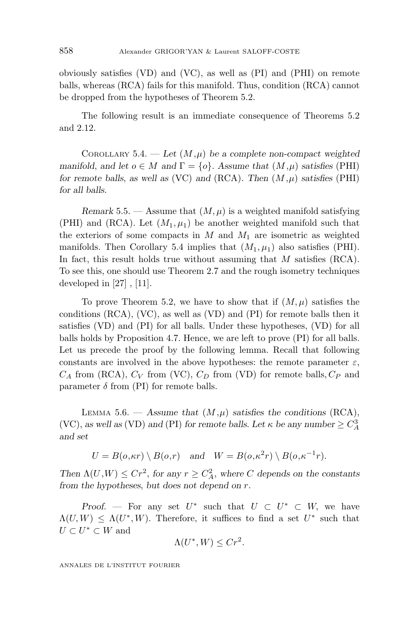obviously satisfies (VD) and (VC), as well as (PI) and (PHI) on remote balls, whereas (RCA) fails for this manifold. Thus, condition (RCA) cannot be dropped from the hypotheses of Theorem 5.2.

The following result is an immediate consequence of Theorems 5.2 and 2.12.

COROLLARY 5.4. - Let  $(M,\mu)$  be a complete non-compact weighted *manifold*, and let  $o \in M$  and  $\Gamma = \{o\}$ *. Assume that*  $(M, \mu)$  *satisfies* (PHI) *for remote balls*, *as well as* (VC) *and* (RCA)*. Then* (*M,µ*) *satisfies* (PHI) *for all balls.*

*Remark* 5.5. — Assume that  $(M, \mu)$  is a weighted manifold satisfying (PHI) and (RCA). Let  $(M_1, \mu_1)$  be another weighted manifold such that the exteriors of some compacts in  $M$  and  $M_1$  are isometric as weighted manifolds. Then Corollary 5.4 implies that  $(M_1, \mu_1)$  also satisfies (PHI). In fact, this result holds true without assuming that *M* satisfies (RCA). To see this, one should use Theorem 2.7 and the rough isometry techniques developed in [27] , [11].

To prove Theorem 5.2, we have to show that if  $(M, \mu)$  satisfies the conditions (RCA), (VC), as well as (VD) and (PI) for remote balls then it satisfies (VD) and (PI) for all balls. Under these hypotheses, (VD) for all balls holds by Proposition 4.7. Hence, we are left to prove (PI) for all balls. Let us precede the proof by the following lemma. Recall that following constants are involved in the above hypotheses: the remote parameter  $\varepsilon$ ,  $C_A$  from (RCA),  $C_V$  from (VC),  $C_D$  from (VD) for remote balls,  $C_P$  and parameter  $\delta$  from (PI) for remote balls.

LEMMA 5.6. — Assume that  $(M,\mu)$  satisfies the conditions  $(RCA)$ , (VC), as well as (VD) and (PI) for remote balls. Let  $\kappa$  be any number  $\geq C_A^3$ *and set*

$$
U = B(o, \kappa r) \setminus B(o, r) \quad \text{and} \quad W = B(o, \kappa^{2} r) \setminus B(o, \kappa^{-1} r).
$$

*Then*  $\Lambda(U, W) \leq Cr^2$ , *for any*  $r \geq C_A^2$ , *where C depends on the constants from the hypotheses*, *but does not depend on r.*

*Proof.* — For any set  $U^*$  such that  $U \subset U^* \subset W$ , we have  $\Lambda(U, W) \leq \Lambda(U^*, W)$ . Therefore, it suffices to find a set  $U^*$  such that  $U \subset U^* \subset W$  and

$$
\Lambda(U^*, W) \le Cr^2.
$$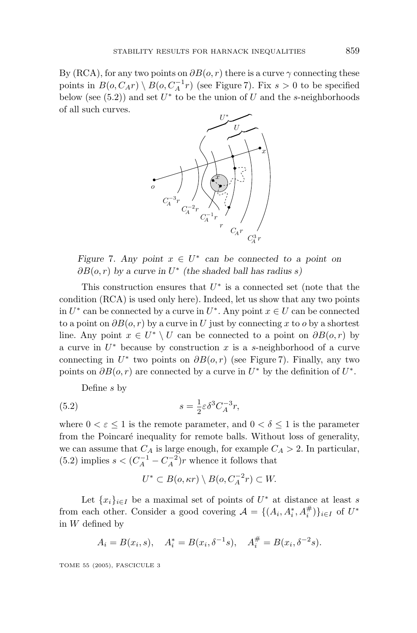By (RCA), for any two points on  $\partial B(o, r)$  there is a curve  $\gamma$  connecting these points in  $B(o, C_A r) \setminus B(o, C_A^{-1}r)$  (see Figure 7). Fix  $s > 0$  to be specified below (see  $(5.2)$ ) and set  $U^*$  to be the union of  $U$  and the *s*-neighborhoods of all such curves.



*Figure* 7*. Any point*  $x \in U^*$  *can be connected to a point on ∂B*(*o, r*) *by a curve in U*<sup>∗</sup> *(the shaded ball has radius s)*

This construction ensures that *U*<sup>∗</sup> is a connected set (note that the condition (RCA) is used only here). Indeed, let us show that any two points in  $U^*$  can be connected by a curve in  $U^*$ . Any point  $x \in U$  can be connected to a point on  $\partial B(o, r)$  by a curve in *U* just by connecting *x* to *o* by a shortest line. Any point  $x \in U^* \setminus U$  can be connected to a point on  $\partial B(o, r)$  by a curve in *U*<sup>∗</sup> because by construction *x* is a *s*-neighborhood of a curve connecting in  $U^*$  two points on  $\partial B(o, r)$  (see Figure 7). Finally, any two points on  $\partial B(o, r)$  are connected by a curve in  $U^*$  by the definition of  $U^*$ .

Define *s* by

(5.2) 
$$
s = \frac{1}{2} \varepsilon \delta^3 C_A^{-3} r,
$$

where  $0 < \varepsilon \leq 1$  is the remote parameter, and  $0 < \delta \leq 1$  is the parameter from the Poincaré inequality for remote balls. Without loss of generality, we can assume that  $C_A$  is large enough, for example  $C_A > 2$ . In particular,  $(5.2)$  implies  $s < (C_A^{-1} - C_A^{-2})r$  whence it follows that

$$
U^* \subset B(o, \kappa r) \setminus B(o, C_A^{-2}r) \subset W.
$$

Let  $\{x_i\}_{i\in I}$  be a maximal set of points of  $U^*$  at distance at least *s* from each other. Consider a good covering  $\mathcal{A} = \{(A_i, A_i^*, A_i^{\#})\}_{i \in I}$  of  $U^*$ in *W* defined by

$$
A_i = B(x_i, s),
$$
  $A_i^* = B(x_i, \delta^{-1}s),$   $A_i^{\#} = B(x_i, \delta^{-2}s).$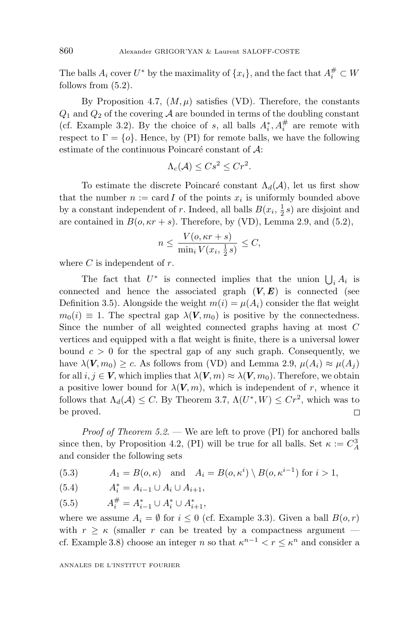The balls  $A_i$  cover  $U^*$  by the maximality of  $\{x_i\}$ , and the fact that  $A_i^{\#} \subset W$ follows from (5.2).

By Proposition 4.7,  $(M, \mu)$  satisfies (VD). Therefore, the constants  $Q_1$  and  $Q_2$  of the covering A are bounded in terms of the doubling constant (cf. Example 3.2). By the choice of *s*, all balls  $A_i^*, A_i^{\#}$  are remote with respect to  $\Gamma = \{o\}$ . Hence, by (PI) for remote balls, we have the following estimate of the continuous Poincaré constant of  $A$ :

$$
\Lambda_c(\mathcal{A}) \leq Cs^2 \leq Cr^2.
$$

To estimate the discrete Poincaré constant  $\Lambda_d(\mathcal{A})$ , let us first show that the number  $n := \text{card } I$  of the points  $x_i$  is uniformly bounded above by a constant independent of *r*. Indeed, all balls  $B(x_i, \frac{1}{2}s)$  are disjoint and are contained in  $B(o, \kappa r + s)$ . Therefore, by (VD), Lemma 2.9, and (5.2),

$$
n \le \frac{V(o, \kappa r + s)}{\min_i V(x_i, \frac{1}{2}s)} \le C,
$$

where *C* is independent of *r*.

The fact that  $U^*$  is connected implies that the union  $\bigcup_i A_i$  is connected and hence the associated graph  $(V, E)$  is connected (see Definition 3.5). Alongside the weight  $m(i) = \mu(A_i)$  consider the flat weight  $m_0(i) \equiv 1$ . The spectral gap  $\lambda$ (*V, m*<sub>0</sub>) is positive by the connectedness. Since the number of all weighted connected graphs having at most *C* vertices and equipped with a flat weight is finite, there is a universal lower bound  $c > 0$  for the spectral gap of any such graph. Consequently, we have  $\lambda(V, m_0) \geq c$ . As follows from (VD) and Lemma 2.9,  $\mu(A_i) \approx \mu(A_i)$ for all  $i, j \in V$ , which implies that  $\lambda(V, m) \approx \lambda(V, m_0)$ . Therefore, we obtain a positive lower bound for  $\lambda$ ( $V$ *, m*), which is independent of *r*, whence it follows that  $\Lambda_d(\mathcal{A}) \leq C$ . By Theorem 3.7,  $\Lambda(U^*, W) \leq Cr^2$ , which was to be proved.  $\Box$ 

*Proof of Theorem 5.2.* — We are left to prove (PI) for anchored balls since then, by Proposition 4.2, (PI) will be true for all balls. Set  $\kappa := C_A^3$ and consider the following sets

(5.3) 
$$
A_1 = B(o, \kappa)
$$
 and  $A_i = B(o, \kappa^i) \setminus B(o, \kappa^{i-1})$  for  $i > 1$ ,

(5.4) 
$$
A_i^* = A_{i-1} \cup A_i \cup A_{i+1},
$$

(5.5) 
$$
A_i^{\#} = A_{i-1}^* \cup A_i^* \cup A_{i+1}^*,
$$

where we assume  $A_i = \emptyset$  for  $i \leq 0$  (cf. Example 3.3). Given a ball  $B(o, r)$ with  $r \geq \kappa$  (smaller *r* can be treated by a compactness argument cf. Example 3.8) choose an integer *n* so that  $\kappa^{n-1} < r \leq \kappa^n$  and consider a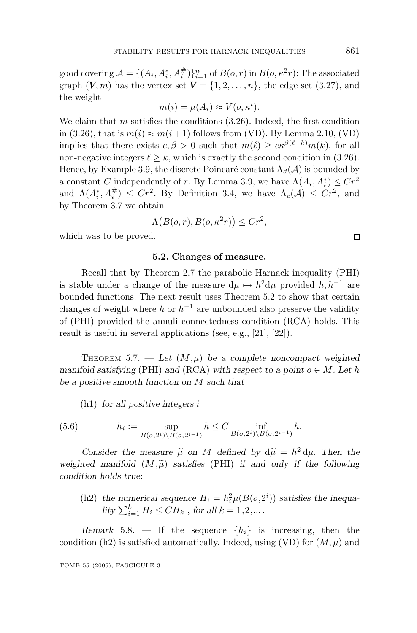good covering  $\mathcal{A} = \{(A_i, A_i^*, A_i^{\#})\}_{i=1}^n$  of  $B(o, r)$  in  $B(o, \kappa^2 r)$ : The associated graph  $(V, m)$  has the vertex set  $V = \{1, 2, ..., n\}$ , the edge set  $(3.27)$ , and the weight

$$
m(i) = \mu(A_i) \approx V(o, \kappa^i).
$$

We claim that *m* satisfies the conditions (3.26). Indeed, the first condition in (3.26), that is  $m(i) \approx m(i+1)$  follows from (VD). By Lemma 2.10, (VD) implies that there exists  $c, \beta > 0$  such that  $m(\ell) \geq c \kappa^{\beta(\ell-k)} m(k)$ , for all non-negative integers  $\ell \geq k$ , which is exactly the second condition in (3.26). Hence, by Example 3.9, the discrete Poincaré constant  $\Lambda_d(\mathcal{A})$  is bounded by a constant *C* independently of *r*. By Lemma 3.9, we have  $\Lambda(A_i, A_i^*) \leq Cr^2$ and  $\Lambda(A_i^*, A_i^{\#}) \leq Cr^2$ . By Definition 3.4, we have  $\Lambda_c(\mathcal{A}) \leq Cr^2$ , and by Theorem 3.7 we obtain

$$
\Lambda\big(B(o,r), B(o, \kappa^2 r)\big) \leq Cr^2,
$$

which was to be proved.

#### **5.2. Changes of measure.**

Recall that by Theorem 2.7 the parabolic Harnack inequality (PHI) is stable under a change of the measure  $d\mu \mapsto h^2 d\mu$  provided  $h, h^{-1}$  are bounded functions. The next result uses Theorem 5.2 to show that certain changes of weight where *h* or  $h^{-1}$  are unbounded also preserve the validity of (PHI) provided the annuli connectedness condition (RCA) holds. This result is useful in several applications (see, e.g., [21], [22]).

THEOREM 5.7. — Let  $(M,\mu)$  be a complete noncompact weighted *manifold satisfying* (PHI) *and* (RCA) *with respect to a point*  $o \in M$ *. Let h be a positive smooth function on M such that*

(h1) *for all positive integers i*

(5.6) 
$$
h_i := \sup_{B(o, 2^i) \backslash B(o, 2^{i-1})} h \leq C \inf_{B(o, 2^i) \backslash B(o, 2^{i-1})} h.
$$

*Consider the measure*  $\tilde{\mu}$  *on M defined by*  $d\tilde{\mu} = h^2 d\mu$ . Then the tod manifold  $(M, \tilde{\mu})$  satisfies (PHI) if and only if the following *weighted manifold*  $(M,\tilde{\mu})$  *satisfies* (PHI) *if and only if the following* condition holds true: *condition holds true*:

(h2) the numerical sequence  $H_i = h_i^2 \mu(B(o, 2^i))$  satisfies the inequa- $\int_{i=1}^{k} H_i \leq CH_k$ , *for all*  $k = 1, 2, ...$ .

*Remark* 5.8. — If the sequence  $\{h_i\}$  is increasing, then the condition (h2) is satisfied automatically. Indeed, using (VD) for  $(M, \mu)$  and

 $\Box$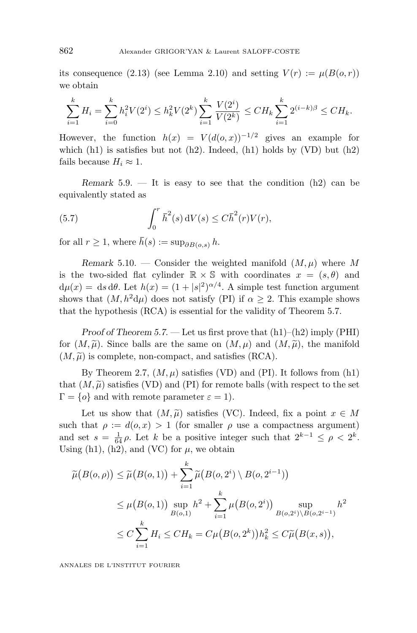its consequence (2.13) (see Lemma 2.10) and setting  $V(r) := \mu(B(o, r))$ we obtain

$$
\sum_{i=1}^k H_i = \sum_{i=0}^k h_i^2 V(2^i) \le h_k^2 V(2^k) \sum_{i=1}^k \frac{V(2^i)}{V(2^k)} \le C H_k \sum_{i=1}^k 2^{(i-k)\beta} \le C H_k.
$$

However, the function  $h(x) = V(d(o, x))^{-1/2}$  gives an example for which  $(h1)$  is satisfies but not  $(h2)$ . Indeed,  $(h1)$  holds by  $(VD)$  but  $(h2)$ fails because  $H_i \approx 1$ .

*Remark* 5.9. — It is easy to see that the condition (h2) can be equivalently stated as

(5.7) 
$$
\int_0^r \bar{h}^2(s) \, dV(s) \leq C \bar{h}^2(r) V(r),
$$

for all  $r \geq 1$ , where  $\bar{h}(s) := \sup_{\partial B(0,s)} h$ .

*Remark* 5.10. — Consider the weighted manifold  $(M, \mu)$  where M is the two-sided flat cylinder  $\mathbb{R} \times \mathbb{S}$  with coordinates  $x = (s, \theta)$  and  $d\mu(x) = ds d\theta$ . Let  $h(x) = (1 + |s|^2)^{\alpha/4}$ . A simple test function argument shows that  $(M, h^2d\mu)$  does not satisfy (PI) if  $\alpha \geq 2$ . This example shows that the hypothesis (RCA) is essential for the validity of Theorem 5.7.

*Proof of Theorem 5.7*. — Let us first prove that (h1)–(h2) imply (PHI) for  $(M, \tilde{\mu})$ . Since balls are the same on  $(M, \mu)$  and  $(M, \tilde{\mu})$ , the manifold  $(M, \tilde{\mu})$  is complete non-compact, and satisfies  $(RCA)$  $(M, \tilde{\mu})$  is complete, non-compact, and satisfies (RCA).

By Theorem 2.7,  $(M, \mu)$  satisfies (VD) and (PI). It follows from  $(h1)$ that  $(M, \tilde{\mu})$  satisfies (VD) and (PI) for remote balls (with respect to the set  $\Gamma = I_0$ ) and with remote parameter  $\varepsilon = 1$ )  $\Gamma = \{o\}$  and with remote parameter  $\varepsilon = 1$ ).

Let us show that  $(M, \tilde{\mu})$  satisfies (VC). Indeed, fix a point  $x \in M$ <br>that  $g := d(g, x) > 1$  (for smaller g use a compactness argument) such that  $\rho := d(o, x) > 1$  (for smaller  $\rho$  use a compactness argument) and set  $s = \frac{1}{64} \rho$ . Let *k* be a positive integer such that  $2^{k-1} \le \rho < 2^k$ . Using  $(h1)$ ,  $(h2)$ , and  $(VC)$  for  $\mu$ , we obtain

$$
\widetilde{\mu}(B(o,\rho)) \leq \widetilde{\mu}(B(o,1)) + \sum_{i=1}^{k} \widetilde{\mu}(B(o,2^{i}) \setminus B(o,2^{i-1}))
$$
\n
$$
\leq \mu(B(o,1)) \sup_{B(o,1)} h^{2} + \sum_{i=1}^{k} \mu(B(o,2^{i})) \sup_{B(o,2^{i}) \setminus B(o,2^{i-1})} h^{2}
$$
\n
$$
\leq C \sum_{i=1}^{k} H_{i} \leq CH_{k} = C\mu(B(o,2^{k})) h_{k}^{2} \leq C\widetilde{\mu}(B(x,s)),
$$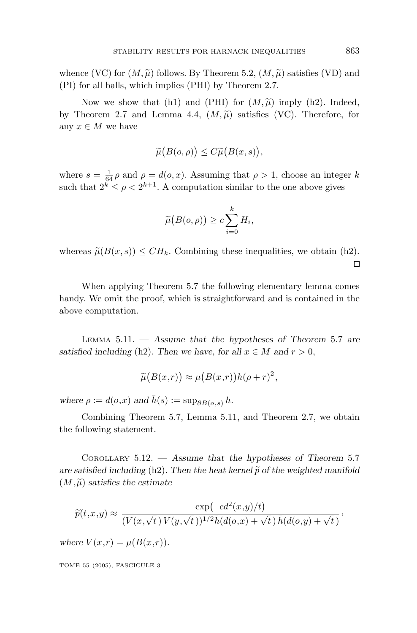whence (VC) for  $(M, \widetilde{\mu})$  follows. By Theorem 5.2,  $(M, \widetilde{\mu})$  satisfies (VD) and (PI) for all halls, which implies (PHI) by Theorem 2.7 (PI) for all balls, which implies (PHI) by Theorem 2.7.

Now we show that (h1) and (PHI) for  $(M, \tilde{\mu})$  imply (h2). Indeed,<br>heorem 2.7 and Lemma 4.4 ( $M, \tilde{\mu}$ ) satisfies (VC). Therefore, for by Theorem 2.7 and Lemma 4.4,  $(M,\widetilde{\mu})$  satisfies (VC). Therefore, for<br>any  $r \in M$  we have any  $x \in M$  we have

$$
\widetilde{\mu}(B(o,\rho)) \leq C \widetilde{\mu}(B(x,s)),
$$

where  $s = \frac{1}{64} \rho$  and  $\rho = d(o, x)$ . Assuming that  $\rho > 1$ , choose an integer *k* such that  $2^{k} \leq \rho < 2^{k+1}$ . A computation similar to the one above gives

$$
\widetilde{\mu}(B(o,\rho)) \geq c \sum_{i=0}^{k} H_i,
$$

whereas  $\tilde{\mu}(B(x, s)) \leq CH_k$ . Combining these inequalities, we obtain (h2).  $\Box$ 

When applying Theorem 5.7 the following elementary lemma comes handy. We omit the proof, which is straightforward and is contained in the above computation.

LEMMA 5.11. — *Assume that the hypotheses of Theorem* 5.7 *are satisfied including* (h2). Then we have, for all  $x \in M$  and  $r > 0$ ,

$$
\widetilde{\mu}(B(x,r)) \approx \mu(B(x,r))\overline{h}(\rho+r)^2,
$$

*where*  $\rho := d(o,x)$  *and*  $\bar{h}(s) := \sup_{\partial B(o,s)} h$ .

Combining Theorem 5.7, Lemma 5.11, and Theorem 2.7, we obtain the following statement.

COROLLARY 5.12. — *Assume that the hypotheses of Theorem* 5.7 *are satisfied including* (h2). Then the heat kernel  $\tilde{p}$  of the weighted manifold  $(M, \tilde{\mu})$  satisfies the estimate  $(M,\widetilde{\mu})$  satisfies the estimate

$$
\widetilde{p}(t,x,y) \approx \frac{\exp(-cd^2(x,y)/t)}{(V(x,\sqrt{t}\,) V(y,\sqrt{t}\,))^{1/2} \bar{h}(d(o,x) + \sqrt{t}\,) \bar{h}(d(o,y) + \sqrt{t}\,)}.
$$

*where*  $V(x,r) = \mu(B(x,r)).$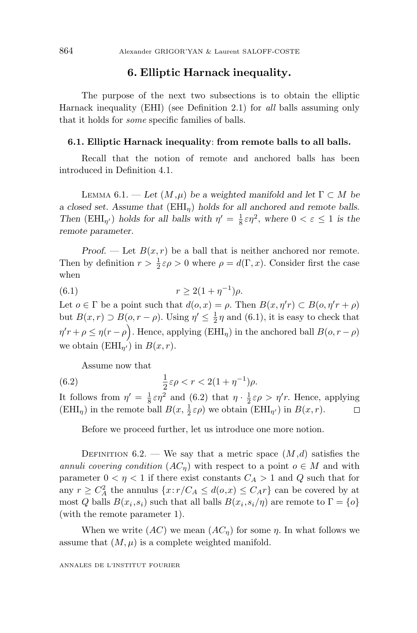### **6. Elliptic Harnack inequality.**

The purpose of the next two subsections is to obtain the elliptic Harnack inequality (EHI) (see Definition 2.1) for all balls assuming only that it holds for some specific families of balls.

#### **6.1. Elliptic Harnack inequality**: **from remote balls to all balls.**

Recall that the notion of remote and anchored balls has been introduced in Definition 4.1.

LEMMA 6.1. — Let  $(M,\mu)$  be a weighted manifold and let  $\Gamma \subset M$  be *a closed set. Assume that* (EHI*η*) *holds for all anchored and remote balls. Then* (EHI<sub>*η'*</sub>) *holds for all balls with*  $\eta' = \frac{1}{8} \epsilon \eta^2$ , where  $0 < \epsilon \le 1$  *is the remote parameter.*

*Proof.* — Let  $B(x, r)$  be a ball that is neither anchored nor remote. Then by definition  $r > \frac{1}{2} \varepsilon \rho > 0$  where  $\rho = d(\Gamma, x)$ . Consider first the case when

(6.1) 
$$
r \ge 2(1 + \eta^{-1})\rho.
$$

Let  $o \in \Gamma$  be a point such that  $d(o, x) = \rho$ . Then  $B(x, \eta' r) \subset B(o, \eta' r + \rho)$ but  $B(x,r) \supset B(o,r-\rho)$ . Using  $\eta' \leq \frac{1}{2}\eta$  and (6.1), it is easy to check that  $\eta' r + \rho \leq \eta(r - \rho)$ . Hence, applying (EHI<sub>*η*</sub>) in the anchored ball *B*(*o, r* −  $\rho$ ) we obtain ( $EHI_{n'}$ ) in  $B(x, r)$ .

Assume now that

(6.2) 
$$
\frac{1}{2}\varepsilon \rho < r < 2(1 + \eta^{-1})\rho.
$$

It follows from  $\eta' = \frac{1}{8} \varepsilon \eta^2$  and (6.2) that  $\eta \cdot \frac{1}{2} \varepsilon \rho > \eta' r$ . Hence, applying  $(EHI<sub>\eta</sub>)$  in the remote ball  $B(x, \frac{1}{2} \varepsilon \rho)$  we obtain  $(EHI<sub>\eta'</sub>)$  in  $B(x, r)$ .  $\Box$ 

Before we proceed further, let us introduce one more notion.

DEFINITION  $6.2.$  — We say that a metric space  $(M,d)$  satisfies the annuli covering condition  $(AC_n)$  with respect to a point  $o \in M$  and with parameter  $0 < \eta < 1$  if there exist constants  $C_A > 1$  and  $Q$  such that for any  $r \geq C_A^2$  the annulus  $\{x : r/C_A \leq d(o,x) \leq C_A r\}$  can be covered by at most *Q* balls  $B(x_i, s_i)$  such that all balls  $B(x_i, s_i/\eta)$  are remote to  $\Gamma = \{o\}$ (with the remote parameter 1).

When we write  $(AC)$  we mean  $(AC<sub>\eta</sub>)$  for some  $\eta$ . In what follows we assume that  $(M, \mu)$  is a complete weighted manifold.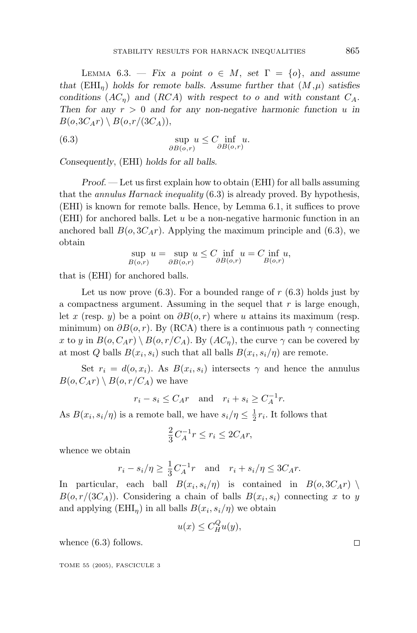LEMMA 6.3. — *Fix a point*  $o \in M$ , *set*  $\Gamma = \{o\}$ , *and assume that* (EHI<sub>n</sub>) *holds* for remote balls. Assume further that  $(M,\mu)$  satisfies *conditions*  $(AC_n)$  *and*  $(RCA)$  *with respect to o and with constant*  $C_A$ *. Then for any*  $r > 0$  *and for any non-negative harmonic function*  $u$  *in*  $B(o, 3C_A r) \setminus B(o, r/(3C_A)),$ 

(6.3) 
$$
\sup_{\partial B(o,r)} u \leq C \inf_{\partial B(o,r)} u.
$$

*Consequently*, (EHI) *holds for all balls.*

*Proof*. — Let us first explain how to obtain (EHI) for all balls assuming that the annulus Harnack inequality (6.3) is already proved. By hypothesis, (EHI) is known for remote balls. Hence, by Lemma 6.1, it suffices to prove (EHI) for anchored balls. Let *u* be a non-negative harmonic function in an anchored ball  $B(o, 3C_Ar)$ . Applying the maximum principle and (6.3), we obtain

$$
\sup_{B(o,r)} u = \sup_{\partial B(o,r)} u \le C \inf_{\partial B(o,r)} u = C \inf_{B(o,r)} u,
$$

that is (EHI) for anchored balls.

Let us now prove  $(6.3)$ . For a bounded range of  $r(6.3)$  holds just by a compactness argument. Assuming in the sequel that *r* is large enough, let *x* (resp. *y*) be a point on *∂B*(*o, r*) where *u* attains its maximum (resp. minimum) on  $\partial B(o, r)$ . By (RCA) there is a continuous path  $\gamma$  connecting *x* to *y* in  $B(o, C_A r) \setminus B(o, r/C_A)$ . By  $(AC_n)$ , the curve  $\gamma$  can be covered by at most *Q* balls  $B(x_i, s_i)$  such that all balls  $B(x_i, s_i/\eta)$  are remote.

Set  $r_i = d(o, x_i)$ . As  $B(x_i, s_i)$  intersects  $\gamma$  and hence the annulus  $B(o, C_A r) \setminus B(o, r/C_A)$  we have

 $r_i - s_i \le C_A r$  and  $r_i + s_i \ge C_A^{-1} r$ .

As  $B(x_i, s_i/\eta)$  is a remote ball, we have  $s_i/\eta \leq \frac{1}{2}r_i$ . It follows that

$$
\frac{2}{3}C_A^{-1}r \le r_i \le 2C_Ar,
$$

whence we obtain

$$
r_i - s_i/\eta \ge \frac{1}{3}C_A^{-1}r
$$
 and  $r_i + s_i/\eta \le 3C_Ar$ .

In particular, each ball  $B(x_i, s_i/\eta)$  is contained in  $B(o, 3C_A r)$ *B*( $o, r/(3C_A)$ ). Considering a chain of balls *B*( $x_i, s_i$ ) connecting *x* to *y* and applying  $(EHI_n)$  in all balls  $B(x_i, s_i/\eta)$  we obtain

$$
u(x) \le C_H^Q u(y),
$$

whence  $(6.3)$  follows.

TOME 55 (2005), FASCICULE 3

 $\Box$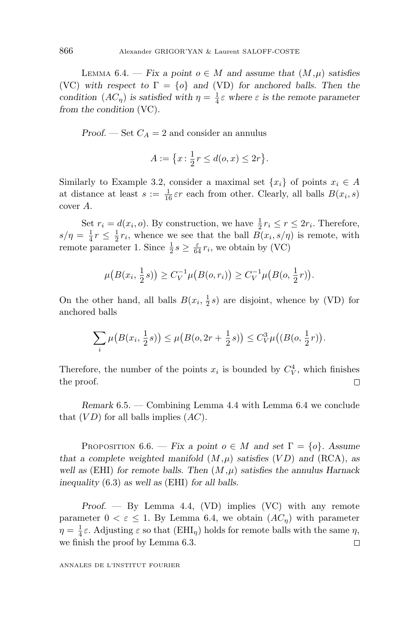LEMMA 6.4. — *Fix a point*  $o \in M$  *and assume that*  $(M, \mu)$  *satisfies* (VC) with respect to  $\Gamma = \{o\}$  and (VD) for anchored balls. Then the *condition*  $(AC_{\eta})$  *is satisfied with*  $\eta = \frac{1}{4} \varepsilon$  *where*  $\varepsilon$  *is the remote parameter from the condition* (VC)*.*

*Proof.* — Set  $C_A = 2$  and consider an annulus

$$
A := \left\{ x : \frac{1}{2}r \le d(o, x) \le 2r \right\}.
$$

Similarly to Example 3.2, consider a maximal set  $\{x_i\}$  of points  $x_i \in A$ at distance at least  $s := \frac{1}{16} \varepsilon r$  each from other. Clearly, all balls  $B(x_i, s)$ cover *A*.

Set  $r_i = d(x_i, o)$ . By construction, we have  $\frac{1}{2}r_i \le r \le 2r_i$ . Therefore,  $s/\eta = \frac{1}{4}r \leq \frac{1}{2}r_i$ , whence we see that the ball  $B(x_i, s/\eta)$  is remote, with remote parameter 1. Since  $\frac{1}{2} s \ge \frac{\varepsilon}{64} r_i$ , we obtain by (VC)

$$
\mu(B(x_i, \frac{1}{2}s)) \ge C_V^{-1} \mu(B(o, r_i)) \ge C_V^{-1} \mu(B(o, \frac{1}{2}r)).
$$

On the other hand, all balls  $B(x_i, \frac{1}{2}s)$  are disjoint, whence by (VD) for anchored balls

$$
\sum_{i} \mu\big(B(x_i, \frac{1}{2}s)\big) \le \mu\big(B(o, 2r + \frac{1}{2}s)\big) \le C_V^3 \mu\big((B(o, \frac{1}{2}r)\big).
$$

Therefore, the number of the points  $x_i$  is bounded by  $C_V^4$ , which finishes the proof.  $\Box$ 

*Remark* 6.5. — Combining Lemma 4.4 with Lemma 6.4 we conclude that (*V D*) for all balls implies (*AC*).

PROPOSITION 6.6. — *Fix a point*  $o \in M$  and set  $\Gamma = \{o\}$ *. Assume that a complete weighted manifold*  $(M,\mu)$  *satisfies*  $(VD)$  *and*  $(RCA)$ *, as well as* (EHI) *for remote balls. Then* (*M,µ*) *satisfies the annulus Harnack inequality* (6.3) *as well as* (EHI) *for all balls.*

*Proof*. — By Lemma 4.4, (VD) implies (VC) with any remote parameter  $0 < \varepsilon \leq 1$ . By Lemma 6.4, we obtain  $(AC_n)$  with parameter  $\eta = \frac{1}{4}\varepsilon$ . Adjusting  $\varepsilon$  so that  $(EHI_{\eta})$  holds for remote balls with the same  $\eta$ , we finish the proof by Lemma 6.3.  $\Box$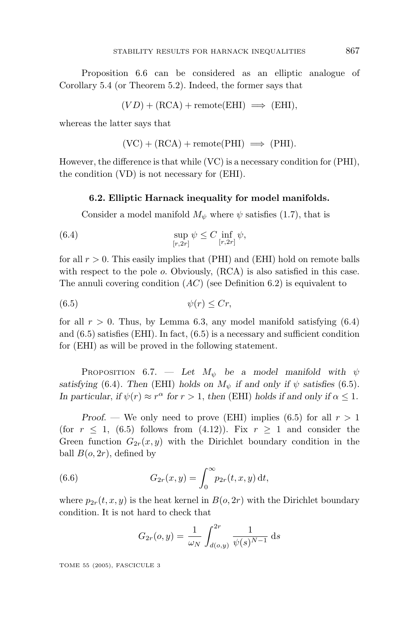Proposition 6.6 can be considered as an elliptic analogue of Corollary 5.4 (or Theorem 5.2). Indeed, the former says that

 $(VD) + (RCA) +$  remote(EHI)  $\implies$  (EHI),

whereas the latter says that

$$
(VC) + (RCA) + remote(PHI) \implies (PHI).
$$

However, the difference is that while (VC) is a necessary condition for (PHI), the condition (VD) is not necessary for (EHI).

#### **6.2. Elliptic Harnack inequality for model manifolds.**

Consider a model manifold  $M_{\psi}$  where  $\psi$  satisfies (1.7), that is

(6.4) 
$$
\sup_{[r,2r]} \psi \leq C \inf_{[r,2r]} \psi,
$$

for all *r >* 0. This easily implies that (PHI) and (EHI) hold on remote balls with respect to the pole *o*. Obviously, (RCA) is also satisfied in this case. The annuli covering condition (*AC*) (see Definition 6.2) is equivalent to

$$
(6.5) \t\t \t\t \psi(r) \leq Cr,
$$

for all  $r > 0$ . Thus, by Lemma 6.3, any model manifold satisfying  $(6.4)$ and  $(6.5)$  satisfies (EHI). In fact,  $(6.5)$  is a necessary and sufficient condition for (EHI) as will be proved in the following statement.

PROPOSITION 6.7. — Let  $M_{\psi}$  be a model manifold with  $\psi$ *satisfying* (6.4). Then (EHI) *holds on*  $M_{\psi}$  *if and only if*  $\psi$  *satisfies* (6.5)*. In particular, if*  $\psi(r) \approx r^{\alpha}$  *for*  $r > 1$ *, then* (EHI) *holds if and only if*  $\alpha \leq 1$ *.* 

*Proof.* — We only need to prove (EHI) implies (6.5) for all  $r > 1$ (for  $r \leq 1$ , (6.5) follows from (4.12)). Fix  $r \geq 1$  and consider the Green function  $G_{2r}(x, y)$  with the Dirichlet boundary condition in the ball  $B(o, 2r)$ , defined by

(6.6) 
$$
G_{2r}(x,y) = \int_0^\infty p_{2r}(t,x,y) \, \mathrm{d}t,
$$

where  $p_{2r}(t, x, y)$  is the heat kernel in  $B(o, 2r)$  with the Dirichlet boundary condition. It is not hard to check that

$$
G_{2r}(o,y) = \frac{1}{\omega_N} \int_{d(o,y)}^{2r} \frac{1}{\psi(s)^{N-1}} ds
$$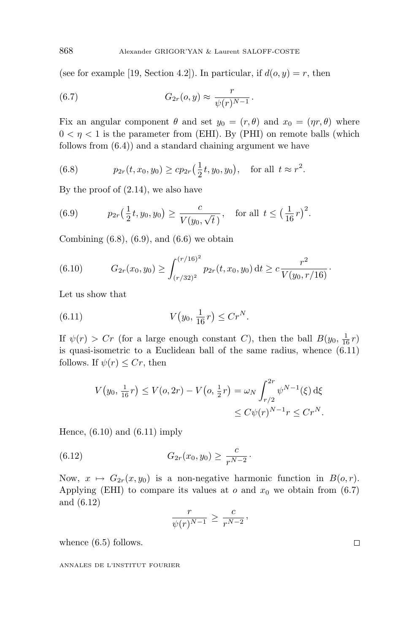(see for example [19, Section 4.2]). In particular, if  $d(o, y) = r$ , then

(6.7) 
$$
G_{2r}(o, y) \approx \frac{r}{\psi(r)^{N-1}}.
$$

Fix an angular component  $\theta$  and set  $y_0 = (r, \theta)$  and  $x_0 = (\eta r, \theta)$  where  $0 < \eta < 1$  is the parameter from (EHI). By (PHI) on remote balls (which follows from (6.4)) and a standard chaining argument we have

(6.8) 
$$
p_{2r}(t, x_0, y_0) \ge c p_{2r}(\frac{1}{2}t, y_0, y_0), \text{ for all } t \approx r^2.
$$

By the proof of (2.14), we also have

(6.9) 
$$
p_{2r}(\frac{1}{2}t, y_0, y_0) \ge \frac{c}{V(y_0, \sqrt{t})}
$$
, for all  $t \le (\frac{1}{16}r)^2$ .

Combining  $(6.8)$ ,  $(6.9)$ , and  $(6.6)$  we obtain

(6.10) 
$$
G_{2r}(x_0, y_0) \geq \int_{(r/32)^2}^{(r/16)^2} p_{2r}(t, x_0, y_0) dt \geq c \frac{r^2}{V(y_0, r/16)}.
$$

Let us show that

(6.11) 
$$
V(y_0, \frac{1}{16}r) \le Cr^N.
$$

If  $\psi(r) > Cr$  (for a large enough constant *C*), then the ball  $B(y_0, \frac{1}{16}r)$ is quasi-isometric to a Euclidean ball of the same radius, whence (6.11) follows. If  $\psi(r) \leq Cr$ , then

$$
V(y_0, \frac{1}{16}r) \le V(o, 2r) - V(o, \frac{1}{2}r) = \omega_N \int_{r/2}^{2r} \psi^{N-1}(\xi) d\xi
$$
  

$$
\le C\psi(r)^{N-1}r \le Cr^N.
$$

Hence,  $(6.10)$  and  $(6.11)$  imply

(6.12) 
$$
G_{2r}(x_0, y_0) \geq \frac{c}{r^{N-2}}.
$$

Now,  $x \mapsto G_{2r}(x, y_0)$  is a non-negative harmonic function in  $B(o, r)$ . Applying (EHI) to compare its values at  $o$  and  $x_0$  we obtain from (6.7) and (6.12)

$$
\frac{r}{\psi(r)^{N-1}} \ge \frac{c}{r^{N-2}},
$$

whence  $(6.5)$  follows.

ANNALES DE L'INSTITUT FOURIER

 $\Box$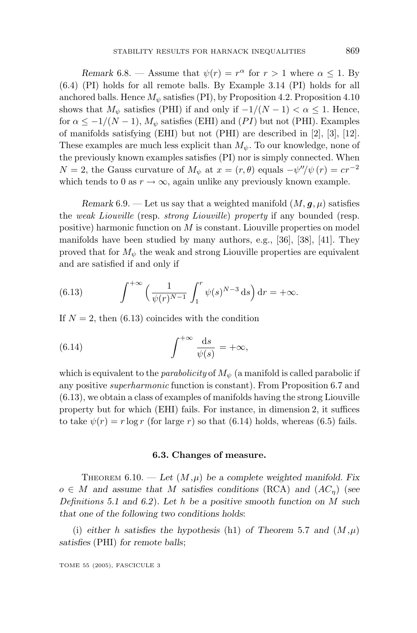*Remark* 6.8. — Assume that  $\psi(r) = r^{\alpha}$  for  $r > 1$  where  $\alpha \leq 1$ . By (6.4) (PI) holds for all remote balls. By Example 3.14 (PI) holds for all anchored balls. Hence  $M_{\psi}$  satisfies (PI), by Proposition 4.2. Proposition 4.10 shows that  $M_{\psi}$  satisfies (PHI) if and only if  $-1/(N-1) < \alpha \leq 1$ . Hence, for  $\alpha \leq -1/(N-1)$ ,  $M_{\psi}$  satisfies (EHI) and (*PI*) but not (PHI). Examples of manifolds satisfying (EHI) but not (PHI) are described in [2], [3], [12]. These examples are much less explicit than *Mψ*. To our knowledge, none of the previously known examples satisfies (PI) nor is simply connected. When  $N = 2$ , the Gauss curvature of  $M_{\psi}$  at  $x = (r, \theta)$  equals  $-\psi''/\psi(r) = cr^{-2}$ which tends to 0 as  $r \to \infty$ , again unlike any previously known example.

*Remark* 6.9. — Let us say that a weighted manifold  $(M, \mathbf{g}, \mu)$  satisfies the weak Liouville (resp. strong Liouville) property if any bounded (resp. positive) harmonic function on *M* is constant. Liouville properties on model manifolds have been studied by many authors, e.g., [36], [38], [41]. They proved that for  $M_{\psi}$  the weak and strong Liouville properties are equivalent and are satisfied if and only if

(6.13) 
$$
\int^{+\infty} \left(\frac{1}{\psi(r)^{N-1}} \int_1^r \psi(s)^{N-3} \, \mathrm{d}s\right) \mathrm{d}r = +\infty.
$$

If  $N = 2$ , then (6.13) coincides with the condition

(6.14) 
$$
\int^{+\infty} \frac{\mathrm{d}s}{\psi(s)} = +\infty,
$$

which is equivalent to the *parabolicity* of  $M_{\psi}$  (a manifold is called parabolic if any positive superharmonic function is constant). From Proposition 6.7 and (6.13), we obtain a class of examples of manifolds having the strong Liouville property but for which (EHI) fails. For instance, in dimension 2, it suffices to take  $\psi(r) = r \log r$  (for large *r*) so that (6.14) holds, whereas (6.5) fails.

#### **6.3. Changes of measure.**

THEOREM  $6.10.$  — Let  $(M,\mu)$  be a complete weighted manifold. Fix  $o \in M$  *and assume that M satisfies conditions* (RCA) *and* ( $AC_n$ ) (*see* Definitions *5.1 and 6.2*)*. Let h be a positive smooth function on M such that one of the following two conditions holds*:

(i) *either h satisfies* the hypothesis (h1) *of Theorem* 5.7 *and*  $(M,\mu)$ *satisfies* (PHI) *for remote balls*;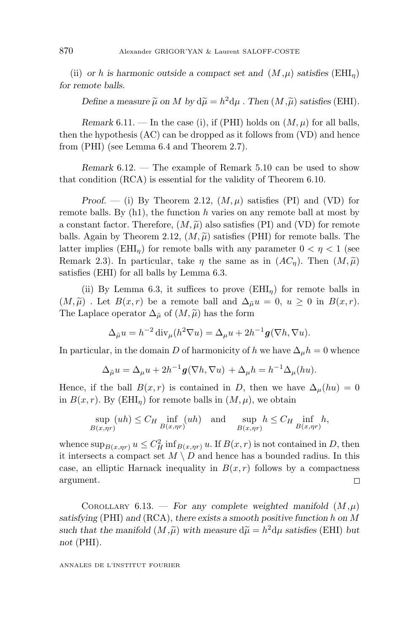(ii) *or h* is harmonic outside a compact set and  $(M,\mu)$  satisfies (EHI<sub>n</sub>) *for remote balls.*

*Define a measure*  $\widetilde{\mu}$  *on M by*  $d\widetilde{\mu} = h^2 d\mu$  *. Then*  $(M, \widetilde{\mu})$  *satisfies* (EHI)*.* 

*Remark* 6.11. — In the case (i), if (PHI) holds on  $(M, \mu)$  for all balls, then the hypothesis (AC) can be dropped as it follows from (VD) and hence from (PHI) (see Lemma 6.4 and Theorem 2.7).

*Remark* 6.12. — The example of Remark 5.10 can be used to show that condition (RCA) is essential for the validity of Theorem 6.10.

*Proof.* — (i) By Theorem 2.12,  $(M, \mu)$  satisfies (PI) and (VD) for remote balls. By (h1), the function *h* varies on any remote ball at most by a constant factor. Therefore,  $(M, \widetilde{\mu})$  also satisfies (PI) and (VD) for remote<br>halls Again by Theorem 2.12 (M $\widetilde{\mu}$ ) satisfies (PHI) for remote halls. The balls. Again by Theorem 2.12,  $(M, \widetilde{\mu})$  satisfies (PHI) for remote balls. The latter implies (EHI) for remote balls with any parameter  $0 < n < 1$  (see latter implies (EHI<sub>n</sub>) for remote balls with any parameter  $0 < \eta < 1$  (see Remark 2.3). In particular, take  $\eta$  the same as in  $(AC_{\eta})$ . Then  $(M,\widetilde{\mu})$ <br>satisfies (EHI) for all halls by Lemma 6.3 satisfies (EHI) for all balls by Lemma 6.3.

(ii) By Lemma 6.3, it suffices to prove  $(EHI_n)$  for remote balls in  $(M, \tilde{\mu})$ . Let  $B(x, r)$  be a remote ball and  $\Delta_{\tilde{\mu}} u = 0$ ,  $u \ge 0$  in  $B(x, r)$ .<br>The Laplace operator  $\Delta z$  of  $(M, \tilde{\mu})$  has the form The Laplace operator  $\Delta_{\tilde{\mu}}$  of  $(M, \tilde{\mu})$  has the form

$$
\Delta_{\tilde{\mu}} u = h^{-2} \operatorname{div}_{\mu} (h^2 \nabla u) = \Delta_{\mu} u + 2h^{-1} \mathbf{g} (\nabla h, \nabla u).
$$

In particular, in the domain *D* of harmonicity of *h* we have  $\Delta_{\mu}h = 0$  whence

$$
\Delta_{\tilde{\mu}} u = \Delta_{\mu} u + 2h^{-1} \mathbf{g}(\nabla h, \nabla u) + \Delta_{\mu} h = h^{-1} \Delta_{\mu}(hu).
$$

Hence, if the ball  $B(x, r)$  is contained in *D*, then we have  $\Delta_{\mu}(hu)=0$ in  $B(x, r)$ . By (EHI<sub>n</sub>) for remote balls in  $(M, \mu)$ , we obtain

$$
\sup_{B(x,\eta r)} (uh) \le C_H \inf_{B(x,\eta r)} (uh) \quad \text{and} \quad \sup_{B(x,\eta r)} h \le C_H \inf_{B(x,\eta r)} h,
$$

whence  $\sup_{B(x,\eta r)} u \leq C_H^2 \inf_{B(x,\eta r)} u$ . If  $B(x,r)$  is not contained in *D*, then it intersects a compact set  $M \setminus D$  and hence has a bounded radius. In this case, an elliptic Harnack inequality in  $B(x, r)$  follows by a compactness argument.  $\Box$ 

COROLLARY 6.13. — For any complete weighted manifold  $(M,\mu)$ *satisfying* (PHI) *and* (RCA), *there exists a smooth positive function h on M* such that the manifold  $(M, \tilde{\mu})$  with measure  $d\tilde{\mu} = h^2 d\mu$  satisfies (EHI) *but* not (PHI) *not* (PHI)*.*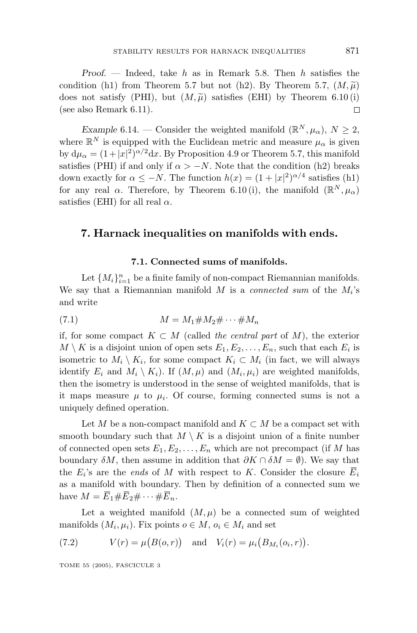*Proof*. — Indeed, take *h* as in Remark 5.8. Then *h* satisfies the condition (h1) from Theorem 5.7 but not (h2). By Theorem 5.7,  $(M, \tilde{\mu})$ <br>does not satisfy (PHI) but  $(M, \tilde{\mu})$  satisfies (EHI) by Theorem 6.10(i) does not satisfy (PHI), but  $(M, \tilde{\mu})$  satisfies (EHI) by Theorem 6.10 (i) (see also Bemark 6.11) (see also Remark 6.11).  $\Box$ 

*Example* 6.14. — Consider the weighted manifold  $(\mathbb{R}^N, \mu_\alpha)$ ,  $N \geq 2$ , where  $\mathbb{R}^N$  is equipped with the Euclidean metric and measure  $\mu_\alpha$  is given by  $d\mu_{\alpha} = (1+|x|^2)^{\alpha/2} dx$ . By Proposition 4.9 or Theorem 5.7, this manifold satisfies (PHI) if and only if  $\alpha > -N$ . Note that the condition (h2) breaks down exactly for  $\alpha \leq -N$ . The function  $h(x) = (1 + |x|^2)^{\alpha/4}$  satisfies (h1) for any real  $\alpha$ . Therefore, by Theorem 6.10 (i), the manifold  $(\mathbb{R}^N, \mu_\alpha)$ satisfies (EHI) for all real  $\alpha$ .

# **7. Harnack inequalities on manifolds with ends.**

#### **7.1. Connected sums of manifolds.**

Let  ${M_i}_{i=1}^n$  be a finite family of non-compact Riemannian manifolds. We say that a Riemannian manifold *M* is a connected sum of the  $M_i$ 's and write

$$
(7.1) \t\t\t M = M_1 \# M_2 \# \cdots \# M_n
$$

if, for some compact *K* ⊂ *M* (called the central part of *M*), the exterior  $M \setminus K$  is a disjoint union of open sets  $E_1, E_2, \ldots, E_n$ , such that each  $E_i$  is isometric to  $M_i \setminus K_i$ , for some compact  $K_i \subset M_i$  (in fact, we will always identify  $E_i$  and  $M_i \setminus K_i$ ). If  $(M, \mu)$  and  $(M_i, \mu_i)$  are weighted manifolds, then the isometry is understood in the sense of weighted manifolds, that is it maps measure  $\mu$  to  $\mu_i$ . Of course, forming connected sums is not a uniquely defined operation.

Let *M* be a non-compact manifold and  $K \subset M$  be a compact set with smooth boundary such that  $M \setminus K$  is a disjoint union of a finite number of connected open sets  $E_1, E_2, \ldots, E_n$  which are not precompact (if M has boundary  $\delta M$ , then assume in addition that  $\partial K \cap \delta M = \emptyset$ ). We say that the  $E_i$ 's are the *ends* of *M* with respect to *K*. Consider the closure  $\overline{E}_i$ as a manifold with boundary. Then by definition of a connected sum we have  $M = \overline{E}_1 \# \overline{E}_2 \# \cdots \# \overline{E}_n$ .

Let a weighted manifold  $(M, \mu)$  be a connected sum of weighted manifolds  $(M_i, \mu_i)$ . Fix points  $o \in M$ ,  $o_i \in M_i$  and set

(7.2) 
$$
V(r) = \mu(B(o, r)) \text{ and } V_i(r) = \mu_i(B_{M_i}(o_i, r)).
$$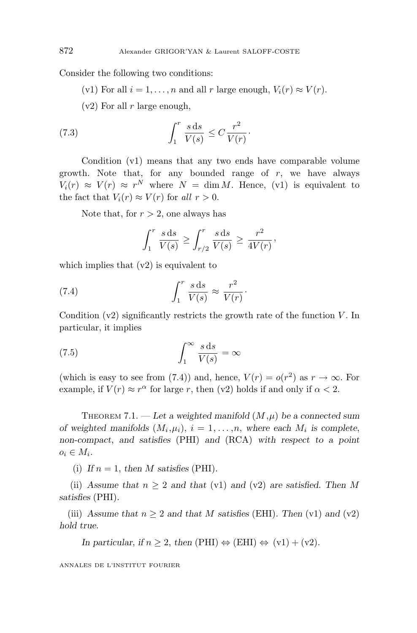Consider the following two conditions:

(v1) For all  $i = 1, \ldots, n$  and all  $r$  large enough,  $V_i(r) \approx V(r)$ .

(v2) For all *r* large enough,

(7.3) 
$$
\int_1^r \frac{s \, \mathrm{d} s}{V(s)} \leq C \frac{r^2}{V(r)}.
$$

Condition (v1) means that any two ends have comparable volume growth. Note that, for any bounded range of *r*, we have always  $V_i(r) \approx V(r) \approx r^N$  where  $N = \dim M$ . Hence, (v1) is equivalent to the fact that  $V_i(r) \approx V(r)$  for all  $r > 0$ .

Note that, for *r >* 2, one always has

$$
\int_1^r \frac{s \, \mathrm{d}s}{V(s)} \ge \int_{r/2}^r \frac{s \, \mathrm{d}s}{V(s)} \ge \frac{r^2}{4V(r)},
$$

which implies that  $(v2)$  is equivalent to

(7.4) 
$$
\int_{1}^{r} \frac{s \, \mathrm{d}s}{V(s)} \approx \frac{r^2}{V(r)}.
$$

Condition (v2) significantly restricts the growth rate of the function *V* . In particular, it implies

(7.5) 
$$
\int_{1}^{\infty} \frac{s \, \mathrm{d}s}{V(s)} = \infty
$$

(which is easy to see from (7.4)) and, hence,  $V(r) = o(r^2)$  as  $r \to \infty$ . For example, if  $V(r) \approx r^{\alpha}$  for large *r*, then (v2) holds if and only if  $\alpha < 2$ .

THEOREM 7.1. — Let a weighted manifold  $(M,\mu)$  be a connected sum *of weighted manifolds*  $(M_i, \mu_i)$ ,  $i = 1, \ldots, n$ , where each  $M_i$  is complete, *non-compact*, *and satisfies* (PHI) *and* (RCA) *with respect to a point*  $o_i \in M_i$ .

(i) If  $n = 1$ , then M satisfies (PHI).

(ii) Assume that  $n \geq 2$  and that (v1) and (v2) are satisfied. Then M *satisfies* (PHI)*.*

(iii) Assume that  $n \geq 2$  and that M satisfies (EHI). Then (v1) and (v2) *hold true.*

*In particular, if*  $n \geq 2$ , *then* (PHI)  $\Leftrightarrow$  (EHI)  $\Leftrightarrow$  (v1) + (v2)*.*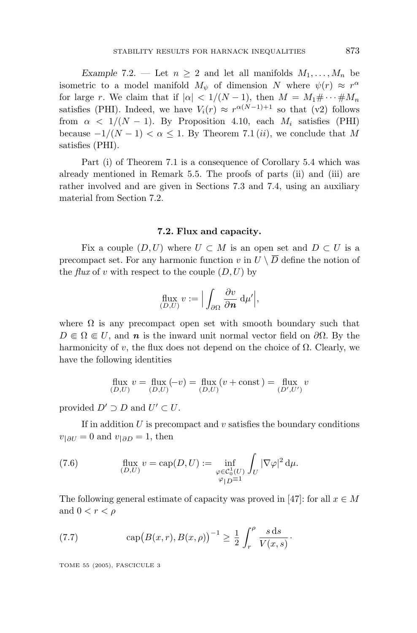*Example* 7.2. — Let  $n \geq 2$  and let all manifolds  $M_1, \ldots, M_n$  be isometric to a model manifold  $M_{\psi}$  of dimension *N* where  $\psi(r) \approx r^{\alpha}$ for large *r*. We claim that if  $|\alpha| < 1/(N-1)$ , then  $M = M_1 \# \cdots \# M_n$ satisfies (PHI). Indeed, we have  $V_i(r) \approx r^{\alpha(N-1)+1}$  so that (v2) follows from  $\alpha$  < 1/(N − 1). By Proposition 4.10, each  $M_i$  satisfies (PHI) because  $-1/(N-1) < \alpha \leq 1$ . By Theorem 7.1 (*ii*), we conclude that M satisfies (PHI).

Part (i) of Theorem 7.1 is a consequence of Corollary 5.4 which was already mentioned in Remark 5.5. The proofs of parts (ii) and (iii) are rather involved and are given in Sections 7.3 and 7.4, using an auxiliary material from Section 7.2.

#### **7.2. Flux and capacity.**

Fix a couple  $(D, U)$  where  $U \subset M$  is an open set and  $D \subset U$  is a precompact set. For any harmonic function *v* in  $U \setminus \overline{D}$  define the notion of the *flux* of *v* with respect to the couple  $(D, U)$  by

$$
\text{flux}_{(D,U)} v := \Big| \int_{\partial \Omega} \frac{\partial v}{\partial n} \, \mathrm{d} \mu' \Big|,
$$

where  $\Omega$  is any precompact open set with smooth boundary such that  $D \in \Omega \in U$ , and *n* is the inward unit normal vector field on  $\partial \Omega$ . By the harmonicity of *v*, the flux does not depend on the choice of  $\Omega$ . Clearly, we have the following identities

$$
\mathop{\rm flux}_{(D,U)} v = \mathop{\rm flux}_{(D,U)} (-v) = \mathop{\rm flux}_{(D,U)} (v + {\rm const\,}) = \mathop{\rm flux}_{(D',U')} v
$$

provided  $D' \supset D$  and  $U' \subset U$ .

If in addition  $U$  is precompact and  $v$  satisfies the boundary conditions  $v_{\parallel \partial U} = 0$  and  $v_{\parallel \partial D} = 1$ , then

(7.6) 
$$
\operatorname{flux}_{(D,U)} v = \operatorname{cap}(D, U) := \inf_{\substack{\varphi \in C_0^1(U) \\ \varphi_{|D} = 1}} \int_U |\nabla \varphi|^2 d\mu.
$$

The following general estimate of capacity was proved in [47]: for all  $x \in M$ and  $0 < r < \rho$ 

(7.7) 
$$
\exp(B(x,r),B(x,\rho))^{-1} \ge \frac{1}{2} \int_r^{\rho} \frac{s \, ds}{V(x,s)}.
$$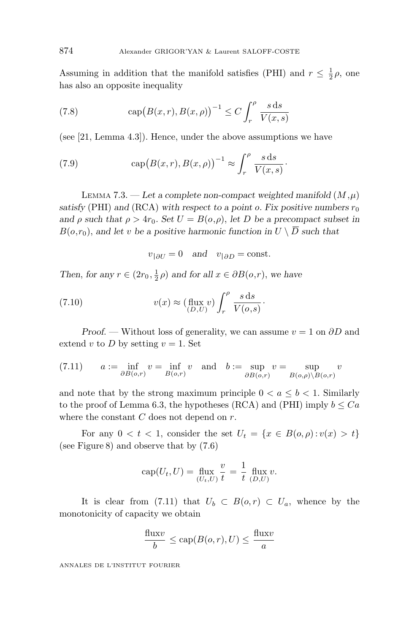Assuming in addition that the manifold satisfies (PHI) and  $r \leq \frac{1}{2}\rho$ , one has also an opposite inequality

(7.8) 
$$
\operatorname{cap}(B(x,r),B(x,\rho))^{-1} \le C \int_r^{\rho} \frac{s \, \mathrm{d}s}{V(x,s)}
$$

(see [21, Lemma 4.3]). Hence, under the above assumptions we have

(7.9) 
$$
\operatorname{cap}(B(x,r),B(x,\rho))^{-1} \approx \int_r^{\rho} \frac{s \, \mathrm{d}s}{V(x,s)}.
$$

LEMMA 7.3. — Let a complete non-compact weighted manifold  $(M,\mu)$ *satisfy* (PHI) and (RCA) with respect to a point *o*. Fix positive numbers  $r_0$ *and*  $\rho$  *such that*  $\rho > 4r_0$ *. Set*  $U = B(o, \rho)$ *, let D be a precompact subset in*  $B(o,r_0)$ , and let *v* be a positive harmonic function in  $U \setminus \overline{D}$  such that

$$
v_{\vert \partial U} = 0
$$
 and  $v_{\vert \partial D} = \text{const.}$ 

*Then, for any*  $r \in (2r_0, \frac{1}{2}\rho)$  *and for all*  $x \in \partial B(o, r)$ *, we have* 

(7.10) 
$$
v(x) \approx (\text{flux } v) \int_r^{\rho} \frac{s \, \text{d}s}{V(o,s)}.
$$

*Proof*. — Without loss of generality, we can assume *v* = 1 on *∂D* and extend *v* to *D* by setting  $v = 1$ . Set

(7.11) 
$$
a := \inf_{\partial B(o,r)} v = \inf_{B(o,r)} v \text{ and } b := \sup_{\partial B(o,r)} v = \sup_{B(o,\rho) \setminus B(o,r)} v
$$

and note that by the strong maximum principle  $0 < a \leq b < 1$ . Similarly to the proof of Lemma 6.3, the hypotheses (RCA) and (PHI) imply  $b \leq Ca$ where the constant *C* does not depend on *r*.

For any  $0 < t < 1$ , consider the set  $U_t = \{x \in B(o, \rho) : v(x) > t\}$ (see Figure 8) and observe that by (7.6)

$$
cap(U_t, U) = \lim_{(U_t, U)} \frac{v}{t} = \frac{1}{t} \lim_{(D,U)} v.
$$

It is clear from (7.11) that  $U_b \subset B(o,r) \subset U_a$ , whence by the monotonicity of capacity we obtain

$$
\frac{\text{flux}v}{b} \le \text{cap}(B(o, r), U) \le \frac{\text{flux}v}{a}
$$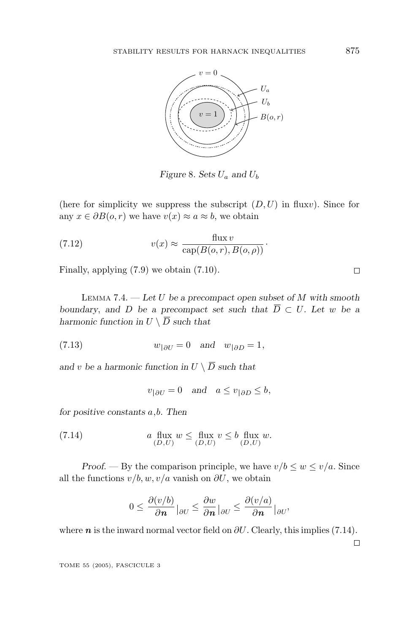

*Figure* 8*. Sets U<sup>a</sup> and U<sup>b</sup>*

(here for simplicity we suppress the subscript  $(D, U)$  in flux*v*). Since for any  $x \in \partial B(o, r)$  we have  $v(x) \approx a \approx b$ , we obtain

(7.12) 
$$
v(x) \approx \frac{\text{flux } v}{\text{cap}(B(o, r), B(o, \rho))}.
$$

Finally, applying (7.9) we obtain (7.10).

LEMMA 7.4. — *Let U be a precompact open subset of M with smooth boundary*, and *D be a precompact set such that*  $\overline{D} \subset U$ *. Let w be a harmonic function in*  $U \setminus \overline{D}$  *such that* 

(7.13) 
$$
w_{\vert \partial U} = 0 \quad \text{and} \quad w_{\vert \partial D} = 1,
$$

*and v be a harmonic function in*  $U \setminus \overline{D}$  *such that* 

$$
v_{|\partial U} = 0 \quad \text{and} \quad a \le v_{|\partial D} \le b,
$$

*for positive constants a,b. Then*

(7.14) 
$$
a \lim_{(D,U)} w \leq \lim_{(D,U)} v \leq b \lim_{(D,U)} w.
$$

*Proof.* — By the comparison principle, we have  $v/b \leq w \leq v/a$ . Since all the functions  $v/b$ ,  $w$ ,  $v/a$  vanish on  $\partial U$ , we obtain

$$
0 \le \frac{\partial (v/b)}{\partial n}\Big|_{\partial U} \le \frac{\partial w}{\partial n}\Big|_{\partial U} \le \frac{\partial (v/a)}{\partial n}\Big|_{\partial U},
$$

where  $n$  is the inward normal vector field on  $\partial U$ . Clearly, this implies (7.14).

 $\Box$ 

TOME 55 (2005), FASCICULE 3

 $\Box$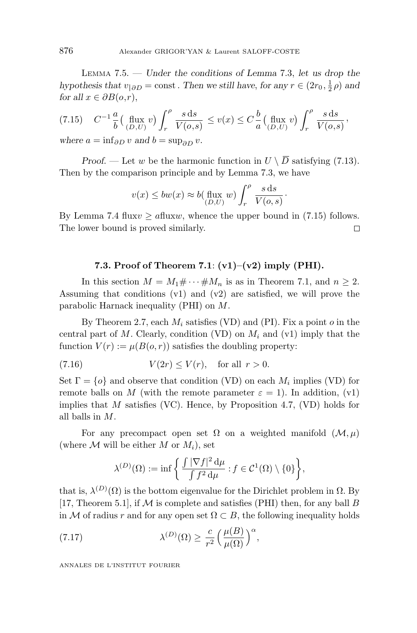LEMMA 7.5. — *Under the conditions of Lemma* 7*.*3, *let us drop the hypothesis that*  $v_{|\partial D} = \text{const.}$  *Then we still have, for any*  $r \in (2r_0, \frac{1}{2}\rho)$  *and for all*  $x \in \partial B(o,r)$ ,

$$
(7.15) \t C^{-1} \frac{a}{b} \left( \lim_{(D,U)} v \right) \int_r^{\rho} \frac{s \, ds}{V(o,s)} \le v(x) \le C \frac{b}{a} \left( \lim_{(D,U)} v \right) \int_r^{\rho} \frac{s \, ds}{V(o,s)},
$$

*where*  $a = \inf_{\partial D} v$  *and*  $b = \sup_{\partial D} v$ *.* 

*Proof.* — Let *w* be the harmonic function in  $U \setminus \overline{D}$  satisfying (7.13). Then by the comparison principle and by Lemma 7.3, we have

$$
v(x) \le bw(x) \approx b(\lim_{(D,U)} w) \int_r^{\rho} \frac{s \, ds}{V(o,s)}
$$

·

By Lemma 7.4 flux $v \ge a$  flux $w$ , whence the upper bound in (7.15) follows. The lower bound is proved similarly.  $\Box$ 

#### **7.3. Proof of Theorem 7.1**: **(v1)–(v2) imply (PHI).**

In this section  $M = M_1 \# \cdots \# M_n$  is as in Theorem 7.1, and  $n \geq 2$ . Assuming that conditions (v1) and (v2) are satisfied, we will prove the parabolic Harnack inequality (PHI) on *M*.

By Theorem 2.7, each *M<sup>i</sup>* satisfies (VD) and (PI). Fix a point *o* in the central part of *M*. Clearly, condition (VD) on  $M_i$  and (v1) imply that the function  $V(r) := \mu(B(o, r))$  satisfies the doubling property:

$$
(7.16) \t\t V(2r) \le V(r), \tfor all r > 0.
$$

Set  $\Gamma = \{o\}$  and observe that condition (VD) on each  $M_i$  implies (VD) for remote balls on *M* (with the remote parameter  $\varepsilon = 1$ ). In addition, (v1) implies that *M* satisfies (VC). Hence, by Proposition 4.7, (VD) holds for all balls in *M*.

For any precompact open set  $\Omega$  on a weighted manifold  $(\mathcal{M}, \mu)$ (where  $M$  will be either  $M$  or  $M_i$ ), set

$$
\lambda^{(D)}(\Omega) := \inf \left\{ \frac{\int |\nabla f|^2 d\mu}{\int f^2 d\mu} : f \in C^1(\Omega) \setminus \{0\} \right\},\
$$

that is,  $\lambda^{(D)}(\Omega)$  is the bottom eigenvalue for the Dirichlet problem in  $\Omega$ . By [17, Theorem 5.1], if  $M$  is complete and satisfies (PHI) then, for any ball  $B$ in M of radius r and for any open set  $\Omega \subset B$ , the following inequality holds

(7.17) 
$$
\lambda^{(D)}(\Omega) \ge \frac{c}{r^2} \left(\frac{\mu(B)}{\mu(\Omega)}\right)^{\alpha},
$$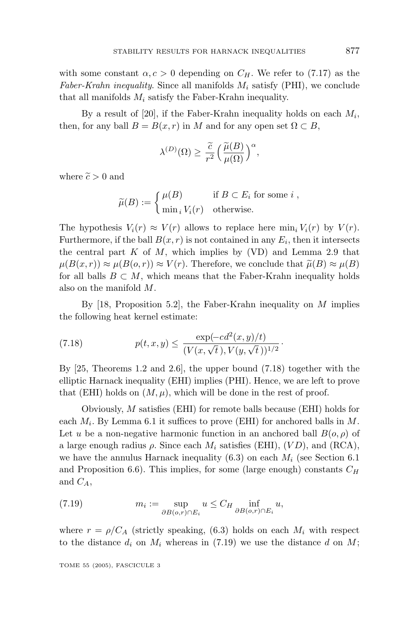with some constant  $\alpha$ ,  $c > 0$  depending on  $C_H$ . We refer to (7.17) as the Faber-Krahn inequality. Since all manifolds  $M_i$  satisfy (PHI), we conclude that all manifolds *M<sup>i</sup>* satisfy the Faber-Krahn inequality.

By a result of [20], if the Faber-Krahn inequality holds on each *Mi*, then, for any ball  $B = B(x, r)$  in *M* and for any open set  $\Omega \subset B$ ,

$$
\lambda^{(D)}(\Omega) \ge \frac{\widetilde{c}}{r^2} \left( \frac{\widetilde{\mu}(B)}{\mu(\Omega)} \right)^{\alpha},
$$

where  $\tilde{c} > 0$  and

$$
\widetilde{\mu}(B) := \begin{cases} \mu(B) & \text{if } B \subset E_i \text{ for some } i, \\ \min_i V_i(r) & \text{otherwise.} \end{cases}
$$

The hypothesis  $V_i(r) \approx V(r)$  allows to replace here  $\min_i V_i(r)$  by  $V(r)$ . Furthermore, if the ball  $B(x, r)$  is not contained in any  $E_i$ , then it intersects the central part  $K$  of  $M$ , which implies by (VD) and Lemma 2.9 that  $\mu(B(x,r)) \approx \mu(B(o,r)) \approx V(r)$ . Therefore, we conclude that  $\tilde{\mu}(B) \approx \mu(B)$ <br>for all balls  $B \subset M$ , which means that the Faber-Krahn inequality holds for all balls  $B \subset M$ , which means that the Faber-Krahn inequality holds also on the manifold *M*.

By [18, Proposition 5.2], the Faber-Krahn inequality on *M* implies the following heat kernel estimate:

(7.18) 
$$
p(t, x, y) \le \frac{\exp(-cd^2(x, y)/t)}{(V(x, \sqrt{t}), V(y, \sqrt{t}))^{1/2}}.
$$

By [25, Theorems 1.2 and 2.6], the upper bound (7.18) together with the elliptic Harnack inequality (EHI) implies (PHI). Hence, we are left to prove that (EHI) holds on  $(M, \mu)$ , which will be done in the rest of proof.

Obviously, *M* satisfies (EHI) for remote balls because (EHI) holds for each  $M_i$ . By Lemma 6.1 it suffices to prove (EHI) for anchored balls in  $M$ . Let *u* be a non-negative harmonic function in an anchored ball  $B(o, \rho)$  of a large enough radius  $\rho$ . Since each  $M_i$  satisfies (EHI),  $(VD)$ , and  $(RCA)$ , we have the annulus Harnack inequality  $(6.3)$  on each  $M_i$  (see Section 6.1) and Proposition 6.6). This implies, for some (large enough) constants *C<sup>H</sup>* and  $C_A$ ,

(7.19) 
$$
m_i := \sup_{\partial B(o,r) \cap E_i} u \leq C_H \inf_{\partial B(o,r) \cap E_i} u,
$$

where  $r = \rho/C_A$  (strictly speaking, (6.3) holds on each  $M_i$  with respect to the distance  $d_i$  on  $M_i$  whereas in (7.19) we use the distance  $d$  on  $M$ ;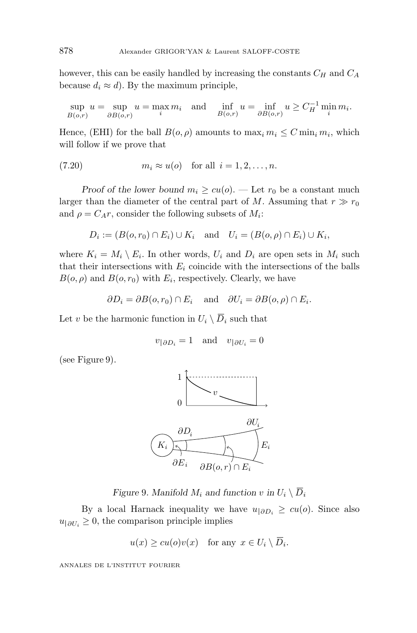however, this can be easily handled by increasing the constants *C<sup>H</sup>* and *C<sup>A</sup>* because  $d_i \approx d$ ). By the maximum principle,

$$
\sup_{B(o,r)} u = \sup_{\partial B(o,r)} u = \max_i m_i \quad \text{and} \quad \inf_{B(o,r)} u = \inf_{\partial B(o,r)} u \ge C_H^{-1} \min_i m_i.
$$

Hence, (EHI) for the ball  $B(o, \rho)$  amounts to  $\max_i m_i \leq C \min_i m_i$ , which will follow if we prove that

$$
(7.20) \t m_i \approx u(o) \t for all i = 1, 2, ..., n.
$$

*Proof of the lower bound*  $m_i \geq cu(o)$ . — Let  $r_0$  be a constant much larger than the diameter of the central part of *M*. Assuming that  $r \gg r_0$ and  $\rho = C_A r$ , consider the following subsets of  $M_i$ :

$$
D_i := (B(o, r_0) \cap E_i) \cup K_i
$$
 and  $U_i = (B(o, \rho) \cap E_i) \cup K_i$ ,

where  $K_i = M_i \setminus E_i$ . In other words,  $U_i$  and  $D_i$  are open sets in  $M_i$  such that their intersections with  $E_i$  coincide with the intersections of the balls  $B(o, \rho)$  and  $B(o, r_0)$  with  $E_i$ , respectively. Clearly, we have

$$
\partial D_i = \partial B(o, r_0) \cap E_i
$$
 and  $\partial U_i = \partial B(o, \rho) \cap E_i$ .

Let *v* be the harmonic function in  $U_i \setminus \overline{D}_i$  such that

$$
v_{|\partial D_i} = 1 \quad \text{and} \quad v_{|\partial U_i} = 0
$$

(see Figure 9).



*Figure* 9*. Manifold*  $M_i$  *and function*  $v$  *in*  $U_i \setminus \overline{D}_i$ 

By a local Harnack inequality we have  $u_{\vert \partial D_i} \geq cu(o)$ . Since also  $u_{\vert \partial U_i} \geq 0$ , the comparison principle implies

$$
u(x) \ge cu(o)v(x)
$$
 for any  $x \in U_i \setminus D_i$ .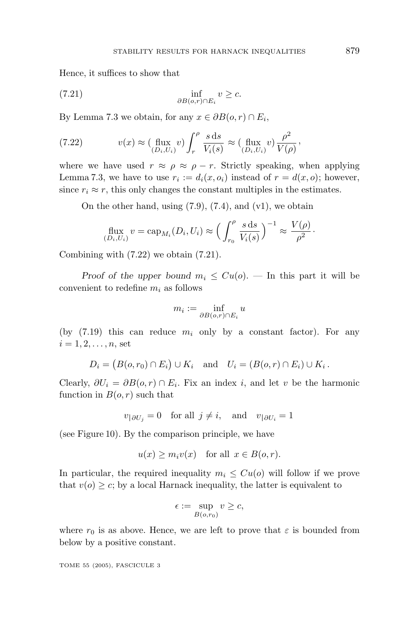Hence, it suffices to show that

(7.21) 
$$
\inf_{\partial B(o,r) \cap E_i} v \geq c.
$$

By Lemma 7.3 we obtain, for any  $x \in \partial B(0, r) \cap E_i$ ,

(7.22) 
$$
v(x) \approx \left(\lim_{(D_i, U_i)} v\right) \int_r^{\rho} \frac{s \, \mathrm{d}s}{V_i(s)} \approx \left(\lim_{(D_i, U_i)} v\right) \frac{\rho^2}{V(\rho)},
$$

where we have used  $r \approx \rho \approx \rho - r$ . Strictly speaking, when applying Lemma 7.3, we have to use  $r_i := d_i(x, o_i)$  instead of  $r = d(x, o)$ ; however, since  $r_i \approx r$ , this only changes the constant multiples in the estimates.

On the other hand, using  $(7.9)$ ,  $(7.4)$ , and  $(v1)$ , we obtain

$$
\text{flux}_{(D_i, U_i)} v = \text{cap}_{M_i}(D_i, U_i) \approx \left(\int_{r_0}^{\rho} \frac{s \, \text{d}s}{V_i(s)}\right)^{-1} \approx \frac{V(\rho)}{\rho^2}.
$$

Combining with (7.22) we obtain (7.21).

*Proof of the upper bound*  $m_i \leq Cu(o)$ . — In this part it will be convenient to redefine *m<sup>i</sup>* as follows

$$
m_i := \inf_{\partial B(o,r) \cap E_i} u
$$

(by  $(7.19)$  this can reduce  $m_i$  only by a constant factor). For any  $i = 1, 2, \ldots, n$ , set

$$
D_i = (B(o, r_0) \cap E_i) \cup K_i \quad \text{and} \quad U_i = (B(o, r) \cap E_i) \cup K_i.
$$

Clearly,  $\partial U_i = \partial B(o, r) \cap E_i$ . Fix an index *i*, and let *v* be the harmonic function in  $B(o, r)$  such that

$$
v_{|\partial U_j} = 0
$$
 for all  $j \neq i$ , and  $v_{|\partial U_i} = 1$ 

(see Figure 10). By the comparison principle, we have

$$
u(x) \ge m_i v(x)
$$
 for all  $x \in B(o, r)$ .

In particular, the required inequality  $m_i \leq Cu(o)$  will follow if we prove that  $v(o) \geq c$ ; by a local Harnack inequality, the latter is equivalent to

$$
\epsilon := \sup_{B(o,r_0)} v \ge c,
$$

where  $r_0$  is as above. Hence, we are left to prove that  $\varepsilon$  is bounded from below by a positive constant.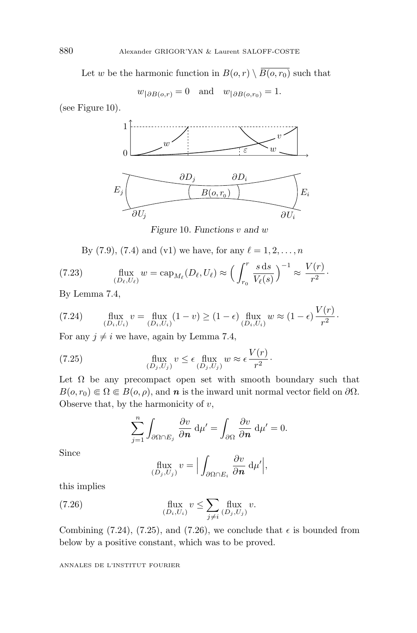Let *w* be the harmonic function in  $B(o, r) \setminus \overline{B(o, r_0)}$  such that

$$
w_{|\partial B(o,r)} = 0
$$
 and  $w_{|\partial B(o,r_0)} = 1$ .

(see Figure 10).



*Figure* 10*. Functions v and w*

By (7.9), (7.4) and (v1) we have, for any  $\ell = 1, 2, ..., n$ 

(7.23) 
$$
\qquad \qquad \text{flux}_{(D_{\ell},U_{\ell})} w = \text{cap}_{M_{\ell}}(D_{\ell},U_{\ell}) \approx \Big(\int_{r_0}^r \frac{s \, \mathrm{d}s}{V_{\ell}(s)}\Big)^{-1} \approx \frac{V(r)}{r^2}.
$$

By Lemma 7.4,

$$
(7.24) \qquad \lim_{(D_i, U_i)} v = \lim_{(D_i, U_i)} (1 - v) \ge (1 - \epsilon) \lim_{(D_i, U_i)} w \approx (1 - \epsilon) \frac{V(r)}{r^2}.
$$

For any  $j \neq i$  we have, again by Lemma 7.4,

(7.25) 
$$
\qquad \qquad \text{flux} \quad v \leq \epsilon \quad \text{flux} \quad w \approx \epsilon \frac{V(r)}{r^2}.
$$

Let  $\Omega$  be any precompact open set with smooth boundary such that  $B(o, r_0) \in \Omega \in B(o, \rho)$ , and *n* is the inward unit normal vector field on  $\partial \Omega$ . Observe that, by the harmonicity of *v*,

$$
\sum_{j=1}^{n} \int_{\partial \Omega \cap E_j} \frac{\partial v}{\partial n} d\mu' = \int_{\partial \Omega} \frac{\partial v}{\partial n} d\mu' = 0.
$$

Since

$$
\lim_{(D_j, U_j)} v = \Big| \int_{\partial \Omega \cap E_i} \frac{\partial v}{\partial n} d\mu' \Big|,
$$

this implies

(7.26) 
$$
\qquad \qquad \text{flux } v \leq \sum_{j \neq i} \lim_{(D_j, U_j)} v.
$$

Combining (7.24), (7.25), and (7.26), we conclude that  $\epsilon$  is bounded from below by a positive constant, which was to be proved.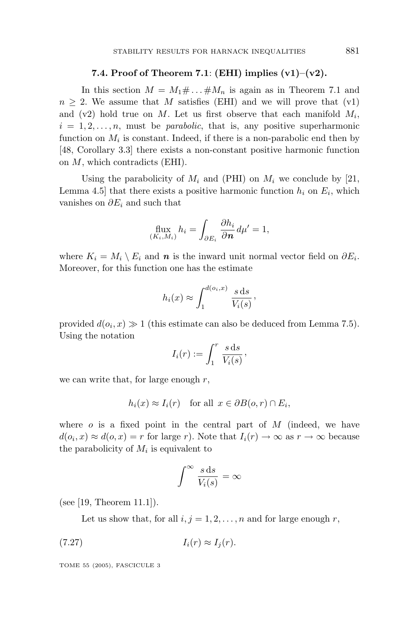#### **7.4. Proof of Theorem 7.1**: **(EHI) implies (v1)–(v2).**

In this section  $M = M_1 \# \dots \# M_n$  is again as in Theorem 7.1 and  $n \geq 2$ . We assume that *M* satisfies (EHI) and we will prove that (v1) and  $(v2)$  hold true on *M*. Let us first observe that each manifold  $M_i$ ,  $i = 1, 2, \ldots, n$ , must be *parabolic*, that is, any positive superharmonic function on  $M_i$  is constant. Indeed, if there is a non-parabolic end then by [48, Corollary 3.3] there exists a non-constant positive harmonic function on *M*, which contradicts (EHI).

Using the parabolicity of  $M_i$  and (PHI) on  $M_i$  we conclude by [21, Lemma 4.5 that there exists a positive harmonic function  $h_i$  on  $E_i$ , which vanishes on *∂E<sup>i</sup>* and such that

$$
\lim_{(K_i,M_i)} h_i = \int_{\partial E_i} \frac{\partial h_i}{\partial \mathbf{n}} d\mu' = 1,
$$

where  $K_i = M_i \setminus E_i$  and *n* is the inward unit normal vector field on  $\partial E_i$ . Moreover, for this function one has the estimate

$$
h_i(x) \approx \int_1^{d(o_i, x)} \frac{s \, \mathrm{d}s}{V_i(s)},
$$

provided  $d(o_i, x) \gg 1$  (this estimate can also be deduced from Lemma 7.5). Using the notation

$$
I_i(r) := \int_1^r \frac{s \, \mathrm{d}s}{V_i(s)},
$$

we can write that, for large enough *r*,

$$
h_i(x) \approx I_i(r)
$$
 for all  $x \in \partial B(0, r) \cap E_i$ ,

where *o* is a fixed point in the central part of *M* (indeed, we have  $d(o_i, x) \approx d(o, x) = r$  for large *r*). Note that  $I_i(r) \to \infty$  as  $r \to \infty$  because the parabolicity of  $M_i$  is equivalent to

$$
\int^{\infty} \frac{s \, \mathrm{d}s}{V_i(s)} = \infty
$$

(see [19, Theorem 11.1]).

Let us show that, for all  $i, j = 1, 2, \ldots, n$  and for large enough r,

$$
(7.27) \t\t I_i(r) \approx I_j(r).
$$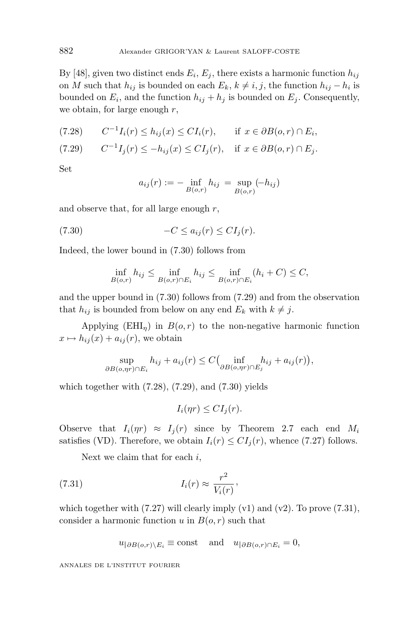By [48], given two distinct ends  $E_i, E_j$ , there exists a harmonic function  $h_{ij}$ on *M* such that  $h_{ij}$  is bounded on each  $E_k$ ,  $k \neq i, j$ , the function  $h_{ij} - h_i$  is bounded on  $E_i$ , and the function  $h_{ij} + h_j$  is bounded on  $E_j$ . Consequently, we obtain, for large enough *r*,

$$
(7.28) \qquad C^{-1}I_i(r) \le h_{ij}(x) \le CI_i(r), \qquad \text{if } x \in \partial B(o, r) \cap E_i,
$$

$$
(7.29) \qquad C^{-1}I_j(r) \le -h_{ij}(x) \le CI_j(r), \quad \text{if } x \in \partial B(0, r) \cap E_j.
$$

Set

$$
a_{ij}(r) := -\inf_{B(o,r)} h_{ij} = \sup_{B(o,r)} (-h_{ij})
$$

and observe that, for all large enough *r*,

$$
(7.30) \t -C \le a_{ij}(r) \le CI_j(r).
$$

Indeed, the lower bound in (7.30) follows from

$$
\inf_{B(o,r)} h_{ij} \le \inf_{B(o,r) \cap E_i} h_{ij} \le \inf_{B(o,r) \cap E_i} (h_i + C) \le C,
$$

and the upper bound in (7.30) follows from (7.29) and from the observation that  $h_{ij}$  is bounded from below on any end  $E_k$  with  $k \neq j$ .

Applying  $(EHI<sub>\eta</sub>)$  in  $B(o, r)$  to the non-negative harmonic function  $x \mapsto h_{ij}(x) + a_{ij}(r)$ , we obtain

$$
\sup_{\partial B(o,\eta r) \cap E_i} h_{ij} + a_{ij}(r) \le C \Big(\inf_{\partial B(o,\eta r) \cap E_j} h_{ij} + a_{ij}(r)\Big),
$$

which together with  $(7.28)$ ,  $(7.29)$ , and  $(7.30)$  yields

$$
I_i(\eta r) \leq CI_j(r).
$$

Observe that  $I_i(\eta r) \approx I_i(r)$  since by Theorem 2.7 each end  $M_i$ satisfies (VD). Therefore, we obtain  $I_i(r) \leq CI_i(r)$ , whence (7.27) follows.

Next we claim that for each *i*,

(7.31) 
$$
I_i(r) \approx \frac{r^2}{V_i(r)},
$$

which together with  $(7.27)$  will clearly imply  $(v1)$  and  $(v2)$ . To prove  $(7.31)$ , consider a harmonic function  $u$  in  $B(o, r)$  such that

$$
u_{|\partial B(o,r)\setminus E_i} \equiv \text{const} \quad \text{and} \quad u_{|\partial B(o,r)\cap E_i} = 0,
$$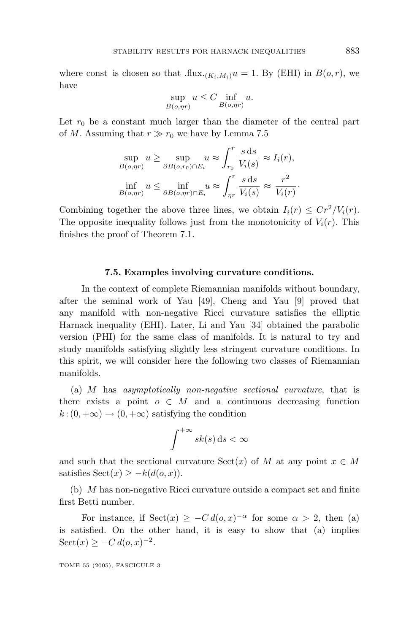where const is chosen so that  $\text{flux.}(K_i, M_i)u = 1$ . By (EHI) in  $B(o, r)$ , we have

$$
\sup_{B(o,\eta r)} u \le C \inf_{B(o,\eta r)} u.
$$

Let  $r_0$  be a constant much larger than the diameter of the central part of *M*. Assuming that  $r \gg r_0$  we have by Lemma 7.5

$$
\sup_{B(o, \eta r)} u \ge \sup_{\partial B(o, r_0) \cap E_i} u \approx \int_{r_0}^r \frac{s \, ds}{V_i(s)} \approx I_i(r),
$$
  

$$
\inf_{B(o, \eta r)} u \le \inf_{\partial B(o, \eta r) \cap E_i} u \approx \int_{\eta r}^r \frac{s \, ds}{V_i(s)} \approx \frac{r^2}{V_i(r)}.
$$

Combining together the above three lines, we obtain  $I_i(r) \leq Cr^2/V_i(r)$ . The opposite inequality follows just from the monotonicity of  $V_i(r)$ . This finishes the proof of Theorem 7.1.

#### **7.5. Examples involving curvature conditions.**

In the context of complete Riemannian manifolds without boundary, after the seminal work of Yau [49], Cheng and Yau [9] proved that any manifold with non-negative Ricci curvature satisfies the elliptic Harnack inequality (EHI). Later, Li and Yau [34] obtained the parabolic version (PHI) for the same class of manifolds. It is natural to try and study manifolds satisfying slightly less stringent curvature conditions. In this spirit, we will consider here the following two classes of Riemannian manifolds.

(a) *M* has asymptotically non-negative sectional curvature, that is there exists a point  $o \in M$  and a continuous decreasing function  $k:(0, +\infty) \to (0, +\infty)$  satisfying the condition

$$
\int^{+\infty} sk(s) \, \mathrm{d} s < \infty
$$

and such that the sectional curvature  $Sect(x)$  of *M* at any point  $x \in M$ satisfies  $Sect(x) \geq -k(d(o,x)).$ 

(b) *M* has non-negative Ricci curvature outside a compact set and finite first Betti number.

For instance, if  $Sect(x) \geq -C d(o,x)^{-\alpha}$  for some  $\alpha > 2$ , then (a) is satisfied. On the other hand, it is easy to show that (a) implies  $Sect(x) \geq -C d(o, x)^{-2}$ .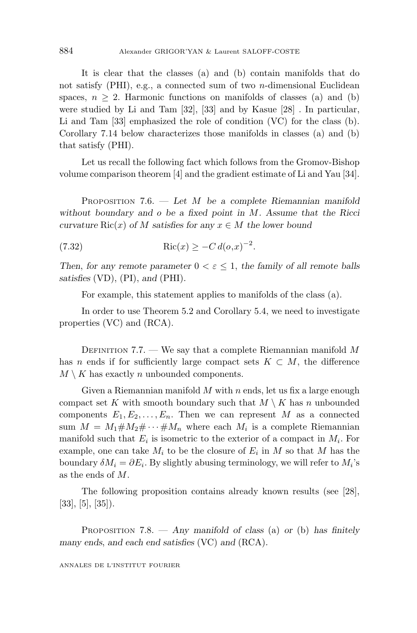It is clear that the classes (a) and (b) contain manifolds that do not satisfy (PHI), e.g., a connected sum of two *n*-dimensional Euclidean spaces,  $n \geq 2$ . Harmonic functions on manifolds of classes (a) and (b) were studied by Li and Tam [32], [33] and by Kasue [28] . In particular, Li and Tam [33] emphasized the role of condition (VC) for the class (b). Corollary 7.14 below characterizes those manifolds in classes (a) and (b) that satisfy (PHI).

Let us recall the following fact which follows from the Gromov-Bishop volume comparison theorem [4] and the gradient estimate of Li and Yau [34].

PROPOSITION 7.6. — *Let M be a complete Riemannian manifold without boundary and o be a fixed point in M. Assume that the Ricci curvature*  $Ric(x)$  *of M satisfies for any*  $x \in M$  *the lower bound* 

(7.32) 
$$
\text{Ric}(x) \ge -C d(o,x)^{-2}.
$$

*Then, for any remote parameter*  $0 < \varepsilon \leq 1$ , *the family of all remote balls satisfies* (VD), (PI), *and* (PHI)*.*

For example, this statement applies to manifolds of the class (a).

In order to use Theorem 5.2 and Corollary 5.4, we need to investigate properties (VC) and (RCA).

DEFINITION 7.7. — We say that a complete Riemannian manifold *M* has *n* ends if for sufficiently large compact sets  $K \subset M$ , the difference  $M \setminus K$  has exactly *n* unbounded components.

Given a Riemannian manifold *M* with *n* ends, let us fix a large enough compact set *K* with smooth boundary such that  $M \setminus K$  has *n* unbounded components  $E_1, E_2, \ldots, E_n$ . Then we can represent M as a connected sum  $M = M_1 \# M_2 \# \cdots \# M_n$  where each  $M_i$  is a complete Riemannian manifold such that  $E_i$  is isometric to the exterior of a compact in  $M_i$ . For example, one can take  $M_i$  to be the closure of  $E_i$  in  $M$  so that  $M$  has the boundary  $\delta M_i = \partial E_i$ . By slightly abusing terminology, we will refer to  $M_i$ 's as the ends of *M*.

The following proposition contains already known results (see [28], [33], [5], [35]).

PROPOSITION 7.8. — *Any manifold of class* (a) *or* (b) *has finitely many ends*, *and each end satisfies* (VC) *and* (RCA)*.*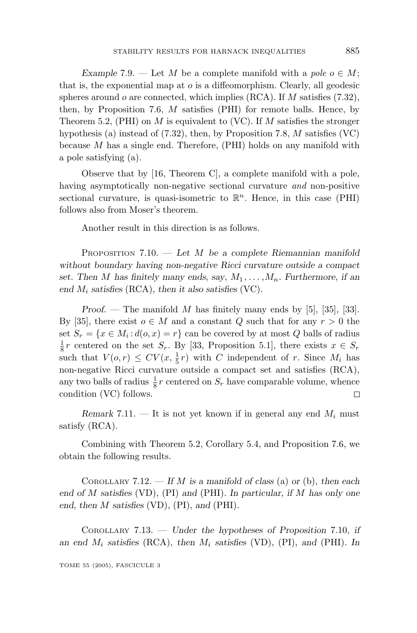*Example* 7.9. — Let *M* be a complete manifold with a pole  $o \in M$ ; that is, the exponential map at *o* is a diffeomorphism. Clearly, all geodesic spheres around *o* are connected, which implies (RCA). If *M* satisfies (7.32), then, by Proposition 7.6, *M* satisfies (PHI) for remote balls. Hence, by Theorem 5.2, (PHI) on *M* is equivalent to (VC). If *M* satisfies the stronger hypothesis (a) instead of (7.32), then, by Proposition 7.8, *M* satisfies (VC) because *M* has a single end. Therefore, (PHI) holds on any manifold with a pole satisfying (a).

Observe that by [16, Theorem C], a complete manifold with a pole, having asymptotically non-negative sectional curvature and non-positive sectional curvature, is quasi-isometric to  $\mathbb{R}^n$ . Hence, in this case (PHI) follows also from Moser's theorem.

Another result in this direction is as follows.

PROPOSITION 7.10. — *Let M be a complete Riemannian manifold without boundary having non-negative Ricci curvature outside a compact set.* Then *M* has finitely many ends, say,  $M_1, \ldots, M_n$ . Furthermore, if an *end M<sup>i</sup> satisfies* (RCA), *then it also satisfies* (VC)*.*

*Proof*. — The manifold *M* has finitely many ends by [5], [35], [33]. By [35], there exist  $o \in M$  and a constant *Q* such that for any  $r > 0$  the set  $S_r = \{x \in M_i : d(o, x) = r\}$  can be covered by at most *Q* balls of radius  $\frac{1}{8}r$  centered on the set  $S_r$ . By [33, Proposition 5.1], there exists  $x \in S_r$ such that  $V(o,r) \le CV(x, \frac{1}{5}r)$  with *C* independent of *r*. Since  $M_i$  has non-negative Ricci curvature outside a compact set and satisfies (RCA), any two balls of radius  $\frac{1}{8}r$  centered on  $S_r$  have comparable volume, whence condition (VC) follows. 口

*Remark* 7.11. — It is not yet known if in general any end  $M_i$  must satisfy (RCA).

Combining with Theorem 5.2, Corollary 5.4, and Proposition 7.6, we obtain the following results.

COROLLARY 7.12. — *If M is a manifold of class* (a) *or* (b), *then each end of M satisfies* (VD), (PI) *and* (PHI)*. In particular*, *if M has only one end*, *then M satisfies* (VD), (PI), *and* (PHI)*.*

COROLLARY 7.13. — *Under the hypotheses of Proposition* 7*.*10, *if an end M<sup>i</sup> satisfies* (RCA), *then M<sup>i</sup> satisfies* (VD), (PI), *and* (PHI)*. In*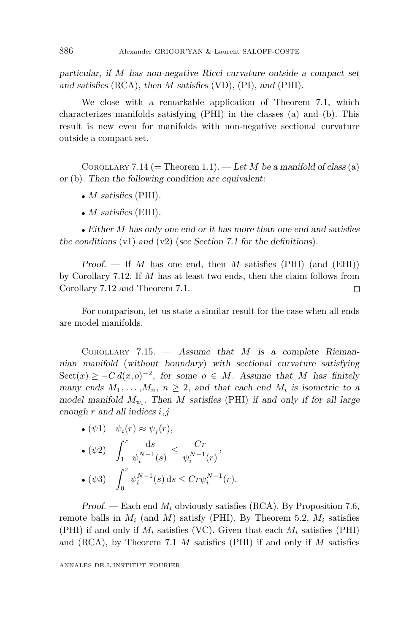*particular*, *if M has non-negative Ricci curvature outside a compact set and satisfies* (RCA), *then M satisfies* (VD), (PI), *and* (PHI)*.*

We close with a remarkable application of Theorem 7.1, which characterizes manifolds satisfying (PHI) in the classes (a) and (b). This result is new even for manifolds with non-negative sectional curvature outside a compact set.

COROLLARY 7.14 (= Theorem 1.1).  $-\text{Let } M$  be a manifold of class (a) *or* (b)*. Then the following condition are equivalent*:

- *M satisfies* (PHI)*.*
- *M satisfies* (EHI)*.*

• *Either M has only one end or it has more than one end and satisfies the conditions* (v1) *and* (v2) (*see Section 7.1 for the definitions*)*.*

*Proof*. — If *M* has one end, then *M* satisfies (PHI) (and (EHI)) by Corollary 7.12. If *M* has at least two ends, then the claim follows from Corollary 7.12 and Theorem 7.1.  $\Box$ 

For comparison, let us state a similar result for the case when all ends are model manifolds.

COROLLARY 7.15. — *Assume that M is a complete Riemannian manifold* (*without boundary*) *with sectional curvature satisfying* Sect(*x*) ≥ −*C*  $d(x, o)^{-2}$ , for some  $o \in M$ *.* Assume that *M* has finitely *many* ends  $M_1, \ldots, M_n, n \geq 2$ , and that each end  $M_i$  is isometric to a *model manifold*  $M_{\psi_i}$ . Then M satisfies (PHI) if and only if for all large *enough r and all indices i,j*

\n- \n
$$
\begin{aligned}\n &\bullet \left( \psi 1 \right) & \psi_i(r) \approx \psi_j(r), \\
&\bullet \left( \psi 2 \right) & \int_1^r \frac{\mathrm{d}s}{\psi_i^{N-1}(s)} \leq \frac{Cr}{\psi_i^{N-1}(r)}, \\
&\bullet \left( \psi 3 \right) & \int_0^r \psi_i^{N-1}(s) \, \mathrm{d}s \leq Cr \psi_i^{N-1}(r).\n \end{aligned}
$$
\n
\n

*Proof*. — Each end *M<sup>i</sup>* obviously satisfies (RCA). By Proposition 7.6, remote balls in  $M_i$  (and  $M$ ) satisfy (PHI). By Theorem 5.2,  $M_i$  satisfies (PHI) if and only if  $M_i$  satisfies (VC). Given that each  $M_i$  satisfies (PHI) and (RCA), by Theorem 7.1 *M* satisfies (PHI) if and only if *M* satisfies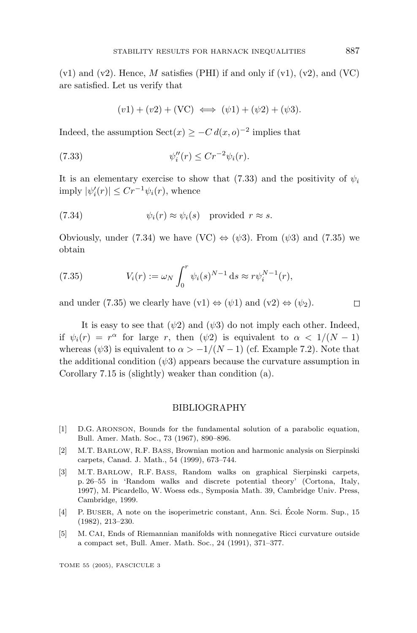$(v1)$  and  $(v2)$ . Hence, M satisfies (PHI) if and only if  $(v1)$ ,  $(v2)$ , and  $(VC)$ are satisfied. Let us verify that

$$
(v1) + (v2) + (VC) \iff (\psi 1) + (\psi 2) + (\psi 3).
$$

Indeed, the assumption  $\text{Sect}(x) \geq -C d(x, o)^{-2}$  implies that

$$
\psi_i''(r) \le Cr^{-2}\psi_i(r).
$$

It is an elementary exercise to show that (7.33) and the positivity of  $\psi_i$  $\text{imply } |\psi_i'(r)| \leq C r^{-1} \psi_i(r)$ , whence

(7.34) 
$$
\psi_i(r) \approx \psi_i(s) \text{ provided } r \approx s.
$$

Obviously, under (7.34) we have (VC)  $\Leftrightarrow$  ( $\psi$ 3). From ( $\psi$ 3) and (7.35) we obtain

(7.35) 
$$
V_i(r) := \omega_N \int_0^r \psi_i(s)^{N-1} \, ds \approx r \psi_i^{N-1}(r),
$$

and under (7.35) we clearly have  $(v1) \Leftrightarrow (\psi 1)$  and  $(v2) \Leftrightarrow (\psi_2)$ .

It is easy to see that  $(\psi_2)$  and  $(\psi_3)$  do not imply each other. Indeed, if  $\psi_i(r) = r^{\alpha}$  for large *r*, then  $(\psi_2)$  is equivalent to  $\alpha < 1/(N-1)$ whereas  $(\psi 3)$  is equivalent to  $\alpha > -1/(N-1)$  (cf. Example 7.2). Note that the additional condition  $(\psi 3)$  appears because the curvature assumption in Corollary 7.15 is (slightly) weaker than condition (a).

#### BIBLIOGRAPHY

- [1] D.G. ARONSON, Bounds for the fundamental solution of a parabolic equation, Bull. Amer. Math. Soc., 73 (1967), 890–896.
- [2] M.T. BARLOW, R.F. BASS, Brownian motion and harmonic analysis on Sierpinski carpets, Canad. J. Math., 54 (1999), 673–744.
- [3] M.T. BARLOW, R.F. BASS, Random walks on graphical Sierpinski carpets, p. 26–55 in 'Random walks and discrete potential theory' (Cortona, Italy, 1997), M. Picardello, W. Woess eds., Symposia Math. 39, Cambridge Univ. Press, Cambridge, 1999.
- [4] P. BUSER, A note on the isoperimetric constant, Ann. Sci. Ecole Norm. Sup., 15 ´ (1982), 213–230.
- [5] M. CAI, Ends of Riemannian manifolds with nonnegative Ricci curvature outside a compact set, Bull. Amer. Math. Soc., 24 (1991), 371–377.

$$
\Box
$$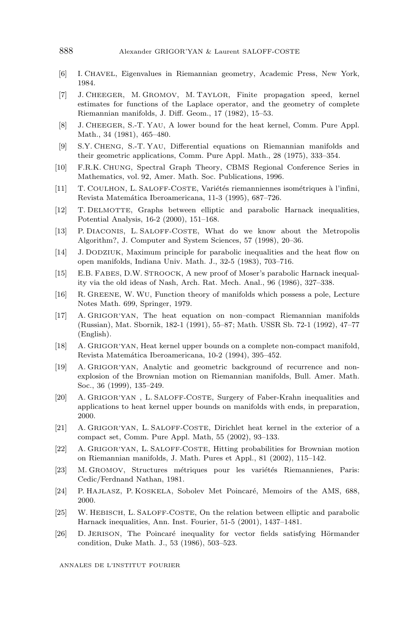- [6] I. CHAVEL, Eigenvalues in Riemannian geometry, Academic Press, New York, 1984.
- [7] J. CHEEGER, M. GROMOV, M. TAYLOR, Finite propagation speed, kernel estimates for functions of the Laplace operator, and the geometry of complete Riemannian manifolds, J. Diff. Geom., 17 (1982), 15–53.
- [8] J. CHEEGER, S.-T. YAU, A lower bound for the heat kernel, Comm. Pure Appl. Math., 34 (1981), 465–480.
- [9] S.Y. CHENG, S.-T. YAU, Differential equations on Riemannian manifolds and their geometric applications, Comm. Pure Appl. Math., 28 (1975), 333–354.
- [10] F.R.K. CHUNG, Spectral Graph Theory, CBMS Regional Conference Series in Mathematics, vol. 92, Amer. Math. Soc. Publications, 1996.
- [11] T. COULHON, L. SALOFF-COSTE, Variétés riemanniennes isométriques à l'infini, Revista Matemática Iberoamericana, 11-3 (1995), 687-726.
- [12] T. DELMOTTE, Graphs between elliptic and parabolic Harnack inequalities, Potential Analysis, 16-2 (2000), 151–168.
- [13] P. DIACONIS, L. SALOFF-COSTE, What do we know about the Metropolis Algorithm?, J. Computer and System Sciences, 57 (1998), 20–36.
- [14] J. DODZIUK, Maximum principle for parabolic inequalities and the heat flow on open manifolds, Indiana Univ. Math. J., 32-5 (1983), 703–716.
- [15] E.B. FABES, D.W. STROOCK, A new proof of Moser's parabolic Harnack inequality via the old ideas of Nash, Arch. Rat. Mech. Anal., 96 (1986), 327–338.
- [16] R. GREENE, W. WU, Function theory of manifolds which possess a pole, Lecture Notes Math. 699, Springer, 1979.
- [17] A. GRIGOR'YAN, The heat equation on non–compact Riemannian manifolds (Russian), Mat. Sbornik, 182-1 (1991), 55–87; Math. USSR Sb. 72-1 (1992), 47–77 (English).
- [18] A. GRIGOR'YAN, Heat kernel upper bounds on a complete non-compact manifold, Revista Matemática Iberoamericana, 10-2 (1994), 395-452.
- [19] A. GRIGOR'YAN, Analytic and geometric background of recurrence and nonexplosion of the Brownian motion on Riemannian manifolds, Bull. Amer. Math. Soc., 36 (1999), 135–249.
- [20] A. GRIGOR'YAN , L. SALOFF-COSTE, Surgery of Faber-Krahn inequalities and applications to heat kernel upper bounds on manifolds with ends, in preparation, 2000.
- [21] A. GRIGOR'YAN, L. SALOFF-COSTE, Dirichlet heat kernel in the exterior of a compact set, Comm. Pure Appl. Math, 55 (2002), 93–133.
- [22] A. GRIGOR'YAN, L. SALOFF-COSTE, Hitting probabilities for Brownian motion on Riemannian manifolds, J. Math. Pures et Appl., 81 (2002), 115–142.
- [23] M. GROMOV, Structures métriques pour les variétés Riemannienes, Paris: Cedic/Ferdnand Nathan, 1981.
- [24] P. HAJLASZ, P. KOSKELA, Sobolev Met Poincaré, Memoirs of the AMS, 688, 2000.
- [25] W. HEBISCH, L. SALOFF-COSTE, On the relation between elliptic and parabolic Harnack inequalities, Ann. Inst. Fourier, 51-5 (2001), 1437–1481.
- [26] D. JERISON, The Poincaré inequality for vector fields satisfying Hörmander condition, Duke Math. J., 53 (1986), 503–523.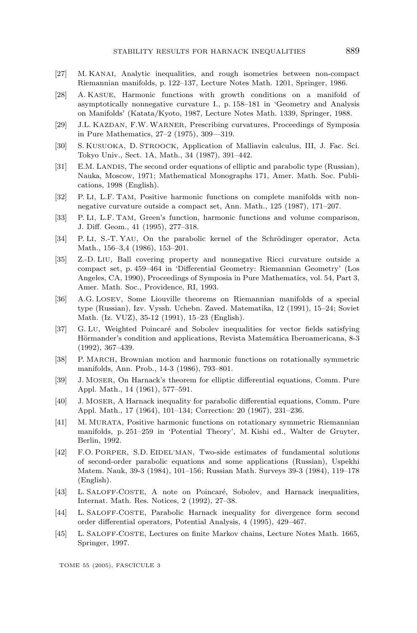- [27] M. KANAI, Analytic inequalities, and rough isometries between non-compact Riemannian manifolds, p. 122–137, Lecture Notes Math. 1201, Springer, 1986.
- [28] A. KASUE, Harmonic functions with growth conditions on a manifold of asymptotically nonnegative curvature I., p. 158–181 in 'Geometry and Analysis on Manifolds' (Katata/Kyoto, 1987, Lecture Notes Math. 1339, Springer, 1988.
- [29] J.L. KAZDAN, F.W. WARNER, Prescribing curvatures, Proceedings of Symposia in Pure Mathematics, 27–2 (1975), 309––319.
- [30] S. KUSUOKA, D. STROOCK, Application of Malliavin calculus, III, J. Fac. Sci. Tokyo Univ., Sect. 1A, Math., 34 (1987), 391–442.
- [31] E.M. LANDIS, The second order equations of elliptic and parabolic type (Russian), Nauka, Moscow, 1971; Mathematical Monographs 171, Amer. Math. Soc. Publications, 1998 (English).
- [32] P. LI, L.F. TAM, Positive harmonic functions on complete manifolds with nonnegative curvature outside a compact set, Ann. Math., 125 (1987), 171–207.
- [33] P. LI, L.F. TAM, Green's function, harmonic functions and volume comparison, J. Diff. Geom., 41 (1995), 277–318.
- [34] P. LI, S.-T. YAU, On the parabolic kernel of the Schrödinger operator, Acta Math., 156–3,4 (1986), 153–201.
- [35] Z.-D. LIU, Ball covering property and nonnegative Ricci curvature outside a compact set, p. 459–464 in 'Differential Geometry: Riemannian Geometry' (Los Angeles, CA, 1990), Proceedings of Symposia in Pure Mathematics, vol. 54, Part 3, Amer. Math. Soc., Providence, RI, 1993.
- [36] A.G. LOSEV, Some Liouville theorems on Riemannian manifolds of a special type (Russian), Izv. Vyssh. Uchebn. Zaved. Matematika, 12 (1991), 15–24; Soviet Math. (Iz. VUZ), 35-12 (1991), 15–23 (English).
- [37] G. LU, Weighted Poincaré and Sobolev inequalities for vector fields satisfying Hörmander's condition and applications, Revista Matemática Iberoamericana, 8-3 (1992), 367–439.
- [38] P. MARCH, Brownian motion and harmonic functions on rotationally symmetric manifolds, Ann. Prob., 14-3 (1986), 793–801.
- [39] J. MOSER, On Harnack's theorem for elliptic differential equations, Comm. Pure Appl. Math., 14 (1961), 577–591.
- [40] J. MOSER, A Harnack inequality for parabolic differential equations, Comm. Pure Appl. Math., 17 (1964), 101–134; Correction: 20 (1967), 231–236.
- [41] M. MURATA, Positive harmonic functions on rotationary symmetric Riemannian manifolds, p. 251–259 in 'Potential Theory', M. Kishi ed., Walter de Gruyter, Berlin, 1992.
- [42] F.O. PORPER, S.D. EIDEL'MAN, Two-side estimates of fundamental solutions of second-order parabolic equations and some applications (Russian), Uspekhi Matem. Nauk, 39-3 (1984), 101–156; Russian Math. Surveys 39-3 (1984), 119–178 (English).
- [43] L. SALOFF-COSTE, A note on Poincaré, Sobolev, and Harnack inequalities, Internat. Math. Res. Notices, 2 (1992), 27–38.
- [44] L. SALOFF-COSTE, Parabolic Harnack inequality for divergence form second order differential operators, Potential Analysis, 4 (1995), 429–467.
- [45] L. SALOFF-COSTE, Lectures on finite Markov chains, Lecture Notes Math. 1665, Springer, 1997.